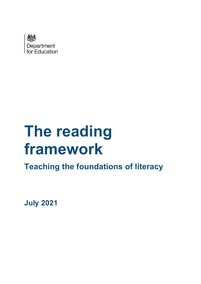

# **The reading framework**

**Teaching the foundations of literacy**

**July 2021**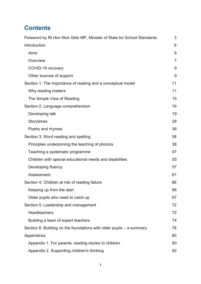# **Contents**

| Foreword by Rt Hon Nick Gibb MP, Minister of State for School Standards | 3              |
|-------------------------------------------------------------------------|----------------|
| Introduction                                                            | 6              |
| Aims                                                                    | 6              |
| Overview                                                                | $\overline{7}$ |
| COVID-19 recovery                                                       | 9              |
| Other sources of support                                                | 9              |
| Section 1: The importance of reading and a conceptual model             | 11             |
| Why reading matters                                                     | 11             |
| The Simple View of Reading                                              | 15             |
| Section 2: Language comprehension                                       | 19             |
| Developing talk                                                         | 19             |
| <b>Storytimes</b>                                                       | 28             |
| Poetry and rhymes                                                       | 36             |
| Section 3: Word reading and spelling                                    | 38             |
| Principles underpinning the teaching of phonics                         | 38             |
| Teaching a systematic programme                                         | 47             |
| Children with special educational needs and disabilities                | 55             |
| Developing fluency                                                      | 57             |
| Assessment                                                              | 61             |
| Section 4: Children at risk of reading failure                          | 66             |
| Keeping up from the start                                               | 66             |
| Older pupils who need to catch up                                       | 67             |
| Section 5: Leadership and management                                    | 72             |
| Headteachers                                                            | 72             |
| Building a team of expert teachers                                      | 74             |
| Section 6: Building on the foundations with older pupils $-$ a summary  | 78             |
| Appendices                                                              | 80             |
| Appendix 1. For parents: reading stories to children                    | 80             |
| Appendix 2. Supporting children's thinking                              | 82             |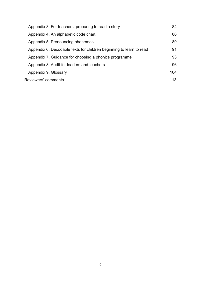| Appendix 3. For teachers: preparing to read a story                 | 84  |
|---------------------------------------------------------------------|-----|
| Appendix 4. An alphabetic code chart                                | 86  |
| Appendix 5. Pronouncing phonemes                                    | 89  |
| Appendix 6. Decodable texts for children beginning to learn to read | 91  |
| Appendix 7. Guidance for choosing a phonics programme               | 93  |
| Appendix 8. Audit for leaders and teachers                          | 96  |
| Appendix 9. Glossary                                                | 104 |
| Reviewers' comments                                                 | 113 |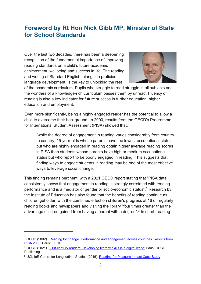# <span id="page-3-0"></span>**Foreword by Rt Hon Nick Gibb MP, Minister of State for School Standards**

Over the last two decades, there has been a deepening recognition of the fundamental importance of improving reading standards on a child's future academic achievement, wellbeing and success in life. The reading and writing of Standard English, alongside proficient language development, is the key to unlocking the rest



of the academic curriculum. Pupils who struggle to read struggle in all subjects and the wonders of a knowledge-rich curriculum passes them by unread. Fluency of reading is also a key indicator for future success in further education, higher education and employment.

Even more significantly, being a highly engaged reader has the potential to allow a child to overcome their background. In 2000, results from the OECD's Programme for International Student Assessment (PISA) showed that:

"while the degree of engagement in reading varies considerably from country to country, 15-year-olds whose parents have the lowest occupational status but who are highly engaged in reading obtain higher average reading scores in PISA than students whose parents have high or medium occupational status but who report to be poorly engaged in reading. This suggests that finding ways to engage students in reading may be one of the most effective ways to leverage social change."[1](#page-3-1)

This finding remains pertinent, with a 2021 OECD report stating that "PISA data consistently shows that engagement in reading is strongly correlated with reading performance and is a mediator of gender or socio-economic status".[2](#page-3-2) Research by the Institute of Education has also found that the benefits of reading continue as children get older, with the combined effect on children's progress at 16 of regularly reading books and newspapers and visiting the library "four times greater than the advantage children gained from having a parent with a degree".<sup>[3](#page-3-3)</sup> In short, reading

<span id="page-3-1"></span><sup>1</sup> OECD (2002). ['Reading for change. Performance and engagement across countries. Results from](https://read.oecd-ilibrary.org/education/reading-for-change-performance-and-engagement-across-countries_9789264099289-en#page1)  [PISA 2000'](https://read.oecd-ilibrary.org/education/reading-for-change-performance-and-engagement-across-countries_9789264099289-en#page1) Paris: OECD

<span id="page-3-2"></span><sup>2</sup> OECD (2021). '21st-century readers: [Developing literacy skills in a digital world'](https://www.oecd.org/publications/21st-century-readers-a83d84cb-en.htm) Paris: OECD Publishing

<span id="page-3-3"></span><sup>3</sup> UCL IoE Centre for Longitudinal Studies (2015). [Reading for Pleasure Impact Case Study](https://cls.ucl.ac.uk/wp-content/uploads/2017/06/Readingforpleasurestoppress.pdf)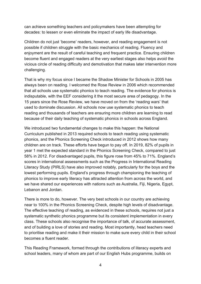can achieve something teachers and policymakers have been attempting for decades: to lessen or even eliminate the impact of early life disadvantage.

Children do not just 'become' readers, however, and reading engagement is not possible if children struggle with the basic mechanics of reading. Fluency and enjoyment are the result of careful teaching and frequent practice. Ensuring children become fluent and engaged readers at the very earliest stages also helps avoid the vicious circle of reading difficulty and demotivation that makes later intervention more challenging.

That is why my focus since I became the Shadow Minister for Schools in 2005 has always been on reading. I welcomed the Rose Review in 2006 which recommended that all schools use systematic phonics to teach reading. The evidence for phonics is indisputable, with the EEF considering it the most secure area of pedagogy. In the 15 years since the Rose Review, we have moved on from the 'reading wars' that used to dominate discussion. All schools now use systematic phonics to teach reading and thousands of teachers are ensuring more children are learning to read because of their daily teaching of systematic phonics in schools across England.

We introduced two fundamental changes to make this happen: the National Curriculum published in 2013 required schools to teach reading using systematic phonics, and the Phonics Screening Check introduced in 2012 shows how many children are on track. These efforts have begun to pay off. In 2019, 82% of pupils in year 1 met the expected standard in the Phonics Screening Check, compared to just 58% in 2012. For disadvantaged pupils, this figure rose from 45% to 71%. England's scores in international assessments such as the Progress in International Reading Literacy Study (PIRLS) have also improved notably, particularly for the boys and the lowest performing pupils. England's progress through championing the teaching of phonics to improve early literacy has attracted attention from across the world, and we have shared our experiences with nations such as Australia, Fiji, Nigeria, Egypt, Lebanon and Jordan.

There is more to do, however. The very best schools in our country are achieving near to 100% in the Phonics Screening Check, despite high levels of disadvantage. The effective teaching of reading, as evidenced in these schools, requires not just a systematic synthetic phonics programme but its consistent implementation in every class. These schools also recognise the importance of talk, of accurate assessment, and of building a love of stories and reading. Most importantly, head teachers need to prioritise reading and make it their mission to make sure every child in their school becomes a fluent reader.

This Reading Framework, formed through the contributions of literacy experts and school leaders, many of whom are part of our English Hubs programme, builds on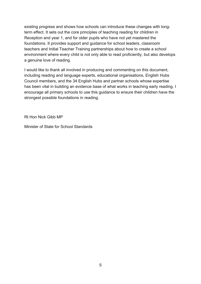existing progress and shows how schools can introduce these changes with longterm effect. It sets out the core principles of teaching reading for children in Reception and year 1, and for older pupils who have not yet mastered the foundations. It provides support and guidance for school leaders, classroom teachers and Initial Teacher Training partnerships about how to create a school environment where every child is not only able to read proficiently, but also develops a genuine love of reading.

I would like to thank all involved in producing and commenting on this document, including reading and language experts, educational organisations, English Hubs Council members, and the 34 English Hubs and partner schools whose expertise has been vital in building an evidence base of what works in teaching early reading. I encourage all primary schools to use this guidance to ensure their children have the strongest possible foundations in reading.

Rt Hon Nick Gibb MP

Minister of State for School Standards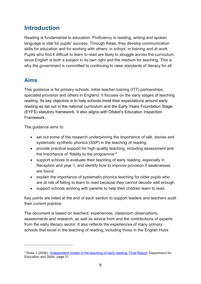# <span id="page-6-0"></span>**Introduction**

Reading is fundamental to education. Proficiency in reading, writing and spoken language is vital for pupils' success. Through these, they develop communication skills for education and for working with others: in school, in training and at work. Pupils who find it difficult to learn to read are likely to struggle across the curriculum, since English is both a subject in its own right and the medium for teaching. This is why the government is committed to continuing to raise standards of literacy for all.

# <span id="page-6-1"></span>**Aims**

This guidance is for primary schools, initial teacher training (ITT) partnerships, specialist provision and others in England. It focuses on the early stages of teaching reading. Its key objective is to help schools meet their expectations around early reading as set out in the national curriculum and the Early Years Foundation Stage (EYFS) statutory framework. It also aligns with Ofsted's Education Inspection Framework.

The guidance aims to:

- set out some of the research underpinning the importance of talk, stories and systematic synthetic phonics (SSP) in the teaching of reading
- provide practical support for high-quality teaching, including assessment and the importance of 'fidelity to the programme'[4](#page-6-2)
- support schools to evaluate their teaching of early reading, especially in Reception and year 1, and identify how to improve provision if weaknesses are found
- explain the importance of systematic phonics teaching for older pupils who are at risk of failing to learn to read because they cannot decode well enough
- support schools working with parents to help their children learn to read.

Key points are listed at the end of each section to support leaders and teachers audit their current practice.

The document is based on teachers' experiences, classroom observations, assessments and research, as well as advice from and the contributions of experts from the early literacy sector. It also reflects the experiences of many primary schools that excel in the teaching of reading, including those in the English Hubs

<span id="page-6-2"></span><sup>4</sup> Rose J (2006). ['Independent review of the teaching of early reading: Final Report'](https://dera.ioe.ac.uk/5551/2/report.pdf) Department for Education and Skills, page 21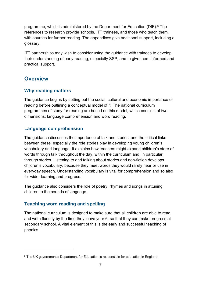programme, which is administered by the Department for Education (DfE).<sup>[5](#page-7-1)</sup> The references to research provide schools, ITT trainees, and those who teach them, with sources for further reading. The appendices give additional support, including a glossary.

ITT partnerships may wish to consider using the guidance with trainees to develop their understanding of early reading, especially SSP, and to give them informed and practical support.

# <span id="page-7-0"></span>**Overview**

# **Why reading matters**

The guidance begins by setting out the social, cultural and economic importance of reading before outlining a conceptual model of it. The national curriculum programmes of study for reading are based on this model, which consists of two dimensions: language comprehension and word reading.

## **Language comprehension**

The guidance discusses the importance of talk and stories, and the critical links between these, especially the role stories play in developing young children's vocabulary and language. It explains how teachers might expand children's store of words through talk throughout the day, within the curriculum and, in particular, through stories. Listening to and talking about stories and non-fiction develops children's vocabulary, because they meet words they would rarely hear or use in everyday speech. Understanding vocabulary is vital for comprehension and so also for wider learning and progress.

The guidance also considers the role of poetry, rhymes and songs in attuning children to the sounds of language.

# **Teaching word reading and spelling**

The national curriculum is designed to make sure that all children are able to read and write fluently by the time they leave year 6, so that they can make progress at secondary school. A vital element of this is the early and successful teaching of phonics.

<span id="page-7-1"></span><sup>5</sup> The UK government's Department for Education is responsible for education in England.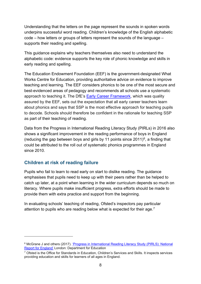Understanding that the letters on the page represent the sounds in spoken words underpins successful word reading. Children's knowledge of the English alphabetic code – how letters or groups of letters represent the sounds of the language – supports their reading and spelling.

This guidance explains why teachers themselves also need to understand the alphabetic code: evidence supports the key role of phonic knowledge and skills in early reading and spelling.

The Education Endowment Foundation (EEF) is the government-designated What Works Centre for Education, providing authoritative advice on evidence to improve teaching and learning. The EEF considers phonics to be one of the most secure and best-evidenced areas of pedagogy and recommends all schools use a systematic approach to teaching it. The DfE's [Early Career Framework,](https://www.gov.uk/government/publications/early-career-framework) which was quality assured by the EEF, sets out the expectation that all early career teachers learn about phonics and says that SSP is the most effective approach for teaching pupils to decode. Schools should therefore be confident in the rationale for teaching SSP as part of their teaching of reading.

Data from the Progress in International Reading Literacy Study (PIRLs) in 2016 also shows a significant improvement in the reading performance of boys in England (reducing the gap between boys and girls by 11 points since  $2011)^6$ , a finding that could be attributed to the roll out of systematic phonics programmes in England since 2010.

# **Children at risk of reading failure**

Pupils who fail to learn to read early on start to dislike reading. The guidance emphasises that pupils need to keep up with their peers rather than be helped to catch up later, at a point when learning in the wider curriculum depends so much on literacy. Where pupils make insufficient progress, extra efforts should be made to provide them with extra practice and support from the beginning.

In evaluating schools' teaching of reading, Ofsted's inspectors pay particular attention to pupils who are reading below what is expected for their age.<sup>[7](#page-8-1)</sup>

<span id="page-8-0"></span><sup>6</sup> McGrane J and others (2017). ['Progress in International Reading Literacy Study \(PIRLS\): National](https://www.gov.uk/government/publications/pirls-2016-reading-literacy-performance-in-england)  [Report for England'](https://www.gov.uk/government/publications/pirls-2016-reading-literacy-performance-in-england) London: Department for Education

<span id="page-8-1"></span> $7$  Ofsted is the Office for Standards in Education, Children's Services and Skills. It inspects services providing education and skills for learners of all ages in England.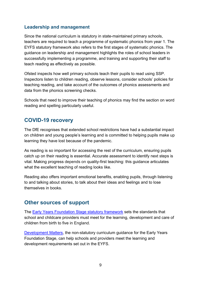## **Leadership and management**

Since the national curriculum is statutory in state-maintained primary schools, teachers are required to teach a programme of systematic phonics from year 1. The EYFS statutory framework also refers to the first stages of systematic phonics. The guidance on leadership and management highlights the roles of school leaders in successfully implementing a programme, and training and supporting their staff to teach reading as effectively as possible.

Ofsted inspects how well primary schools teach their pupils to read using SSP. Inspectors listen to children reading, observe lessons, consider schools' policies for teaching reading, and take account of the outcomes of phonics assessments and data from the phonics screening checks.

Schools that need to improve their teaching of phonics may find the section on word reading and spelling particularly useful.

# <span id="page-9-0"></span>**COVID-19 recovery**

The DfE recognises that extended school restrictions have had a substantial impact on children and young people's learning and is committed to helping pupils make up learning they have lost because of the pandemic.

As reading is so important for accessing the rest of the curriculum, ensuring pupils catch up on their reading is essential. Accurate assessment to identify next steps is vital. Making progress depends on quality-first teaching: this guidance articulates what the excellent teaching of reading looks like.

Reading also offers important emotional benefits, enabling pupils, through listening to and talking about stories, to talk about their ideas and feelings and to lose themselves in books.

# <span id="page-9-1"></span>**Other sources of support**

The [Early Years Foundation Stage statutory framework](https://www.gov.uk/government/publications/early-years-foundation-stage-framework--2) sets the standards that school and childcare providers must meet for the learning, development and care of children from birth to five in England.

[Development Matters,](https://www.gov.uk/government/publications/development-matters--2) the non-statutory curriculum guidance for the Early Years Foundation Stage, can help schools and providers meet the learning and development requirements set out in the EYFS.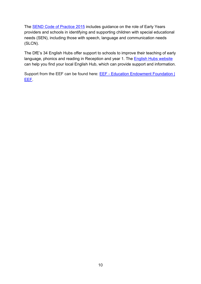The [SEND Code of Practice 2015](https://www.gov.uk/government/publications/send-code-of-practice-0-to-25) includes guidance on the role of Early Years providers and schools in identifying and supporting children with special educational needs (SEN), including those with speech, language and communication needs (SLCN).

The DfE's 34 English Hubs offer support to schools to improve their teaching of early language, phonics and reading in Reception and year 1. The **English Hubs website** can help you find your local English Hub, which can provide support and information.

Support from the EEF can be found here: **EEF - Education Endowment Foundation** | [EEF.](https://educationendowmentfoundation.org.uk/)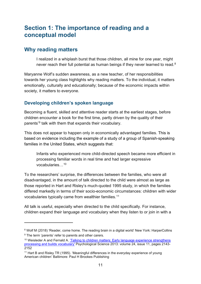# <span id="page-11-0"></span>**Section 1: The importance of reading and a conceptual model**

# <span id="page-11-1"></span>**Why reading matters**

I realized in a whiplash burst that those children, all mine for one year, might never reach their full potential as human beings if they never learned to read.<sup>[8](#page-11-2)</sup>

Maryanne Wolf's sudden awareness, as a new teacher, of her responsibilities towards her young class highlights why reading matters. To the individual, it matters emotionally, culturally and educationally; because of the economic impacts within society, it matters to everyone.

# **Developing children's spoken language**

Becoming a fluent, skilled and attentive reader starts at the earliest stages, before children encounter a book for the first time, partly driven by the quality of their parents'[9](#page-11-3) talk with them that expands their vocabulary.

This does not appear to happen only in economically advantaged families. This is based on evidence including the example of a study of a group of Spanish-speaking families in the United States, which suggests that:

Infants who experienced more child-directed speech became more efficient in processing familiar words in real time and had larger expressive vocabularies…[10](#page-11-4)

To the researchers' surprise, the differences between the families, who were all disadvantaged, in the amount of talk directed to the child were almost as large as those reported in Hart and Risley's much-quoted 1995 study, in which the families differed markedly in terms of their socio-economic circumstances: children with wider vocabularies typically came from wealthier families. [11](#page-11-5)

All talk is useful, especially when directed to the child specifically. For instance, children expand their language and vocabulary when they listen to or join in with a

<span id="page-11-2"></span><sup>&</sup>lt;sup>8</sup> Wolf M (2018) 'Reader, come home. The reading brain in a digital world' New York: HarperCollins <sup>9</sup> The term 'parents' refer to parents and other carers.

<span id="page-11-4"></span><span id="page-11-3"></span><sup>&</sup>lt;sup>10</sup> Weisleder A and Fernald A. 'Talking to children matters: Early language experience strengthens [processing and builds vocabulary'](https://www.ncbi.nlm.nih.gov/pmc/articles/PMC5510534/) Psychological Science 2013: volume 24, issue 11, pages 2143- 2152

<span id="page-11-5"></span><sup>&</sup>lt;sup>11</sup> Hart B and Risley TR (1995). 'Meaningful differences in the everyday experience of young American children' Baltimore: Paul H Brookes Publishing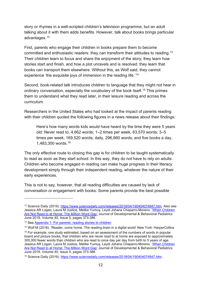story or rhymes in a well-scripted children's television programme, but an adult talking about it with them adds benefits. However, talk about books brings particular advantages. [12](#page-12-0)

First, parents who engage their children in books prepare them to become committed and enthusiastic readers: they can transform their attitudes to reading.[13](#page-12-1) Their children learn to focus and share the enjoyment of the story; they learn how stories start and finish, and how a plot unravels and is resolved; they learn that books can transport them elsewhere. Without this, as Wolf said, they cannot experience 'the exquisite joys of immersion in the reading life.<sup>'[14](#page-12-2)</sup>

Second, book-related talk introduces children to language that they might not hear in ordinary conversation, especially the vocabulary of the book itself.[15](#page-12-3) This primes them to understand what they read later, in their leisure reading and across the curriculum.

Researchers in the United States who had looked at the impact of parents reading with their children quoted the following figures in a news release about their findings:

Here's how many words kids would have heard by the time they were 5 years old: Never read to, 4,662 words; 1–2 times per week, 63,570 words; 3–5 times per week, 169,520 words; daily, 296,660 words; and five books a day, 1,483,300 words.[16](#page-12-4)

The only effective route to closing this gap is for children to be taught systematically to read as soon as they start school. In this way, they do not have to rely on adults. Children who become engaged in reading can make huge progress in their literacy development simply through their independent reading, whatever the nature of their early experiences.

This is not to say, however, that all reading difficulties are caused by lack of conversation or engagement with books. Some parents provide the best possible

<span id="page-12-0"></span><sup>12</sup> Science Daily (2019). [https://www.sciencedaily.com/releases/2019/04/190404074947.htm.](https://www.sciencedaily.com/releases/2019/04/190404074947.htm) Also see Jessica AR Logan, Laura M Justice, Melike Yumuş, Leydi Johana Chaparro-Moreno. ['When Children](https://journals.lww.com/jrnldbp/Abstract/2019/06000/When_Children_Are_Not_Read_to_at_Home__The_Million.9.aspx)  [Are Not Read to at Home: The Million Word Gap'](https://journals.lww.com/jrnldbp/Abstract/2019/06000/When_Children_Are_Not_Read_to_at_Home__The_Million.9.aspx) Journal of Developmental & Behavioral Pediatrics June 2019, Volume 40, Issue 5, pages 373-386

<span id="page-12-1"></span><sup>&</sup>lt;sup>13</sup> See [Appendix 1: For parents: reading stories to children](#page-80-1)

<span id="page-12-2"></span><sup>&</sup>lt;sup>14</sup> Wolf M (2018). 'Reader, come home. The reading brain in a digital world' New York: HarperCollins

<span id="page-12-3"></span><sup>&</sup>lt;sup>15</sup> For example, one study estimated, based on an assessment of the numbers of words in popular board and picture books, that children who are never read to at home are exposed to approximately 300,000 fewer words than children who are read to once day per day from birth to 5 years of age. Jessica AR Logan, Laura M Justice, Melike Yumuş, Leydi Johana Chaparro-Moreno. ['When Children](https://journals.lww.com/jrnldbp/Abstract/2019/06000/When_Children_Are_Not_Read_to_at_Home__The_Million.9.aspx)  [Are Not Read to at Home: The Million Word Gap'](https://journals.lww.com/jrnldbp/Abstract/2019/06000/When_Children_Are_Not_Read_to_at_Home__The_Million.9.aspx) Journal of Developmental & Behavioral Pediatrics June 2019, Volume 40, Issue 5, pages 373-386

<span id="page-12-4"></span><sup>16</sup> Science Daily (2019). [https://www.sciencedaily.com/releases/2019/04/190404074947.htm.](https://www.sciencedaily.com/releases/2019/04/190404074947.htm)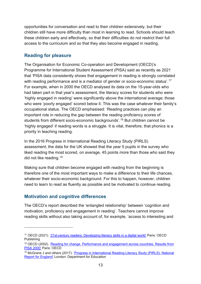opportunities for conversation and read to their children extensively, but their children still have more difficulty than most in learning to read. Schools should teach these children early and effectively, so that their difficulties do not restrict their full access to the curriculum and so that they also become engaged in reading.

#### **Reading for pleasure**

The Organisation for Economic Co-operation and Development (OECD)'s Programme for International Student Assessment (PISA) said as recently as 2021 that 'PISA data consistently shows that engagement in reading is strongly correlated with reading performance and is a mediator of gender or socio-economic status'.<sup>[17](#page-13-0)</sup> For example, when in 2000 the OECD analysed its data on the 15-year-olds who had taken part in that year's assessment, the literacy scores for students who were 'highly engaged in reading' were significantly above the international average; those who were 'poorly engaged' scored below it. This was the case whatever their family's occupational status. The OECD emphasised: 'Reading practices can play an important role in reducing the gap between the reading proficiency scores of students from different socio-economic backgrounds'.[18](#page-13-1) But children cannot be 'highly engaged' if reading words is a struggle. It is vital, therefore, that phonics is a priority in teaching reading.

In the 2016 Progress in International Reading Literacy Study (PIRLS) assessment, the data for the UK showed that the year 5 pupils in the survey who liked reading the most scored, on average, 45 points more than those who said they did not like reading.[19](#page-13-2)

Making sure that children become engaged with reading from the beginning is therefore one of the most important ways to make a difference to their life chances, whatever their socio-economic background. For this to happen, however, children need to learn to read as fluently as possible and be motivated to continue reading.

# **Motivation and cognitive differences**

The OECD's report described the 'entangled relationship' between 'cognition and motivation, proficiency and engagement in reading'. Teachers cannot improve reading skills without also taking account of, for example, 'access to interesting and

<span id="page-13-0"></span><sup>17</sup> OECD (2021). '21st-century readers: [Developing literacy skills in a digital world'](https://www.oecd.org/publications/21st-century-readers-a83d84cb-en.htm) Paris: OECD Publishing

<span id="page-13-1"></span><sup>18</sup> OECD (2002). ['Reading for change. Performance and engagement across countries. Results from](https://read.oecd-ilibrary.org/education/reading-for-change-performance-and-engagement-across-countries_9789264099289-en#page1)  [PISA 2000'](https://read.oecd-ilibrary.org/education/reading-for-change-performance-and-engagement-across-countries_9789264099289-en#page1) Paris: OECD

<span id="page-13-2"></span><sup>&</sup>lt;sup>19</sup> McGrane J and others (2017). 'Progress in International Reading Literacy Study (PIRLS): National [Report for England'](https://www.gov.uk/government/publications/pirls-2016-reading-literacy-performance-in-england) London: Department for Education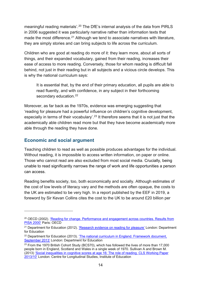meaningful reading materials'.<sup>[20](#page-14-0)</sup> The DfE's internal analysis of the data from PIRLS in 2006 suggested it was particularly narrative rather than information texts that made the most difference.<sup>[21](#page-14-1)</sup> Although we tend to associate narratives with literature, they are simply stories and can bring subjects to life across the curriculum.

Children who are good at reading do more of it: they learn more, about all sorts of things, and their expanded vocabulary, gained from their reading, increases their ease of access to more reading. Conversely, those for whom reading is difficult fall behind, not just in their reading but in all subjects and a vicious circle develops. This is why the national curriculum says:

It is essential that, by the end of their primary education, all pupils are able to read fluently, and with confidence, in any subject in their forthcoming secondary education.<sup>[22](#page-14-2)</sup>

Moreover, as far back as the 1970s, evidence was emerging suggesting that 'reading for pleasure had a powerful influence on children's cognitive development, especially in terms of their vocabulary'.<sup>[23](#page-14-3)</sup> It therefore seems that it is not just that the academically able children read more but that they have become academically more able through the reading they have done.

## **Economic and social argument**

Teaching children to read as well as possible produces advantages for the individual. Without reading, it is impossible to access written information, on paper or online. Those who cannot read are also excluded from most social media. Crucially, being unable to read significantly narrows the range of work and life opportunities a person can access.

Reading benefits society, too, both economically and socially. Although estimates of the cost of low levels of literacy vary and the methods are often opaque, the costs to the UK are estimated to be very high. In a report published by the EEF in 2019, a foreword by Sir Kevan Collins cites the cost to the UK to be around £20 billion per

<span id="page-14-0"></span><sup>&</sup>lt;sup>20</sup> OECD (2002). 'Reading for change. Performance and engagement across countries. Results from [PISA 2000'](https://read.oecd-ilibrary.org/education/reading-for-change-performance-and-engagement-across-countries_9789264099289-en#page1) Paris: OECD

<span id="page-14-1"></span><sup>&</sup>lt;sup>21</sup> Department for Education (2012). ['Research evidence on reading for pleasure'](https://www.gov.uk/government/publications/research-evidence-on-reading-for-pleasure) London: Department for Education

<span id="page-14-2"></span><sup>&</sup>lt;sup>22</sup> Department for Education (2013). 'The national curriculum in England. Framework document, [September 2013'](https://www.gov.uk/government/collections/national-curriculum) London: Department for Education

<span id="page-14-3"></span><sup>&</sup>lt;sup>23</sup> From the 1970 British Cohort Study (BCS70), which has followed the lives of more than 17,000 people born in England, Scotland and Wales in a single week of 1970. Sullivan A and Brown M. (2013) ['Social inequalities in cognitive scores at age 16: The role of reading. CLS Working Paper](https://discovery.ucl.ac.uk/id/eprint/1473708/)  [2013/10'](https://discovery.ucl.ac.uk/id/eprint/1473708/) London: Centre for Longitudinal Studies, Institute of Education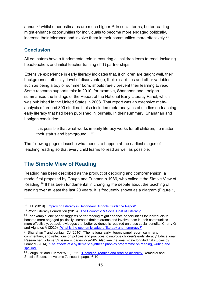annum<sup>[24](#page-15-1)</sup> whilst other estimates are much higher.<sup>[25](#page-15-2)</sup> In social terms, better reading might enhance opportunities for individuals to become more engaged politically, increase their tolerance and involve them in their communities more effectively.<sup>[26](#page-15-3)</sup>

# **Conclusion**

All educators have a fundamental role in ensuring all children learn to read, including headteachers and initial teacher training (ITT) partnerships.

Extensive experience in early literacy indicates that, if children are taught well, their backgrounds, ethnicity, level of disadvantage, their disabilities and other variables, such as being a boy or summer born, should rarely prevent their learning to read. Some research supports this: in 2010, for example, Shanahan and Lonigan summarised the findings of the Report of the National Early Literacy Panel, which was published in the United States in 2008. That report was an extensive metaanalysis of around 300 studies. It also included meta-analyses of studies on teaching early literacy that had been published in journals. In their summary, Shanahan and Lonigan concluded:

It is possible that what works in early literacy works for all children, no matter their status and background…[27](#page-15-4)

The following pages describe what needs to happen at the earliest stages of teaching reading so that every child learns to read as well as possible.

# <span id="page-15-0"></span>**The Simple View of Reading**

Reading has been described as the product of decoding and comprehension, a model first proposed by Gough and Tunmer in 1986, who called it the Simple View of Reading. [28](#page-15-5) It has been fundamental in changing the debate about the teaching of reading over at least the last 20 years. It is frequently shown as a diagram (Figure 1,

<span id="page-15-1"></span><sup>&</sup>lt;sup>24</sup> EEF (2019). 'Improving Literacy in Secondary Schools Guidance Report'

<span id="page-15-2"></span><sup>&</sup>lt;sup>25</sup> World Literacy Foundation (2018). ['The Economic & Social Cost of Illiteracy'](https://worldliteracyfoundation.org/wp-content/uploads/2019/06/TheEconomicSocialCostofIlliteracy-2.pdf)

<span id="page-15-3"></span> $26$  For example, one paper suggests better reading might enhance opportunities for individuals to become more engaged politically, increase their tolerance and involve them in their communities more effectively, but acknowledges that better evidence is required on these social benefits. Cherry G and Vignoles A (2020). ['What is the economic value of literacy and numeracy?'](https://wol.iza.org/articles/what-is-economic-value-of-literacy-and-numeracy/long)

<span id="page-15-4"></span> $27$  Shanahan T and Lonigan CJ (2010). 'The national early literacy panel report: summary, commentary, and reflections on policies and practices to improve children's early literacy' Educational Researcher: volume 39, issue 4, pages 279–285. Also see the small scale longitudinal studies by Grant M (2014). ['The effects of a systematic synthetic phonics programme on reading, writing and](https://www.syntheticphonics.net/reseach.php#indentreport)  [spelling'](https://www.syntheticphonics.net/reseach.php#indentreport)

<span id="page-15-5"></span><sup>&</sup>lt;sup>28</sup> Gough PB and Tunmer WE (1986). ['Decoding, reading and reading disability'](https://journals.sagepub.com/doi/10.1177/074193258600700104) Remedial and Special Education: volume 7, issue 1, pages 6-10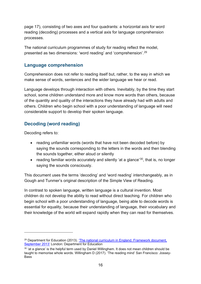page 17), consisting of two axes and four quadrants: a horizontal axis for word reading (decoding) processes and a vertical axis for language comprehension processes.

The national curriculum programmes of study for reading reflect the model, presented as two dimensions: 'word reading' and 'comprehension'.[29](#page-16-0) 

## **Language comprehension**

Comprehension does not refer to reading itself but, rather, to the way in which we make sense of words, sentences and the wider language we hear or read.

Language develops through interaction with others. Inevitably, by the time they start school, some children understand more and know more words than others, because of the quantity and quality of the interactions they have already had with adults and others. Children who begin school with a poor understanding of language will need considerable support to develop their spoken language.

# **Decoding (word reading)**

Decoding refers to:

- reading unfamiliar words (words that have not been decoded before) by saying the sounds corresponding to the letters in the words and then blending the sounds together, either aloud or silently
- reading familiar words accurately and silently 'at a glance'<sup>30</sup>, that is, no longer saying the sounds consciously.

This document uses the terms 'decoding' and 'word reading' interchangeably, as in Gough and Tunmer's original description of the Simple View of Reading.

In contrast to spoken language, written language is a cultural invention. Most children do not develop the ability to read without direct teaching. For children who begin school with a poor understanding of language, being able to decode words is essential for equality, because their understanding of language, their vocabulary and their knowledge of the world will expand rapidly when they can read for themselves.

<span id="page-16-0"></span> $29$  Department for Education (2013). 'The national curriculum in England. Framework document, [September 2013'](https://www.gov.uk/government/collections/national-curriculum) London: Department for Education

<span id="page-16-1"></span> $30$  'at a glance' is the helpful term used by Daniel Willingham. It does not mean children should be taught to memorise whole words. Willingham D (2017). 'The reading mind' San Francisco: Jossey-Bass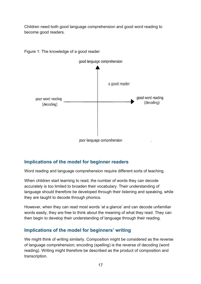Children need both good language comprehension and good word reading to become good readers.



Figure 1: The knowledge of a good reader

# **Implications of the model for beginner readers**

Word reading and language comprehension require different sorts of teaching.

When children start learning to read, the number of words they can decode accurately is too limited to broaden their vocabulary. Their understanding of language should therefore be developed through their listening and speaking, while they are taught to decode through phonics.

However, when they can read most words 'at a glance' and can decode unfamiliar words easily, they are free to think about the meaning of what they read. They can then begin to develop their understanding of language through their reading.

#### **Implications of the model for beginners' writing**

We might think of writing similarly. Composition might be considered as the reverse of language comprehension; encoding (spelling) is the reverse of decoding (word reading). Writing might therefore be described as the product of composition and transcription.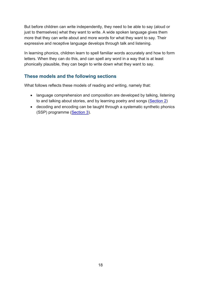But before children can write independently, they need to be able to say (aloud or just to themselves) what they want to write. A wide spoken language gives them more that they can write about and more words for what they want to say. Their expressive and receptive language develops through talk and listening.

In learning phonics, children learn to spell familiar words accurately and how to form letters. When they can do this, and can spell any word in a way that is at least phonically plausible, they can begin to write down what they want to say.

## **These models and the following sections**

What follows reflects these models of reading and writing, namely that:

- language comprehension and composition are developed by talking, listening to and talking about stories, and by learning poetry and songs [\(Section 2\)](#page-19-0)
- decoding and encoding can be taught through a systematic synthetic phonics (SSP) programme [\(Section 3\)](#page-38-0).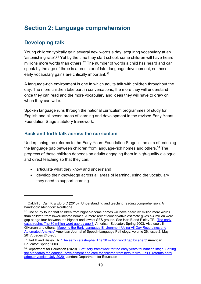# <span id="page-19-0"></span>**Section 2: Language comprehension**

# <span id="page-19-1"></span>**Developing talk**

Young children typically gain several new words a day, acquiring vocabulary at an 'astonishing rate'.<sup>[31](#page-19-2)</sup> Yet by the time they start school, some children will have heard millions more words than others. [32](#page-19-3) The number of words a child has heard and can speak by the age of three is a predictor of later language development, so these early vocabulary gains are critically important.<sup>[33](#page-19-4)</sup>

A language-rich environment is one in which adults talk with children throughout the day. The more children take part in conversations, the more they will understand once they can read and the more vocabulary and ideas they will have to draw on when they can write.

Spoken language runs through the national curriculum programmes of study for English and all seven areas of learning and development in the revised Early Years Foundation Stage statutory framework.

# **Back and forth talk across the curriculum**

Underpinning the reforms to the Early Years Foundation Stage is the aim of reducing the language gap between children from language-rich homes and others.<sup>[34](#page-19-5)</sup> The progress of these children depends on adults engaging them in high-quality dialogue and direct teaching so that they can:

- articulate what they know and understand
- develop their knowledge across all areas of learning, using the vocabulary they need to support learning.

<span id="page-19-2"></span><sup>31</sup> Oakhill J, Cain K & Elbro C (2015). 'Understanding and teaching reading comprehension. A handbook' Abingdon: Routledge.

<span id="page-19-3"></span> $32$  One study found that children from higher-income homes will have heard 32 million more words than children from lower-income homes. A more recent conservative estimate gives a 4 million word gap at age four between the highest and lowest SES groups. See Hart B and Risley TR. ['The early](https://www.aft.org/ae/spring2003/hart_risley)  [catastrophe: The 30 million word gap by age 3'](https://www.aft.org/ae/spring2003/hart_risley) American Educator: Spring 2003. Also see Jill Gikerson and others. ['Mapping the Early Language Environment Using All-Day](https://pubs.asha.org/doi/10.1044/2016_AJSLP-15-0169) Recordings and [Automated Analysis'](https://pubs.asha.org/doi/10.1044/2016_AJSLP-15-0169) American Journal of Speech-Language Pathology: volume 26, issue 2, May 2017, pages 248-265

<span id="page-19-4"></span><sup>&</sup>lt;sup>33</sup> Hart B and Risley TR. ['The early catastrophe: The 30 million word gap by age 3'](https://www.aft.org/ae/spring2003/hart_risley) American Educator: Spring 2003

<span id="page-19-5"></span><sup>&</sup>lt;sup>34</sup> Department for Education (2020). 'Statutory framework for the early years foundation stage. Setting [the standards for learning, development and care for children from birth to five. EYFS reforms early](https://www.gov.uk/government/publications/early-adopter-schools-eyfs-framework)  [adopter version. July 2020'](https://www.gov.uk/government/publications/early-adopter-schools-eyfs-framework) London: Department for Education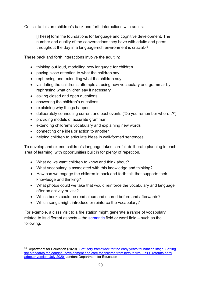Critical to this are children's back and forth interactions with adults:

[These] form the foundations for language and cognitive development. The number and quality of the conversations they have with adults and peers throughout the day in a language-rich environment is crucial.<sup>[35](#page-20-0)</sup>

These back and forth interactions involve the adult in:

- thinking out loud, modelling new language for children
- paying close attention to what the children say
- rephrasing and extending what the children say
- validating the children's attempts at using new vocabulary and grammar by rephrasing what children say if necessary
- asking closed and open questions
- answering the children's questions
- explaining why things happen
- deliberately connecting current and past events ('Do you remember when…?')
- providing models of accurate grammar
- extending children's vocabulary and explaining new words
- connecting one idea or action to another
- helping children to articulate ideas in well-formed sentences.

To develop and extend children's language takes careful, deliberate planning in each area of learning, with opportunities built in for plenty of repetition.

- What do we want children to know and think about?
- What vocabulary is associated with this knowledge and thinking?
- How can we engage the children in back and forth talk that supports their knowledge and thinking?
- What photos could we take that would reinforce the vocabulary and language after an activity or visit?
- Which books could be read aloud and shared before and afterwards?
- Which songs might introduce or reinforce the vocabulary?

For example, a class visit to a fire station might generate a range of vocabulary related to its different aspects – the [semantic](#page-110-0) field or word field – such as the following.

<span id="page-20-0"></span><sup>&</sup>lt;sup>35</sup> Department for Education (2020). ['Statutory framework for the early years foundation stage.](https://www.gov.uk/government/publications/early-adopter-schools-eyfs-framework) Setting [the standards for learning, development and care for children from birth to five. EYFS reforms early](https://www.gov.uk/government/publications/early-adopter-schools-eyfs-framework)  [adopter version. July 2020'](https://www.gov.uk/government/publications/early-adopter-schools-eyfs-framework) London: Department for Education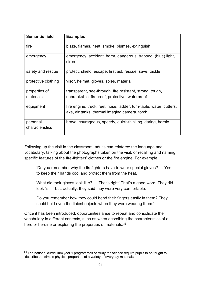| <b>Semantic field</b> | <b>Examples</b>                                                       |
|-----------------------|-----------------------------------------------------------------------|
| fire                  | blaze, flames, heat, smoke, plumes, extinguish                        |
| emergency             | emergency, accident, harm, dangerous, trapped, (blue) light,<br>siren |
| safety and rescue     | protect, shield, escape, first aid, rescue, save, tackle              |
| protective clothing   | visor, helmet, gloves, soles, material                                |
| properties of         | transparent, see-through, fire resistant, strong, tough,              |
| materials             | unbreakable, fireproof, protective, waterproof                        |
| equipment             | fire engine, truck, reel, hose, ladder, turn-table, water, cutters,   |
|                       | axe, air tanks, thermal imaging camera, torch                         |
| personal              | brave, courageous, speedy, quick-thinking, daring, heroic             |
| characteristics       |                                                                       |

Following up the visit in the classroom, adults can reinforce the language and vocabulary: talking about the photographs taken on the visit, or recalling and naming specific features of the fire-fighters' clothes or the fire engine. For example:

'Do you remember why the firefighters have to wear special gloves? … Yes, to keep their hands cool and protect them from the heat.

What did their gloves look like? ... That's right! That's a good word. They did look "stiff" but, actually, they said they were very comfortable.

Do you remember how they could bend their fingers easily in them? They could hold even the tiniest objects when they were wearing them.'

Once it has been introduced, opportunities arise to repeat and consolidate the vocabulary in different contexts, such as when describing the characteristics of a hero or heroine or exploring the properties of materials.<sup>[36](#page-21-0)</sup>

<span id="page-21-0"></span> $36$  The national curriculum year 1 programmes of study for science require pupils to be taught to 'describe the simple physical properties of a variety of everyday materials'.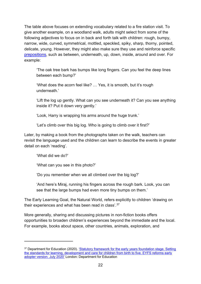The table above focuses on extending vocabulary related to a fire station visit. To give another example, on a woodland walk, adults might select from some of the following adjectives to focus on in back and forth talk with children: rough, bumpy, narrow, wide, curved, symmetrical, mottled, speckled, spiky, sharp, thorny, pointed, delicate, young. However, they might also make sure they use and reinforce specific [prepositions,](#page-108-0) such as between, underneath, up, down, inside, around and over. For example:

'The oak tree bark has bumps like long fingers. Can you feel the deep lines between each bump?'

'What does the acorn feel like? ... Yes, it is smooth, but it's rough underneath.'

'Lift the log up gently. What can you see underneath it? Can you see anything inside it? Put it down very gently.'

'Look, Harry is wrapping his arms around the huge trunk.'

'Let's climb over this big log. Who is going to climb over it first?'

Later, by making a book from the photographs taken on the walk, teachers can revisit the language used and the children can learn to describe the events in greater detail on each 'reading'.

'What did we do?'

'What can you see in this photo?'

'Do you remember when we all climbed over the big log?'

'And here's Miraj, running his fingers across the rough bark. Look, you can see that the large bumps had even more tiny bumps on them.'

The Early Learning Goal, the Natural World, refers explicitly to children 'drawing on their experiences and what has been read in class'.[37](#page-22-0)

More generally, sharing and discussing pictures in non-fiction books offers opportunities to broaden children's experiences beyond the immediate and the local. For example, books about space, other countries, animals, exploration, and

<span id="page-22-0"></span><sup>&</sup>lt;sup>37</sup> Department for Education (2020). 'Statutory framework for the early years foundation stage. Setting [the standards for learning, development and care for children from birth to five. EYFS reforms early](https://www.gov.uk/government/publications/early-adopter-schools-eyfs-framework)  [adopter version. July 2020'](https://www.gov.uk/government/publications/early-adopter-schools-eyfs-framework) London: Department for Education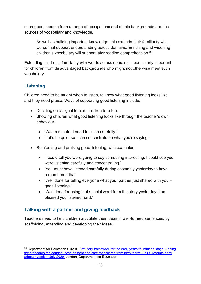courageous people from a range of occupations and ethnic backgrounds are rich sources of vocabulary and knowledge.

As well as building important knowledge, this extends their familiarity with words that support understanding across domains. Enriching and widening children's vocabulary will support later reading comprehension.<sup>[38](#page-23-0)</sup>

Extending children's familiarity with words across domains is particularly important for children from disadvantaged backgrounds who might not otherwise meet such vocabulary.

# **Listening**

Children need to be taught when to listen, to know what good listening looks like, and they need praise. Ways of supporting good listening include:

- Deciding on a signal to alert children to listen.
- Showing children what good listening looks like through the teacher's own behaviour:
	- 'Wait a minute, I need to listen carefully.'
	- 'Let's be quiet so I can concentrate on what you're saying.'
- Reinforcing and praising good listening, with examples:
	- 'I could tell you were going to say something interesting: I could see you were listening carefully and concentrating.'
	- 'You must have listened carefully during assembly yesterday to have remembered that!'
	- 'Well done for telling everyone what your partner just shared with you good listening.'
	- 'Well done for using that special word from the story yesterday. I am pleased you listened hard.'

# <span id="page-23-1"></span>**Talking with a partner and giving feedback**

Teachers need to help children articulate their ideas in well-formed sentences, by scaffolding, extending and developing their ideas.

<span id="page-23-0"></span><sup>38</sup> Department for Education (2020). 'Statutory framework for the early years foundation stage. Setting [the standards for learning, development and care for children from birth to five. EYFS reforms early](https://www.gov.uk/government/publications/early-adopter-schools-eyfs-framework)  [adopter version. July 2020'](https://www.gov.uk/government/publications/early-adopter-schools-eyfs-framework) London: Department for Education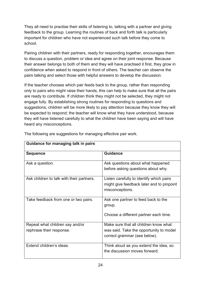They all need to practise their skills of listening to, talking with a partner and giving feedback to the group. Learning the routines of back and forth talk is particularly important for children who have not experienced such talk before they come to school.

Pairing children with their partners, ready for responding together, encourages them to discuss a question, problem or idea and agree on their joint response. Because their answer belongs to both of them and they will have practised it first, they grow in confidence when asked to respond in front of others. The teacher can observe the pairs talking and select those with helpful answers to develop the discussion.

If the teacher chooses which pair feeds back to the group, rather than responding only to pairs who might raise their hands, this can help to make sure that all the pairs are ready to contribute. If children think they might not be selected, they might not engage fully. By establishing strong routines for responding to questions and suggestions, children will be more likely to pay attention because they know they will be expected to respond; the teacher will know what they have understood, because they will have listened carefully to what the children have been saying and will have heard any misconceptions.

| Guidance for managing talk in pairs       |                                           |  |
|-------------------------------------------|-------------------------------------------|--|
| <b>Sequence</b>                           | <b>Guidance</b>                           |  |
| Ask a question.                           | Ask questions about what happened         |  |
|                                           | before asking questions about why.        |  |
| Ask children to talk with their partners. | Listen carefully to identify which pairs  |  |
|                                           | might give feedback later and to pinpoint |  |
|                                           | misconceptions.                           |  |
| Take feedback from one or two pairs.      | Ask one partner to feed back to the       |  |
|                                           | group.                                    |  |
|                                           | Choose a different partner each time.     |  |
| Repeat what children say and/or           | Make sure that all children know what     |  |
| rephrase their response.                  | was said. Take the opportunity to model   |  |
|                                           | correct grammar (see below).              |  |
| Extend children's ideas.                  | Think aloud as you extend the idea, so    |  |
|                                           | the discussion moves forward.             |  |

The following are suggestions for managing effective pair work.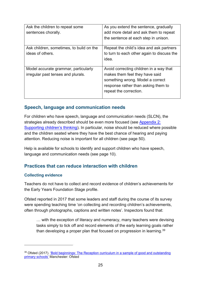| Ask the children to repeat some<br>sentences chorally.                     | As you extend the sentence, gradually<br>add more detail and ask them to repeat<br>the sentence at each step in unison.                                                        |
|----------------------------------------------------------------------------|--------------------------------------------------------------------------------------------------------------------------------------------------------------------------------|
| Ask children, sometimes, to build on the<br>ideas of others.               | Repeat the child's idea and ask partners<br>to turn to each other again to discuss the<br>idea.                                                                                |
| Model accurate grammar, particularly<br>irregular past tenses and plurals. | Avoid correcting children in a way that<br>makes them feel they have said<br>something wrong. Model a correct<br>response rather than asking them to<br>repeat the correction. |

#### **Speech, language and communication needs**

For children who have speech, language and communication needs (SLCN), the strategies already described should be even more focused (see [Appendix](#page-82-0) 2: [Supporting children's thinking\)](#page-82-0). In particular, noise should be reduced where possible and the children seated where they have the best chance of hearing and paying attention. Reducing noise is important for all children (see page 50).

Help is available for schools to identify and support children who have speech, language and communication needs (see page 10).

# **Practices that can reduce interaction with children**

#### **Collecting evidence**

Teachers do not have to collect and record evidence of children's achievements for the Early Years Foundation Stage profile.

Ofsted reported in 2017 that some leaders and staff during the course of its survey were spending teaching time 'on collecting and recording children's achievements, often through photographs, captions and written notes'. Inspectors found that:

… with the exception of literacy and numeracy, many teachers were devising tasks simply to tick off and record elements of the early learning goals rather than developing a proper plan that focused on progression in learning.<sup>39</sup>

<span id="page-25-0"></span><sup>&</sup>lt;sup>39</sup> Ofsted (2017). ['Bold beginnings: The Reception curriculum in a sample of good](https://www.gov.uk/government/publications/reception-curriculum-in-good-and-outstanding-primary-schools-bold-beginnings) and outstanding [primary schools'](https://www.gov.uk/government/publications/reception-curriculum-in-good-and-outstanding-primary-schools-bold-beginnings) Manchester: Ofsted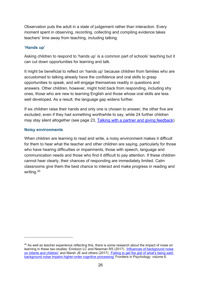Observation puts the adult in a state of judgement rather than interaction. Every moment spent in observing, recording, collecting and compiling evidence takes teachers' time away from teaching, including talking.

#### **'Hands up'**

Asking children to respond to 'hands up' is a common part of schools' teaching but it can cut down opportunities for learning and talk.

It might be beneficial to reflect on 'hands up' because children from families who are accustomed to talking already have the confidence and oral skills to grasp opportunities to speak, and will engage themselves readily in questions and answers. Other children, however, might hold back from responding, including shy ones, those who are new to learning English and those whose oral skills are less well developed. As a result, the language gap widens further.

If six children raise their hands and only one is chosen to answer, the other five are excluded, even if they had something worthwhile to say, while 24 further children may stay silent altogether (see page 23, [Talking with a partner and giving feedback\)](#page-23-1).

#### **Noisy environments**

When children are learning to read and write, a noisy environment makes it difficult for them to hear what the teacher and other children are saying, particularly for those who have hearing difficulties or impairments, those with speech, language and communication needs and those who find it difficult to pay attention. If these children cannot hear clearly, their chances of responding are immediately limited. Calm classrooms give them the best chance to interact and make progress in reading and writing. [40](#page-26-0)

<span id="page-26-0"></span><sup>&</sup>lt;sup>40</sup> As well as teacher experience reflecting this, there is some research about the impact of noise on learning in these two studies: Erickson LC and Newman RS (2017). ['Influences of background noise](https://www.ncbi.nlm.nih.gov/pmc/articles/PMC5784839/)  [on infants and children'](https://www.ncbi.nlm.nih.gov/pmc/articles/PMC5784839/) and Marsh JE and others (2017). ['Failing to get the gist of what's being said:](https://www.frontiersin.org/articles/10.3389/fpsyg.2015.00548/full)  [background noise impairs higher-order cognitive processing'](https://www.frontiersin.org/articles/10.3389/fpsyg.2015.00548/full) Frontiers in Psychology: volume 6.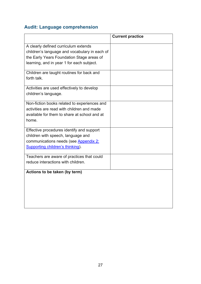# **Audit: Language comprehension**

|                                               | <b>Current practice</b> |
|-----------------------------------------------|-------------------------|
| A clearly defined curriculum extends          |                         |
| children's language and vocabulary in each of |                         |
| the Early Years Foundation Stage areas of     |                         |
| learning, and in year 1 for each subject.     |                         |
|                                               |                         |
| Children are taught routines for back and     |                         |
| forth talk.                                   |                         |
|                                               |                         |
| Activities are used effectively to develop    |                         |
| children's language.                          |                         |
| Non-fiction books related to experiences and  |                         |
| activities are read with children and made    |                         |
| available for them to share at school and at  |                         |
| home.                                         |                         |
|                                               |                         |
| Effective procedures identify and support     |                         |
| children with speech, language and            |                         |
| communications needs (see Appendix 2:         |                         |
| Supporting children's thinking).              |                         |
|                                               |                         |
| Teachers are aware of practices that could    |                         |
| reduce interactions with children.            |                         |
| Actions to be taken (by term)                 |                         |
|                                               |                         |
|                                               |                         |
|                                               |                         |
|                                               |                         |
|                                               |                         |
|                                               |                         |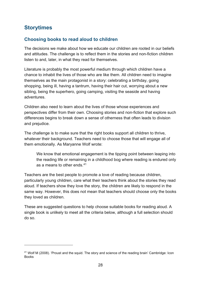# <span id="page-28-0"></span>**Storytimes**

## **Choosing books to read aloud to children**

The decisions we make about how we educate our children are rooted in our beliefs and attitudes. The challenge is to reflect them in the stories and non-fiction children listen to and, later, in what they read for themselves.

Literature is probably the most powerful medium through which children have a chance to inhabit the lives of those who are like them. All children need to imagine themselves as the main protagonist in a story: celebrating a birthday, going shopping, being ill, having a tantrum, having their hair cut, worrying about a new sibling, being the superhero, going camping, visiting the seaside and having adventures.

Children also need to learn about the lives of those whose experiences and perspectives differ from their own. Choosing stories and non-fiction that explore such differences begins to break down a sense of otherness that often leads to division and prejudice.

The challenge is to make sure that the right books support all children to thrive, whatever their background. Teachers need to choose those that will engage all of them emotionally. As Maryanne Wolf wrote:

We know that emotional engagement is the tipping point between leaping into the reading life or remaining in a childhood bog where reading is endured only as a means to other ends.[41](#page-28-1)

Teachers are the best people to promote a love of reading because children, particularly young children, care what their teachers think about the stories they read aloud. If teachers show they love the story, the children are likely to respond in the same way. However, this does not mean that teachers should choose only the books they loved as children.

These are suggested questions to help choose suitable books for reading aloud. A single book is unlikely to meet all the criteria below, although a full selection should do so.

<span id="page-28-1"></span><sup>41</sup> Wolf M (2008). 'Proust and the squid. The story and science of the reading brain' Cambridge: Icon Books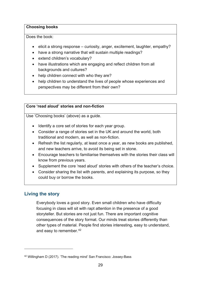#### **Choosing books**

Does the book:

- elicit a strong response curiosity, anger, excitement, laughter, empathy?
- have a strong narrative that will sustain multiple readings?
- extend children's vocabulary?
- have illustrations which are engaging and reflect children from all backgrounds and cultures?
- help children connect with who they are?
- help children to understand the lives of people whose experiences and perspectives may be different from their own?

#### **Core 'read aloud' stories and non-fiction**

Use 'Choosing books' (above) as a guide.

- Identify a core set of stories for each year group.
- Consider a range of stories set in the UK and around the world, both traditional and modern, as well as non-fiction.
- Refresh the list regularly, at least once a year, as new books are published, and new teachers arrive, to avoid its being set in stone.
- Encourage teachers to familiarise themselves with the stories their class will know from previous years.
- Supplement the core 'read aloud' stories with others of the teacher's choice.
- Consider sharing the list with parents, and explaining its purpose, so they could buy or borrow the books.

# **Living the story**

Everybody loves a good story. Even small children who have difficulty focusing in class will sit with rapt attention in the presence of a good storyteller. But stories are not just fun. There are important cognitive consequences of the story format. Our minds treat stories differently than other types of material. People find stories interesting, easy to understand, and easy to remember.[42](#page-29-0)

<span id="page-29-0"></span><sup>42</sup> Willingham D (2017). 'The reading mind' San Francisco: Jossey-Bass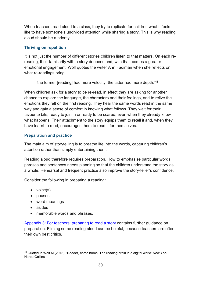When teachers read aloud to a class, they try to replicate for children what it feels like to have someone's undivided attention while sharing a story. This is why reading aloud should be a priority.

#### **Thriving on repetition**

It is not just the number of different stories children listen to that matters. On each rereading, their familiarity with a story deepens and, with that, comes a greater emotional engagement. Wolf quotes the writer Ann Fadiman when she reflects on what re-readings bring:

*'*the former [reading] had more velocity; the latter had more depth.'[43](#page-30-0)

When children ask for a story to be re-read, in effect they are asking for another chance to explore the language, the characters and their feelings, and to relive the emotions they felt on the first reading. They hear the same words read in the same way and gain a sense of comfort in knowing what follows. They wait for their favourite bits, ready to join in or ready to be scared, even when they already know what happens. Their attachment to the story equips them to retell it and, when they have learnt to read, encourages them to read it for themselves.

#### **Preparation and practice**

The main aim of storytelling is to breathe life into the words, capturing children's attention rather than simply entertaining them.

Reading aloud therefore requires preparation. How to emphasise particular words, phrases and sentences needs planning so that the children understand the story as a whole. Rehearsal and frequent practice also improve the story-teller's confidence.

Consider the following in preparing a reading:

- voice(s)
- pauses
- word meanings
- asides
- memorable words and phrases.

Appendix 3: [For teachers: preparing to read a story](#page-84-0) contains further guidance on preparation. Filming some reading aloud can be helpful, because teachers are often their own best critics.

<span id="page-30-0"></span><sup>43</sup> Quoted in Wolf M (2018). 'Reader, come home. The reading brain in a digital world' New York: **HarperCollins**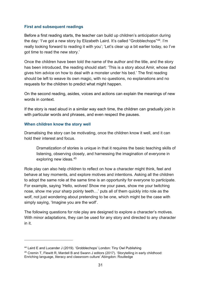#### **First and subsequent readings**

Before a first reading starts, the teacher can build up children's anticipation during the day: 'I've got a new story by Elizabeth Laird. It's called "Grobblechops"[44.](#page-31-0) I'm really looking forward to reading it with you'; 'Let's clear up a bit earlier today, so I've got time to read the new story.'

Once the children have been told the name of the author and the title, and the story has been introduced, the reading should start: 'This is a story about Amir, whose dad gives him advice on how to deal with a monster under his bed.' The first reading should be left to weave its own magic, with no questions, no explanations and no requests for the children to predict what might happen.

On the second reading, asides, voices and actions can explain the meanings of new words in context.

If the story is read aloud in a similar way each time, the children can gradually join in with particular words and phrases, and even respect the pauses.

#### **When children know the story well**

Dramatising the story can be motivating, once the children know it well, and it can hold their interest and focus.

Dramatization of stories is unique in that it requires the basic teaching skills of listening, observing closely, and harnessing the imagination of everyone in exploring new ideas.[45](#page-31-1)

Role play can also help children to reflect on how a character might think, feel and behave at key moments, and explore motives and intentions. Asking all the children to adopt the same role at the same time is an opportunity for everyone to participate. For example, saying 'Hello, wolves! Show me your paws, show me your twitching nose, show me your sharp pointy teeth…' puts all of them quickly into role as the wolf, not just wondering about pretending to be one, which might be the case with simply saying, 'Imagine you are the wolf'.

The following questions for role play are designed to explore a character's motives. With minor adaptations, they can be used for any story and directed to any character in it.

<span id="page-31-0"></span><sup>44</sup> Laird E and Lucander J (2019). 'Grobblechops' London: Tiny Owl Publishing

<span id="page-31-1"></span><sup>45</sup> Cremin T, Flewitt R, Mardell B and Swann J editors (2017). 'Storytelling in early childhood: Enriching language, literacy and classroom culture' Abingdon: Routledge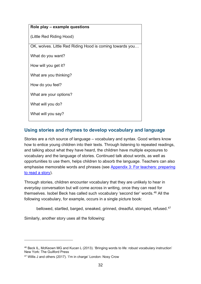| Role play - example questions                            |  |
|----------------------------------------------------------|--|
| (Little Red Riding Hood)                                 |  |
| OK, wolves. Little Red Riding Hood is coming towards you |  |
| What do you want?                                        |  |
| How will you get it?                                     |  |
| What are you thinking?                                   |  |
| How do you feel?                                         |  |
| What are your options?                                   |  |
| What will you do?                                        |  |
| What will you say?                                       |  |

# **Using stories and rhymes to develop vocabulary and language**

Stories are a rich source of language – vocabulary and syntax. Good writers know how to entice young children into their texts. Through listening to repeated readings, and talking about what they have heard, the children have multiple exposures to vocabulary and the language of stories. Continued talk about words, as well as opportunities to use them, helps children to absorb the language. Teachers can also emphasise memorable words and phrases (see [Appendix 3: For teachers: preparing](#page-84-0)  [to read a story\)](#page-84-0).

Through stories, children encounter vocabulary that they are unlikely to hear in everyday conversation but will come across in writing, once they can read for themselves. Isobel Beck has called such vocabulary 'second tier' words.[46](#page-32-0) All the following vocabulary, for example, occurs in a single picture book:

bellowed, startled, barged, sneaked, grinned, dreadful, stomped, refused.<sup>[47](#page-32-1)</sup>

Similarly, another story uses all the following:

<span id="page-32-0"></span><sup>46</sup> Beck IL, McKeown MG and Kucan L (2013). 'Bringing words to life: robust vocabulary instruction' New York: The Guilford Press

<span id="page-32-1"></span><sup>47</sup> Willis J and others (2017). 'I'm in charge' London: Nosy Crow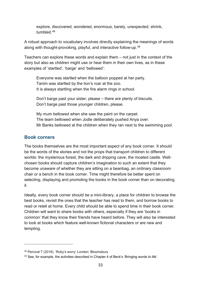explore, discovered, wondered, enormous, barely, unexpected, shrink, tumbled.<sup>[48](#page-33-0)</sup>

A robust approach to vocabulary involves directly explaining the meanings of words along with thought-provoking, playful, and interactive follow-up.<sup>49</sup>

Teachers can explore these words and explain them – not just in the context of the story but also as children might use or hear them in their own lives, as in these examples of 'startled', 'barge' and 'bellowed':

Everyone was startled when the balloon popped at her party. Tanim was startled by the lion's roar at the zoo. It is always startling when the fire alarm rings in school.

Don't barge past your sister, please – there are plenty of biscuits. Don't barge past those younger children, please.

My mum bellowed when she saw the paint on the carpet. The team bellowed when Jodie deliberately pushed Anya over. Mr Banks bellowed at the children when they ran next to the swimming pool.

#### **Book corners**

The books themselves are the most important aspect of any book corner. It should be the words of the stories and not the props that transport children to different worlds: the mysterious forest, the dark and dripping cave, the moated castle. Wellchosen books should capture children's imagination to such an extent that they become unaware of whether they are sitting on a beanbag, an ordinary classroom chair or a bench in the book corner. Time might therefore be better spent on selecting, displaying and promoting the books in the book corner than on decorating it.

Ideally, every book corner should be a mini-library, a place for children to browse the best books, revisit the ones that the teacher has read to them, and borrow books to read or retell at home. Every child should be able to spend time in their book corner. Children will want to share books with others, especially if they are 'books in common' that they know their friends have heard before. They will also be interested to look at books which feature well-known fictional characters or are new and tempting.

<span id="page-33-0"></span><sup>48</sup> Percival T (2018). 'Ruby's worry' London: Bloomsbury

<span id="page-33-1"></span><sup>49</sup> See, for example, the activities described in Chapter 4 of Beck's 'Bringing words to life'.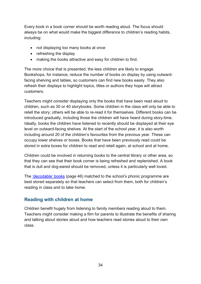Every book in a book corner should be worth reading aloud. The focus should always be on what would make the biggest difference to children's reading habits, including:

- not displaying too many books at once
- refreshing the display
- making the books attractive and easy for children to find.

The more choice that is presented, the less children are likely to engage. Bookshops, for instance, reduce the number of books on display by using outwardfacing shelving and tables, so customers can find new books easily. They also refresh their displays to highlight topics, titles or authors they hope will attract customers.

Teachers might consider displaying only the books that have been read aloud to children, such as 30 or 40 storybooks. Some children in the class will only be able to retell the story; others will be able to re-read it for themselves. Different books can be introduced gradually, including those the children will have heard during story-time. Ideally, books the children have listened to recently should be displayed at their eye level on outward-facing shelves. At the start of the school year, it is also worth including around 20 of the children's favourites from the previous year. These can occupy lower shelves or boxes. Books that have been previously read could be stored in extra boxes for children to read and retell again, at school and at home.

Children could be involved in returning books to the central library or other area, so that they can see that their book corner is being refreshed and replenished. A book that is dull and dog-eared should be removed, unless it is particularly well loved.

The ['decodable' books](#page-46-0) (page 46) matched to the school's phonic programme are best stored separately so that teachers can select from them, both for children's reading in class and to take home.

# **Reading with children at home**

Children benefit hugely from listening to family members reading aloud to them. Teachers might consider making a film for parents to illustrate the benefits of sharing and talking about stories aloud and how teachers read stories aloud to their own class.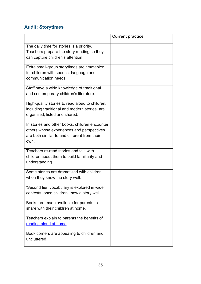# **Audit: Storytimes**

|                                                 | <b>Current practice</b> |
|-------------------------------------------------|-------------------------|
| The daily time for stories is a priority.       |                         |
| Teachers prepare the story reading so they      |                         |
| can capture children's attention.               |                         |
|                                                 |                         |
| Extra small-group storytimes are timetabled     |                         |
| for children with speech, language and          |                         |
| communication needs.                            |                         |
|                                                 |                         |
| Staff have a wide knowledge of traditional      |                         |
| and contemporary children's literature.         |                         |
| High-quality stories to read aloud to children, |                         |
| including traditional and modern stories, are   |                         |
| organised, listed and shared.                   |                         |
|                                                 |                         |
| In stories and other books, children encounter  |                         |
| others whose experiences and perspectives       |                         |
| are both similar to and different from their    |                         |
| own.                                            |                         |
| Teachers re-read stories and talk with          |                         |
| children about them to build familiarity and    |                         |
| understanding.                                  |                         |
|                                                 |                         |
| Some stories are dramatised with children       |                         |
| when they know the story well.                  |                         |
| 'Second tier' vocabulary is explored in wider   |                         |
| contexts, once children know a story well.      |                         |
|                                                 |                         |
| Books are made available for parents to         |                         |
| share with their children at home.              |                         |
| Teachers explain to parents the benefits of     |                         |
| reading aloud at home.                          |                         |
|                                                 |                         |
| Book corners are appealing to children and      |                         |
| uncluttered.                                    |                         |
|                                                 |                         |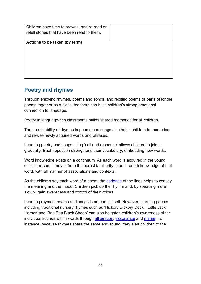| Children have time to browse, and re-read or |  |
|----------------------------------------------|--|
| retell stories that have been read to them.  |  |
|                                              |  |
| Actions to be taken (by term)                |  |
|                                              |  |
|                                              |  |
|                                              |  |
|                                              |  |
|                                              |  |
|                                              |  |
|                                              |  |

# **Poetry and rhymes**

Through enjoying rhymes, poems and songs, and reciting poems or parts of longer poems together as a class, teachers can build children's strong emotional connection to language.

Poetry in language-rich classrooms builds shared memories for all children.

The predictability of rhymes in poems and songs also helps children to memorise and re-use newly acquired words and phrases.

Learning poetry and songs using 'call and response' allows children to join in gradually. Each repetition strengthens their vocabulary, embedding new words.

Word knowledge exists on a continuum. As each word is acquired in the young child's lexicon, it moves from the barest familiarity to an in-depth knowledge of that word, with all manner of associations and contexts.

As the children say each word of a poem, the [cadence](#page-104-0) of the lines helps to convey the meaning and the mood. Children pick up the rhythm and, by speaking more slowly, gain awareness and control of their voices.

Learning rhymes, poems and songs is an end in itself. However, learning poems including traditional nursery rhymes such as 'Hickory Dickory Dock', 'Little Jack Horner' and 'Baa Baa Black Sheep' can also heighten children's awareness of the individual sounds within words through [alliteration,](#page-104-1) [assonance](#page-104-2) and [rhyme.](#page-109-0) For instance, because rhymes share the same end sound, they alert children to the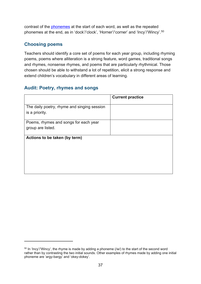contrast of the [phonemes](#page-107-0) at the start of each word, as well as the repeated phonemes at the end, as in 'dock'/'clock', 'Horner'/'corner' and 'Incy'/'Wincy'.[50](#page-37-0)

### **Choosing poems**

Teachers should identify a core set of poems for each year group, including rhyming poems, poems where alliteration is a strong feature, word games, traditional songs and rhymes, nonsense rhymes, and poems that are particularly rhythmical. Those chosen should be able to withstand a lot of repetition, elicit a strong response and extend children's vocabulary in different areas of learning.

## **Audit: Poetry, rhymes and songs**

|                                                               | <b>Current practice</b> |
|---------------------------------------------------------------|-------------------------|
| The daily poetry, rhyme and singing session<br>is a priority. |                         |
| Poems, rhymes and songs for each year<br>group are listed.    |                         |
| Actions to be taken (by term)                                 |                         |
|                                                               |                         |
|                                                               |                         |

<span id="page-37-0"></span> $50$  In 'Incy'/'Wincy', the rhyme is made by adding a phoneme (/w/) to the start of the second word rather than by contrasting the two initial sounds. Other examples of rhymes made by adding one initial phoneme are 'argy-bargy' and 'okey-dokey'.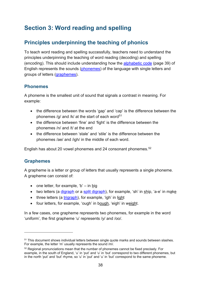# **Section 3: Word reading and spelling**

# **Principles underpinning the teaching of phonics**

To teach word reading and spelling successfully, teachers need to understand the principles underpinning the teaching of word reading (decoding) and spelling (encoding). This should include understanding how the [alphabetic code](#page-39-0) (page 39) of English represents the sounds [\(phonemes\)](#page-107-0) of the language with single letters and groups of letters [\(graphemes\)](#page-106-0).

## **Phonemes**

A phoneme is the smallest unit of sound that signals a contrast in meaning. For example:

- the difference between the words 'gap' and 'cap' is the difference between the phonemes /g/ and /k/ at the start of each word<sup>[51](#page-38-0)</sup>
- the difference between 'fine' and 'fight' is the difference between the phonemes /n/ and /t/ at the end
- the difference between 'stale' and 'stile' is the difference between the phonemes /ae/ and /igh/ in the middle of each word.

English has about 20 vowel phonemes and 24 consonant phonemes.[52](#page-38-1)

## **Graphemes**

A grapheme is a letter or group of letters that usually represents a single phoneme. A grapheme can consist of:

- one letter, for example, 'b' in big
- two letters (a [digraph](#page-105-0) or a [split digraph\)](#page-110-0), for example, 'sh' in ship, 'a-e' in make
- three letters (a [trigraph\)](#page-111-0), for example, 'igh' in light
- four letters, for example, 'ough' in bough, 'eigh' in weight.

In a few cases, one grapheme represents two phonemes, for example in the word 'uniform', the first grapheme 'u' represents /y/ and /oo/.

<span id="page-38-0"></span><sup>&</sup>lt;sup>51</sup> This document shows individual letters between single quote marks and sounds between slashes. For example, the letter 'm' usually represents the sound /m/.

<span id="page-38-1"></span><sup>&</sup>lt;sup>52</sup> Regional pronunciations mean that the number of phonemes cannot be fixed precisely. For example, in the south of England, 'u' in 'put' and 'u' in 'but' correspond to two different phonemes, but in the north 'put' and 'but' rhyme, so 'u' in 'put' and 'u' in 'but' correspond to the same phoneme.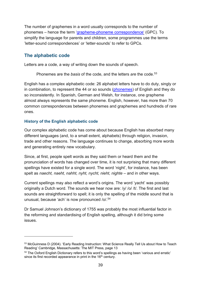The number of graphemes in a word usually corresponds to the number of phonemes – hence the term ['grapheme-phoneme correspondence'](#page-106-1) (GPC). To simplify the language for parents and children, some programmes use the terms 'letter-sound correspondences' or 'letter-sounds' to refer to GPCs.

## <span id="page-39-0"></span>**The alphabetic code**

Letters are a code, a way of writing down the sounds of speech.

Phonemes are the *basis* of the code, and the letters *are* the code.<sup>[53](#page-39-1)</sup>

English has a complex alphabetic code: 26 alphabet letters have to do duty, singly or in combination, to represent the 44 or so sounds [\(phonemes\)](#page-107-0) of English and they do so inconsistently. In Spanish, German and Welsh, for instance, one grapheme almost always represents the same phoneme. English, however, has more than 70 common correspondences between phonemes and graphemes and hundreds of rare ones.

### **History of the English alphabetic code**

Our complex alphabetic code has come about because English has absorbed many different languages (and, to a small extent, alphabets) through religion, invasion, trade and other reasons. The language continues to change, absorbing more words and generating entirely new vocabulary.

Since, at first, people spelt words as they said them or heard them and the pronunciation of words has changed over time, it is not surprising that many different spellings have existed for a single word. The word 'night', for instance, has been spelt as *naecht, naeht, nahht, nyht, nycht, nieht, nighte* – and in other ways.

Current spellings may also reflect a word's origins. The word 'yacht' was possibly originally a Dutch word. The sounds we hear now are: /y/ /o/ /t/. The first and last sounds are straightforward to spell; it is only the spelling of the middle sound that is unusual, because 'ach' is now pronounced /o/. [54](#page-39-2)

Dr Samuel Johnson's dictionary of 1755 was probably the most influential factor in the reforming and standardising of English spelling, although it did bring some issues.

<span id="page-39-1"></span><sup>53</sup> McGuinness D (2004). 'Early Reading Instruction: What Science Really Tell Us about How to Teach Reading' Cambridge, Massachusetts: The MIT Press, page 13

<span id="page-39-2"></span><sup>&</sup>lt;sup>54</sup> The Oxford English Dictionary refers to this word's spellings as having been 'various and erratic' since its first recorded appearance in print in the 16<sup>th</sup> century.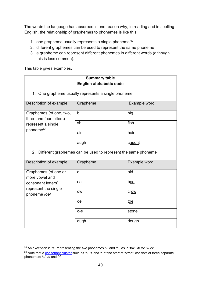The words the language has absorbed is one reason why, in reading and in spelling English, the relationship of graphemes to phonemes is like this:

- 1. one grapheme usually represents a single phoneme<sup>[55](#page-40-0)</sup>
- 2. different graphemes can be used to represent the same phoneme
- 3. a grapheme can represent different phonemes in different words (although this is less common).

This table gives examples.

| <b>Summary table</b>                                                                              |                                                     |              |  |
|---------------------------------------------------------------------------------------------------|-----------------------------------------------------|--------------|--|
| <b>English alphabetic code</b>                                                                    |                                                     |              |  |
|                                                                                                   | 1. One grapheme usually represents a single phoneme |              |  |
|                                                                                                   |                                                     |              |  |
| Description of example                                                                            | Grapheme                                            | Example word |  |
| Graphemes (of one, two,<br>three and four letters)<br>represent a single<br>phoneme <sup>56</sup> | b                                                   | big          |  |
|                                                                                                   | sh                                                  | fish         |  |
|                                                                                                   | air                                                 | hair         |  |
|                                                                                                   | augh                                                | caught       |  |
| 2. Different graphemes can be used to represent the same phoneme                                  |                                                     |              |  |
| Description of example                                                                            | Grapheme                                            | Example word |  |
| Graphemes (of one or<br>more vowel and                                                            | O                                                   | old          |  |
| consonant letters)                                                                                | oa                                                  | <u>boat</u>  |  |
| represent the single<br>phoneme /oe/                                                              | <b>OW</b>                                           | crow         |  |
|                                                                                                   | oe                                                  | toe          |  |
|                                                                                                   | $o-e$                                               | stone        |  |
|                                                                                                   | ough                                                | dough        |  |

<span id="page-40-0"></span><sup>55</sup> An exception is 'x', representing the two phonemes /k/ and /s/, as in 'fox': /f/ /o/ /k/ /s/.

<span id="page-40-1"></span><sup>&</sup>lt;sup>56</sup> Note that a **consonant cluster** such as 's' 't' and 'r' at the start of 'street' consists of three separate phonemes: /s/, /t/ and /r/.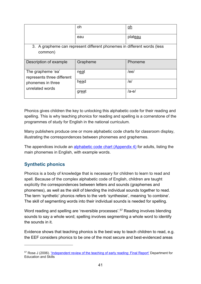|                                                                         | oh          | oh      |
|-------------------------------------------------------------------------|-------------|---------|
|                                                                         | eau         | plateau |
| 3. A grapheme can represent different phonemes in different words (less |             |         |
| common)                                                                 |             |         |
| Description of example                                                  | Grapheme    | Phoneme |
| The grapheme 'ea'<br>represents three different                         | <u>neat</u> | /ee/    |
| phonemes in three<br>unrelated words                                    | head        | /e/     |
|                                                                         | great       | /ae/    |

Phonics gives children the key to unlocking this alphabetic code for their reading and spelling. This is why teaching phonics for reading and spelling is a cornerstone of the programmes of study for English in the national curriculum.

Many publishers produce one or more alphabetic code charts for classroom display, illustrating the correspondences between phonemes and graphemes.

The appendices include an [alphabetic code chart](#page-86-0) (Appendix 4) for adults, listing the main phonemes in English, with example words.

## **Synthetic phonics**

Phonics is a body of knowledge that is necessary for children to learn to read and spell. Because of the complex alphabetic code of English, children are taught explicitly the correspondences between letters and sounds (graphemes and phonemes), as well as the skill of blending the individual sounds together to read. The term 'synthetic' phonics refers to the verb 'synthesise', meaning 'to combine'. The skill of segmenting words into their individual sounds is needed for spelling.

Word reading and spelling are 'reversible processes'.<sup>[57](#page-41-0)</sup> Reading involves blending sounds to say a whole word; spelling involves segmenting a whole word to identify the sounds in it.

Evidence shows that teaching phonics is the best way to teach children to read, e.g. the EEF considers phonics to be one of the most secure and best-evidenced areas

<span id="page-41-0"></span><sup>&</sup>lt;sup>57</sup> Rose J (2006). ['Independent review of the teaching of early reading: Final Report'](https://dera.ioe.ac.uk/5551/2/report.pdf) Department for Education and Skills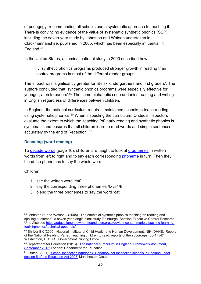of pedagogy, recommending all schools use a systematic approach to teaching it. There is convincing evidence of the value of systematic synthetic phonics (SSP), including the seven-year study by Johnston and Watson undertaken in Clackmannanshire, published in 2005, which has been especially influential in England. [58](#page-42-0)

In the United States, a seminal national study in 2000 described how:

… synthetic phonics programs produced stronger growth in reading than control programs in most of the different reader groups…

The impact was 'significantly greater for at-risk kindergartners and first graders'. The authors concluded that 'synthetic phonics programs were especially effective for younger, at-risk readers'.[59](#page-42-1) The same alphabetic code underlies reading and writing in English regardless of differences between children.

In England, the national curriculum requires maintained schools to teach reading using systematic phonics. $60$  When inspecting the curriculum, Ofsted's inspectors evaluate the extent to which the 'teaching [of] early reading and synthetic phonics is systematic and ensures that all children learn to read words and simple sentences accurately by the end of Reception'.<sup>[61](#page-42-3)</sup>

### **Decoding (word reading)**

To [decode words](#page-16-0) (page 16), children are taught to look at [graphemes](#page-106-0) in written words from left to right and to say each corresponding [phoneme](#page-107-0) in turn. Then they blend the phonemes to say the whole word.

Children:

- 1. see the written word 'cat'
- 2. say the corresponding three phonemes /k/ /a/ /t/
- 3. blend the three phonemes to say the word 'cat'.

<span id="page-42-0"></span><sup>58</sup> Johnston R. and Watson J (2005). 'The effects of synthetic phonics teaching on reading and spelling attainment: a seven year longitudinal study' Edinburgh: Scottish Executive Central Research Unit. Also see [https://educationendowmentfoundation.org.uk/evidence-summaries/teaching-learning](https://educationendowmentfoundation.org.uk/evidence-summaries/teaching-learning-toolkit/phonics/technical-appendix/)[toolkit/phonics/technical-appendix/](https://educationendowmentfoundation.org.uk/evidence-summaries/teaching-learning-toolkit/phonics/technical-appendix/)

<span id="page-42-1"></span><sup>59</sup> Shriver EK (2000). National Institute of Child Health and Human Development, NIH, DHHS. 'Report of the National Reading Panel: Teaching children to read: reports of the subgroups (00-4754)' Washington, DC: U.S. Government Printing Office

<span id="page-42-2"></span><sup>&</sup>lt;sup>60</sup> Department for Education (2013). 'The national curriculum in England. Framework document, [September 2013'](https://www.gov.uk/government/collections/national-curriculum) London: Department for Education

<span id="page-42-3"></span><sup>&</sup>lt;sup>61</sup> Ofsted (2021). 'School inspection handbook. Handbook for inspecting schools in England under [section 5 of the Education Act 2005'](https://www.gov.uk/government/publications/school-inspection-handbook-eif) Manchester: Ofsted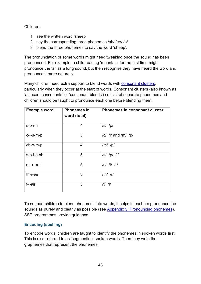### Children:

- 1. see the written word 'sheep'
- 2. say the corresponding three phonemes /sh/ /ee/ /p/
- 3. blend the three phonemes to say the word 'sheep'.

The pronunciation of some words might need tweaking once the sound has been pronounced. For example, a child reading 'mountain' for the first time might pronounce the 'ai' as a long sound, but then recognise they have heard the word and pronounce it more naturally.

Many children need extra support to blend words with [consonant clusters,](#page-105-1)

particularly when they occur at the start of words. Consonant clusters (also known as 'adjacent consonants' or 'consonant blends') consist of separate phonemes and children should be taught to pronounce each one before blending them.

| <b>Example word</b> | <b>Phonemes in</b><br>word (total) | <b>Phonemes in consonant cluster</b> |
|---------------------|------------------------------------|--------------------------------------|
| s-p-i-n             | 4                                  | $ s $ /p/                            |
| c-l-u-m-p           | 5                                  | /c/ /l/ and /m/ /p/                  |
| ch-o-m-p            | 4                                  | $/m/$ /p/                            |
| s-p-l-a-sh          | 5                                  | $ s $ $ p $ $ l $                    |
| s-t-r-ee-t          | 5                                  | $ s $ /t/ /r/                        |
| th-r-ee             | 3                                  | $/th/$ /r/                           |
| f-l-air             | 3                                  | $/f/$ /l/                            |

To support children to blend phonemes into words, it helps if teachers pronounce the sounds as purely and clearly as possible (see [Appendix 5: Pronouncing phonemes\)](#page-89-0). SSP programmes provide guidance.

## **Encoding (spelling)**

To encode words, children are taught to identify the phonemes in spoken words first. This is also referred to as 'segmenting' spoken words. Then they write the graphemes that represent the phonemes.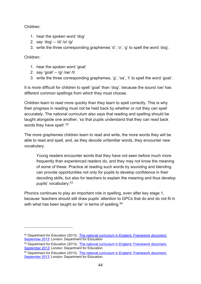Children:

- 1. hear the spoken word 'dog'
- 2. say 'dog'  $-$  /d/ /o/ /g/
- 3. write the three corresponding graphemes 'd', 'o', 'g' to spell the word 'dog'.

Children:

- 1. hear the spoken word 'goat'
- 2. say 'goat'  $-$  /g/ /oe/ /t/
- 3. write the three corresponding graphemes, 'g', 'oa', 't' to spell the word 'goat'.

It is more difficult for children to spell 'goat' than 'dog', because the sound /oe/ has different common spellings from which they must choose.

Children learn to read more quickly than they learn to spell correctly. This is why their progress in reading must not be held back by whether or not they can spell accurately. The national curriculum also says that reading and spelling should be taught alongside one another, 'so that pupils understand that they can read back words they have spelt'.<sup>[62](#page-44-0)</sup>

The more graphemes children learn to read and write, the more words they will be able to read and spell, and, as they decode unfamiliar words, they encounter new vocabulary.

Young readers encounter words that they have not seen before much more frequently than experienced readers do, and they may not know the meaning of some of these. Practice at reading such words by sounding and blending can provide opportunities not only for pupils to develop confidence in their decoding skills, but also for teachers to explain the meaning and thus develop pupils' vocabulary.[63](#page-44-1)

Phonics continues to play an important role in spelling, even after key stage 1, because 'teachers should still draw pupils' attention to GPCs that do and do not fit in with what has been taught so far' in terms of spelling.<sup>[64](#page-44-2)</sup>

<span id="page-44-0"></span> $62$  Department for Education (2013). 'The national curriculum in England. Framework document, [September 2013'](https://www.gov.uk/government/collections/national-curriculum) London: Department for Education

<span id="page-44-1"></span><sup>&</sup>lt;sup>63</sup> Department for Education (2013). 'The national curriculum in England. Framework document, [September 2013'](https://www.gov.uk/government/collections/national-curriculum) London: Department for Education

<span id="page-44-2"></span><sup>&</sup>lt;sup>64</sup> Department for Education (2013). 'The national curriculum in England. Framework document, [September 2013'](https://www.gov.uk/government/collections/national-curriculum) London: Department for Education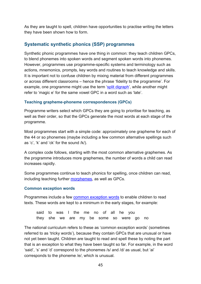As they are taught to spell, children have opportunities to practise writing the letters they have been shown how to form.

## **Systematic synthetic phonics (SSP) programmes**

Synthetic phonic programmes have one thing in common: they teach children GPCs, to blend phonemes into spoken words and segment spoken words into phonemes. However, programmes use programme-specific systems and terminology such as actions, mnemonics, prompts, key words and routines to teach knowledge and skills. It is important not to confuse children by mixing material from different programmes or across different classrooms – hence the phrase 'fidelity to the programme'. For example, one programme might use the term ['split digraph'](#page-110-0), while another might refer to 'magic e' for the same vowel GPC in a word such as 'late'.

### **Teaching grapheme-phoneme correspondences (GPCs)**

Programme writers select which GPCs they are going to prioritise for teaching, as well as their order, so that the GPCs generate the most words at each stage of the programme.

Most programmes start with a simple code: approximately one grapheme for each of the 44 or so phonemes (maybe including a few common alternative spellings such as 'c', 'k' and 'ck' for the sound /k/).

A complex code follows, starting with the most common alternative graphemes. As the programme introduces more graphemes, the number of words a child can read increases rapidly.

Some programmes continue to teach phonics for spelling, once children can read, including teaching further [morphemes,](#page-107-1) as well as GPCs.

### **Common exception words**

Programmes include a few common [exception words](#page-104-3) to enable children to read texts. These words are kept to a minimum in the early stages, for example:

said to was I the me no of all he you they she we are my be some so were go no

The national curriculum refers to these as 'common exception words' (sometimes referred to as 'tricky words'), because they contain GPCs that are unusual or have not yet been taught. Children are taught to read and spell these by noting the part that is an exception to what they have been taught so far. For example, in the word 'said', 's' and 'd' correspond to the phonemes /s/ and /d/ as usual, but 'ai' corresponds to the phoneme /e/, which is unusual.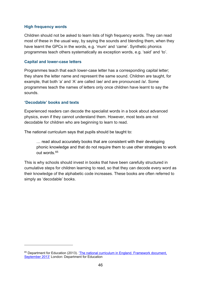#### **High frequency words**

Children should not be asked to learn lists of high frequency words. They can read most of these in the usual way, by saying the sounds and blending them, when they have learnt the GPCs in the words, e.g. 'mum' and 'came'. Synthetic phonics programmes teach others systematically as exception words, e.g. 'said' and 'to'.

#### **Capital and lower-case letters**

Programmes teach that each lower-case letter has a corresponding capital letter; they share the letter name and represent the same sound. Children are taught, for example, that both 'a' and 'A' are called /ae/ and are pronounced /a/. Some programmes teach the names of letters only once children have learnt to say the sounds.

#### <span id="page-46-1"></span>**'Decodable' books and texts**

Experienced readers can decode the specialist words in a book about advanced physics, even if they cannot understand them. However, most texts are not decodable for children who are beginning to learn to read.

The national curriculum says that pupils should be taught to:

… read aloud accurately books that are consistent with their developing phonic knowledge and that do not require them to use other strategies to work out words.[65](#page-46-0)

This is why schools should invest in books that have been carefully structured in cumulative steps for children learning to read, so that they can decode every word as their knowledge of the alphabetic code increases. These books are often referred to simply as 'decodable' books.

<span id="page-46-0"></span><sup>&</sup>lt;sup>65</sup> Department for Education (2013). 'The national curriculum in England. Framework document, [September 2013'](https://www.gov.uk/government/collections/national-curriculum) London: Department for Education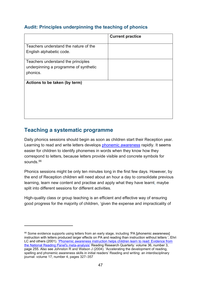## **Audit: Principles underpinning the teaching of phonics**

|                                       | <b>Current practice</b> |
|---------------------------------------|-------------------------|
| Teachers understand the nature of the |                         |
| English alphabetic code.              |                         |
| Teachers understand the principles    |                         |
| underpinning a programme of synthetic |                         |
| phonics.                              |                         |
| Actions to be taken (by term)         |                         |
|                                       |                         |
|                                       |                         |
|                                       |                         |
|                                       |                         |

# **Teaching a systematic programme**

Daily phonics sessions should begin as soon as children start their Reception year. Learning to read and write letters develops [phonemic awareness](#page-108-0) rapidly. It seems easier for children to identify phonemes in words when they know how they correspond to letters, because letters provide visible and concrete symbols for sounds.<sup>[66](#page-47-0)</sup>

Phonics sessions might be only ten minutes long in the first few days. However, by the end of Reception children will need about an hour a day to consolidate previous learning, learn new content and practise and apply what they have learnt, maybe split into different sessions for different activities.

High-quality class or group teaching is an efficient and effective way of ensuring good progress for the majority of children, 'given the expense and impracticality of

<span id="page-47-0"></span><sup>&</sup>lt;sup>66</sup> Some evidence supports using letters from an early stage, including 'PA [phonemic awareness] instruction with letters produced larger effects on PA and reading than instruction without letters ', Ehri LC and others (2001). 'Phonemic awareness instruction helps children learn to read: Evidence from [the National Reading Panel's meta-analysis'](https://www.researchgate.net/publication/230852982_Phonemic_Awareness_Instruction_Helps_Children_Learn_to_Read_Evidence_From_the_National_Reading_Panel%27s_Meta-Analysis) Reading Research Quarterly: volume 36, number 3, page 255. Also see Johnston R and Watson J (2004). 'Accelerating the development of reading, spelling and phonemic awareness skills in initial readers' Reading and writing: an interdisciplinary journal: volume 17, number 4, pages 327–357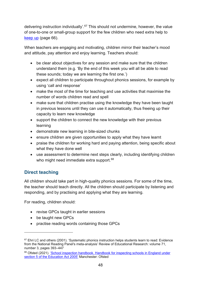delivering instruction individually'.[67](#page-48-0) This should not undermine, however, the value of one-to-one or small-group support for the few children who need extra help to [keep up](#page-66-0) (page 66).

When teachers are engaging and motivating, children mirror their teacher's mood and attitude, pay attention and enjoy learning. Teachers should:

- be clear about objectives for any session and make sure that the children understand them (e.g. 'By the end of this week you will all be able to read these sounds; today we are learning the first one.')
- expect all children to participate throughout phonics sessions, for example by using 'call and response'
- make the most of the time for teaching and use activities that maximise the number of words children read and spell
- make sure that children practise using the knowledge they have been taught in previous lessons until they can use it automatically, thus freeing up their capacity to learn new knowledge
- support the children to connect the new knowledge with their previous learning
- demonstrate new learning in bite-sized chunks
- ensure children are given opportunities to apply what they have learnt
- praise the children for working hard and paying attention, being specific about what they have done well
- use assessment to determine next steps clearly, including identifying children who might need immediate extra support.<sup>[68](#page-48-1)</sup>

# **Direct teaching**

All children should take part in high-quality phonics sessions. For some of the time, the teacher should teach directly. All the children should participate by listening and responding, and by practising and applying what they are learning.

For reading, children should:

- revise GPCs taught in earlier sessions
- be taught new GPCs
- practise reading words containing those GPCs

<span id="page-48-0"></span> $67$  Ehri LC and others (2001). 'Systematic phonics instruction helps students learn to read: Evidence from the National Reading Panel's meta-analysis' Review of Educational Research: volume 71, number 3, pages 393–447

<span id="page-48-1"></span><sup>&</sup>lt;sup>68</sup> Ofsted (2021). 'School inspection handbook. Handbook for inspecting schools in England under [section 5 of the Education Act 2005'](https://www.gov.uk/government/publications/school-inspection-handbook-eif) Manchester: Ofsted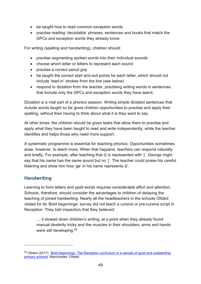- be taught how to read common exception words
- practise reading 'decodable' phrases, sentences and books that match the GPCs and exception words they already know.

For writing (spelling and handwriting), children should:

- practise segmenting spoken words into their individual sounds
- choose which letter or letters to represent each sound
- practise a correct pencil grip
- be taught the correct start and exit points for each letter, which should not include 'lead-in' strokes from the line (see below)
- respond to dictation from the teacher, practising writing words in sentences that include only the GPCs and exception words they have learnt.

Dictation is a vital part of a phonics session. Writing simple dictated sentences that include words taught so far gives children opportunities to practise and apply their spelling, without their having to think about what it is they want to say.

At other times, the children should be given tasks that allow them to practise and apply what they have been taught to read and write independently, while the teacher identifies and helps those who need more support.

A systematic programme is essential for teaching phonics. Opportunities sometimes arise, however, to teach more. When that happens, teachers can respond naturally and briefly. For example, after teaching that /j/ is represented with 'j', George might say that his name has the same sound but no 'j'. The teacher could praise his careful listening and show him how 'ge' in his name represents /j/.

## **Handwriting**

Learning to form letters and spell words requires considerable effort and attention. Schools, therefore, should consider the advantages to children of delaying the teaching of joined handwriting. Nearly all the headteachers in the schools Ofsted visited for its 'Bold beginnings' survey did not teach a cursive or pre-cursive script in Reception. They told inspectors that they believed:

… it slowed down children's writing, at a point when they already found manual dexterity tricky and the muscles in their shoulders, arms and hands were still developing.<sup>69</sup>

<span id="page-49-0"></span><sup>&</sup>lt;sup>69</sup> Ofsted (2017). 'Bold beginnings: The Reception curriculum in a sample of good and outstanding [primary schools'](https://www.gov.uk/government/publications/reception-curriculum-in-good-and-outstanding-primary-schools-bold-beginnings) Manchester: Ofsted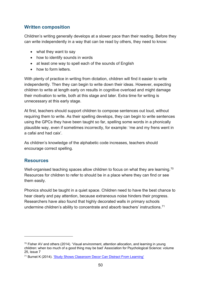## **Written composition**

Children's writing generally develops at a slower pace than their reading. Before they can write independently in a way that can be read by others, they need to know:

- what they want to say
- how to identify sounds in words
- at least one way to spell each of the sounds of English
- how to form letters

With plenty of practice in writing from dictation, children will find it easier to write independently. Then they can begin to write down their ideas. However, expecting children to write at length early on results in cognitive overload and might damage their motivation to write, both at this stage and later. Extra time for writing is unnecessary at this early stage.

At first, teachers should support children to compose sentences out loud, without requiring them to write. As their spelling develops, they can begin to write sentences using the GPCs they have been taught so far, spelling some words in a phonically plausible way, even if sometimes incorrectly, for example: 'me and my frens went in a cafai and had caix'.

As children's knowledge of the alphabetic code increases, teachers should encourage correct spelling.

## **Resources**

Well-organised teaching spaces allow children to focus on what they are learning.<sup>[70](#page-50-0)</sup> Resources for children to refer to should be in a place where they can find or see them easily.

Phonics should be taught in a quiet space. Children need to have the best chance to hear clearly and pay attention, because extraneous noise hinders their progress. Researchers have also found that highly decorated walls in primary schools undermine children's ability to concentrate and absorb teachers' instructions.<sup>[71](#page-50-1)</sup>

<span id="page-50-0"></span> $70$  Fisher AV and others (2014). 'Visual environment, attention allocation, and learning in young children: when too much of a good thing may be bad' Association for Psychological Science: volume 25, issue 7

<span id="page-50-1"></span><sup>71</sup> Burnet K (2014). ['Study Shows Classroom Decor Can Distract From Learning'](https://www.wesa.fm/education/2014-06-02/study-shows-classroom-decor-can-distract-from-learning)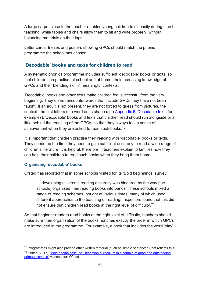A large carpet close to the teacher enables young children to sit easily during direct teaching, while tables and chairs allow them to sit and write properly, without balancing materials on their laps.

Letter cards, friezes and posters showing GPCs should match the phonic programme the school has chosen.

## **'Decodable' books and texts for children to read**

A systematic phonics programme includes sufficient 'decodable' books or texts, so that children can practise, at school and at home, their increasing knowledge of GPCs and their blending skill in meaningful contexts.

'Decodable' books and other texts make children feel successful from the very beginning. They do not encounter words that include GPCs they have not been taught. If an adult is not present, they are not forced to guess from pictures, the context, the first letters of a word or its shape (see [Appendix 6: Decodable texts](#page-91-0) for examples). 'Decodable' books and texts that children read should run alongside or a little behind the teaching of the GPCs, so that they always feel a sense of achievement when they are asked to read such books.[72](#page-51-0)

It is important that children practise their reading with 'decodable' books or texts. They speed up the time they need to gain sufficient accuracy to read a wide range of children's literature. It is helpful, therefore, if teachers explain to families how they can help their children to read such books when they bring them home.

### **Organising 'decodable' books**

Ofsted has reported that in some schools visited for its 'Bold beginnings' survey:

… developing children's reading accuracy was hindered by the way [the schools] organised their reading books into bands. These schools mixed a range of reading schemes, bought at various times, many of which used different approaches to the teaching of reading. Inspectors found that this did not ensure that children read books at the right level of difficulty.[73](#page-51-1)

So that beginner readers read books at the right level of difficulty, teachers should make sure their organisation of the books matches exactly the order in which GPCs are introduced in the programme. For example, a book that includes the word 'play'

<span id="page-51-1"></span><span id="page-51-0"></span> $72$  Programmes might also provide other written material (such as simple sentences) that reflects this. <sup>73</sup> Ofsted (2017). 'Bold beginnings: The Reception curriculum in a sample of good and outstanding [primary schools'](https://www.gov.uk/government/publications/reception-curriculum-in-good-and-outstanding-primary-schools-bold-beginnings) Manchester: Ofsted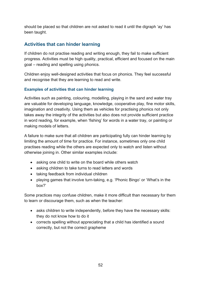should be placed so that children are not asked to read it until the digraph 'ay' has been taught.

## **Activities that can hinder learning**

If children do not practise reading and writing enough, they fail to make sufficient progress. Activities must be high quality, practical, efficient and focused on the main goal – reading and spelling using phonics.

Children enjoy well-designed activities that focus on phonics. They feel successful and recognise that they are learning to read and write.

### **Examples of activities that can hinder learning**

Activities such as painting, colouring, modelling, playing in the sand and water tray are valuable for developing language, knowledge, cooperative play, fine motor skills, imagination and creativity. Using them as vehicles for practising phonics not only takes away the integrity of the activities but also does not provide sufficient practice in word reading, for example, when 'fishing' for words in a water tray, or painting or making models of letters.

A failure to make sure that all children are participating fully can hinder learning by limiting the amount of time for practice. For instance, sometimes only one child practises reading while the others are expected only to watch and listen without otherwise joining in. Other similar examples include:

- asking one child to write on the board while others watch
- asking children to take turns to read letters and words
- taking feedback from individual children
- playing games that involve turn-taking, e.g. 'Phonic Bingo' or 'What's in the box?'

Some practices may confuse children, make it more difficult than necessary for them to learn or discourage them, such as when the teacher:

- asks children to write independently, before they have the necessary skills: they do not know how to do it
- corrects spelling without appreciating that a child has identified a sound correctly, but not the correct grapheme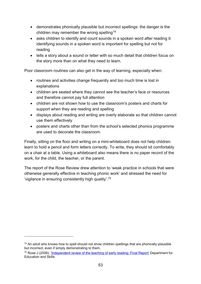- demonstrates phonically plausible but incorrect spellings: the danger is the children may remember the wrong spelling<sup>[74](#page-53-0)</sup>
- asks children to identify and count sounds in a spoken word after reading it: identifying sounds in a spoken word is important for spelling but not for reading
- tells a story about a sound or letter with so much detail that children focus on the story more than on what they need to learn.

Poor classroom routines can also get in the way of learning, especially when:

- routines and activities change frequently and too much time is lost in explanations
- children are seated where they cannot see the teacher's face or resources and therefore cannot pay full attention
- children are not shown how to use the classroom's posters and charts for support when they are reading and spelling
- displays about reading and writing are overly elaborate so that children cannot use them effectively
- posters and charts other than from the school's selected phonics programme are used to decorate the classroom.

Finally, sitting on the floor and writing on a mini-whiteboard does not help children learn to hold a pencil and form letters correctly. To write, they should sit comfortably on a chair at a table. Using a whiteboard also means there is no paper record of the work, for the child, the teacher, or the parent.

The report of the Rose Review drew attention to 'weak practice in schools that were otherwise generally effective in teaching phonic work' and stressed the need for 'vigilance in ensuring consistently high quality'.[75](#page-53-1)

<span id="page-53-0"></span> $74$  An adult who knows how to spell should not show children spellings that are phonically plausible but incorrect, even if simply demonstrating to them.

<span id="page-53-1"></span><sup>&</sup>lt;sup>75</sup> Rose J (2006). ['Independent review of the teaching of early reading: Final Report'](https://dera.ioe.ac.uk/5551/2/report.pdf) Department for Education and Skills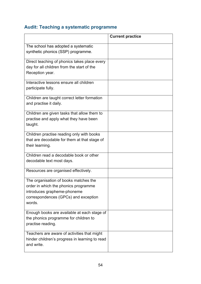# **Audit: Teaching a systematic programme**

|                                                                                                                                                                | <b>Current practice</b> |
|----------------------------------------------------------------------------------------------------------------------------------------------------------------|-------------------------|
| The school has adopted a systematic<br>synthetic phonics (SSP) programme.                                                                                      |                         |
| Direct teaching of phonics takes place every<br>day for all children from the start of the<br>Reception year.                                                  |                         |
| Interactive lessons ensure all children<br>participate fully.                                                                                                  |                         |
| Children are taught correct letter formation<br>and practise it daily.                                                                                         |                         |
| Children are given tasks that allow them to<br>practise and apply what they have been<br>taught.                                                               |                         |
| Children practise reading only with books<br>that are decodable for them at that stage of<br>their learning.                                                   |                         |
| Children read a decodable book or other<br>decodable text most days.                                                                                           |                         |
| Resources are organised effectively.                                                                                                                           |                         |
| The organisation of books matches the<br>order in which the phonics programme<br>introduces grapheme-phoneme<br>correspondences (GPCs) and exception<br>words. |                         |
| Enough books are available at each stage of<br>the phonics programme for children to<br>practise reading.                                                      |                         |
| Teachers are aware of activities that might<br>hinder children's progress in learning to read<br>and write.                                                    |                         |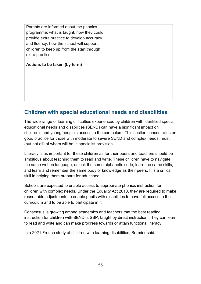| Parents are informed about the phonics     |  |
|--------------------------------------------|--|
| programme: what is taught; how they could  |  |
| provide extra practice to develop accuracy |  |
| and fluency; how the school will support   |  |
| children to keep up from the start through |  |
| extra practice.                            |  |
|                                            |  |
|                                            |  |
| Actions to be taken (by term)              |  |
|                                            |  |
|                                            |  |
|                                            |  |
|                                            |  |
|                                            |  |

# <span id="page-55-0"></span>**Children with special educational needs and disabilities**

The wide range of learning difficulties experienced by children with identified special educational needs and disabilities (SEND) can have a significant impact on children's and young people's access to the curriculum. This section concentrates on good practice for those with moderate to severe SEND and complex needs, most (but not all) of whom will be in specialist provision.

Literacy is as important for these children as for their peers and teachers should be ambitious about teaching them to read and write. These children have to navigate the same written language, unlock the same alphabetic code, learn the same skills, and learn and remember the same body of knowledge as their peers. It is a critical skill in helping them prepare for adulthood.

Schools are expected to enable access to appropriate phonics instruction for children with complex needs. Under the Equality Act 2010, they are required to make reasonable adjustments to enable pupils with disabilities to have full access to the curriculum and to be able to participate in it.

Consensus is growing among academics and teachers that the best reading instruction for children with SEND is SSP, taught by direct instruction. They can learn to read and write and can make progress towards or attain functional literacy.

In a 2021 French study of children with learning disabilities, Sermier said: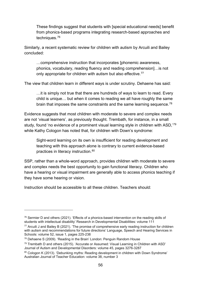These findings suggest that students with [special educational needs] benefit from phonics-based programs integrating research-based approaches and techniques.[76](#page-56-0)

Similarly, a recent systematic review for children with autism by Arcuili and Bailey concluded:

…comprehensive instruction that incorporates [phonemic awareness, phonics, vocabulary, reading fluency and reading comprehension]…is not only appropriate for children with autism but also effective.<sup>[77](#page-56-1)</sup>

The view that children learn in different ways is under scrutiny. Dehaene has said:

…it is simply not true that there are hundreds of ways to learn to read. Every child is unique… but when it comes to reading we all have roughly the same brain that imposes the same constraints and the same learning sequence.<sup>[78](#page-56-2)</sup>

Evidence suggests that most children with moderate to severe and complex needs are not 'visual learners', as previously thought. Trembath, for instance, in a small study, found 'no evidence of a prominent visual learning style in children with ASD.<sup>'[79](#page-56-3)</sup> while Kathy Cologon has noted that, for children with Down's syndrome:

Sight-word learning on its own is insufficient for reading development and teaching with this approach alone is contrary to current evidence-based practices in literacy instruction. [80](#page-56-4)

SSP, rather than a whole-word approach, provides children with moderate to severe and complex needs the best opportunity to gain functional literacy. Children who have a hearing or visual impairment are generally able to access phonics teaching if they have some hearing or vision.

Instruction should be accessible to all these children. Teachers should:

<span id="page-56-0"></span> $76$  Sermier D and others (2021). 'Effects of a phonics-based intervention on the reading skills of students with intellectual disability' Research in Developmental Disabilities: volume 111

<span id="page-56-1"></span> $77$  Arcuili J and Bailey B (2021). 'The promise of comprehensive early reading instruction for children with autism and recommendations for future directions' Language, Speech and Hearing Services in Schools: volume 52, issue 1, pages 225-238

<span id="page-56-2"></span><sup>78</sup> Dehaene S (2009). 'Reading in the Brain' London: Penguin Random House

<span id="page-56-3"></span> $79$  Trembath D and others (2015). 'Accurate or Assumed: Visual Learning in Children with ASD' Journal of Autism and Developmental Disorders: volume 45, pages 3276-3287

<span id="page-56-4"></span><sup>80</sup> Cologon K (2013). 'Debunking myths: Reading development in children with Down Syndrome' Australian Journal of Teacher Education: volume 38, number 3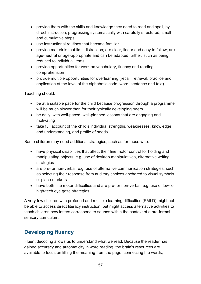- provide them with the skills and knowledge they need to read and spell, by direct instruction, progressing systematically with carefully structured, small and cumulative steps
- use instructional routines that become familiar
- provide materials that limit distraction; are clear, linear and easy to follow; are age-neutral or age-appropriate and can be adapted further, such as being reduced to individual items
- provide opportunities for work on vocabulary, fluency and reading comprehension
- provide multiple opportunities for overlearning (recall, retrieval, practice and application at the level of the alphabetic code, word, sentence and text).

Teaching should:

- be at a suitable pace for the child because progression through a programme will be much slower than for their typically developing peers
- be daily, with well-paced, well-planned lessons that are engaging and motivating
- take full account of the child's individual strengths, weaknesses, knowledge and understanding, and profile of needs.

Some children may need additional strategies, such as for those who:

- have physical disabilities that affect their fine motor control for holding and manipulating objects, e.g. use of desktop manipulatives, alternative writing strategies
- are pre- or non-verbal, e.g. use of alternative communication strategies, such as selecting their response from auditory choices anchored to visual symbols or place-markers
- have both fine motor difficulties and are pre- or non-verbal, e.g. use of low- or high-tech eye gaze strategies.

A very few children with profound and multiple learning difficulties (PMLD) might not be able to access direct literacy instruction, but might access alternative activities to teach children how letters correspond to sounds within the context of a pre-formal sensory curriculum.

# **Developing fluency**

Fluent decoding allows us to understand what we read. Because the reader has gained accuracy and automaticity in word reading, the brain's resources are available to focus on lifting the meaning from the page: connecting the words,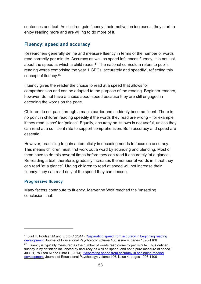sentences and text. As children gain fluency, their motivation increases: they start to enjoy reading more and are willing to do more of it.

## **Fluency: speed and accuracy**

Researchers generally define and measure fluency in terms of the number of words read correctly per minute. Accuracy as well as speed influences fluency; it is not just about the speed at which a child reads. $81$  The national curriculum refers to pupils reading words comprising the year 1 GPCs 'accurately and speedily', reflecting this concept of fluency.[82](#page-58-1)

Fluency gives the reader the choice to read at a speed that allows for comprehension and can be adapted to the purpose of the reading. Beginner readers, however, do not have a choice about speed because they are still engaged in decoding the words on the page.

Children do not pass through a magic barrier and suddenly become fluent. There is no point in children reading speedily if the words they read are wrong – for example, if they read 'place' for 'palace'. Equally, accuracy on its own is not useful, unless they can read at a sufficient rate to support comprehension. Both accuracy and speed are essential.

However, practising to gain automaticity in decoding needs to focus on accuracy. This means children must first work out a word by sounding and blending. Most of them have to do this several times before they can read it accurately 'at a glance'. Re-reading a text, therefore, gradually increases the number of words in it that they can read 'at a glance'. Urging children to read at speed will not increase their fluency: they can read only at the speed they can decode.

### **Progressive fluency**

Many factors contribute to fluency. Maryanne Wolf reached the 'unsettling conclusion' that:

<span id="page-58-0"></span><sup>&</sup>lt;sup>81</sup> Juul H, Poulsen M and Elbro C (2014). 'Separating speed from accuracy in beginning reading [development'](https://psycnet.apa.org/doiLanding?doi=10.1037%2Fa0037100) Journal of Educational Psychology: volume 106, issue 4, pages 1096-1106

<span id="page-58-1"></span><sup>&</sup>lt;sup>82</sup> 'Fluency is typically measured as the number of words read correctly per minute. Thus defined, fluency is by definition influenced by accuracy as well as speed, and not a pure measure of speed.' Juul H, Poulsen M and Elbro C (2014). ['Separating speed from accuracy in beginning reading](https://psycnet.apa.org/doiLanding?doi=10.1037%2Fa0037100)  [development'](https://psycnet.apa.org/doiLanding?doi=10.1037%2Fa0037100) Journal of Educational Psychology: volume 106, issue 4, pages 1096-1106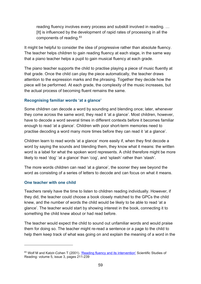reading fluency involves every process and subskill involved in reading. … [It] is influenced by the development of rapid rates of processing in all the components of reading. 83

It might be helpful to consider the idea of progressive rather than absolute fluency. The teacher helps children to gain reading fluency at each stage, in the same way that a piano teacher helps a pupil to gain musical fluency at each grade.

The piano teacher supports the child to practise playing a piece of music fluently at that grade. Once the child can play the piece automatically, the teacher draws attention to the expression marks and the phrasing. Together they decide how the piece will be performed. At each grade, the complexity of the music increases, but the actual process of becoming fluent remains the same.

### **Recognising familiar words 'at a glance'**

Some children can decode a word by sounding and blending once; later, whenever they come across the same word, they read it 'at a glance'. Most children, however, have to decode a word several times in different contexts before it becomes familiar enough to read 'at a glance'. Children with poor short-term memories need to practise decoding a word many more times before they can read it 'at a glance'.

Children learn to read words 'at a glance' more easily if, when they first decode a word by saying the sounds and blending them, they know what it means: the written word is a label for what the spoken word represents. A child therefore might be more likely to read 'dog' 'at a glance' than 'cog', and 'splash' rather than 'stash'.

The more words children can read 'at a glance', the sooner they see beyond the word as consisting of a series of letters to decode and can focus on what it means.

### **One teacher with one child**

Teachers rarely have the time to listen to children reading individually. However, if they did, the teacher could choose a book closely matched to the GPCs the child knew, and the number of words the child would be likely to be able to read 'at a glance'. The teacher would start by showing interest in the book, connecting it to something the child knew about or had read before.

The teacher would expect the child to sound out unfamiliar words and would praise them for doing so. The teacher might re-read a sentence or a page to the child to help them keep track of what was going on and explain the meaning of a word in the

<span id="page-59-0"></span><sup>83</sup> Wolf M and Katzir-Cohen T (2001). ['Reading fluency and its intervention'](https://www.tandfonline.com/doi/abs/10.1207/S1532799XSSR0503_2) Scientific Studies of Reading: volume 5, issue 3, pages 211-239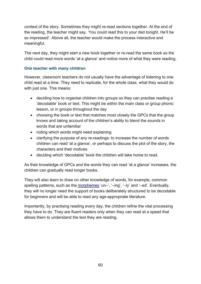context of the story. Sometimes they might re-read sections together. At the end of the reading, the teacher might say, 'You could read this to your dad tonight. He'll be so impressed'. Above all, the teacher would make the process interactive and meaningful.

The next day, they might start a new book together or re-read the same book so the child could read more words 'at a glance' and notice more of what they were reading.

### **One teacher with many children**

However, classroom teachers do not usually have the advantage of listening to one child read at a time. They need to replicate, for the whole class, what they would do with just one. This means:

- deciding how to organise children into groups so they can practise reading a 'decodable' book or text. This might be within the main class or group phonic lesson, or in groups throughout the day
- choosing the book or text that matches most closely the GPCs that the group knows and taking account of the children's ability to blend the sounds in words that are unfamiliar
- noting which words might need explaining
- clarifying the purpose of any re-readings: to increase the number of words children can read 'at a glance', or perhaps to discuss the plot of the story, the characters and their motives
- deciding which 'decodable' book the children will take home to read.

As their knowledge of GPCs and the words they can read 'at a glance' increases, the children can gradually read longer books.

They will also learn to draw on other knowledge of words, for example, common spelling patterns, such as the [morphemes](#page-107-1) 'un–', '–ing', '–ly' and '–ed'. Eventually, they will no longer need the support of books deliberately structured to be decodable for beginners and will be able to read any age-appropriate literature.

Importantly, by practising reading every day, the children refine the vital processing they have to do. They are fluent readers only when they can read at a speed that allows them to understand the text they are reading.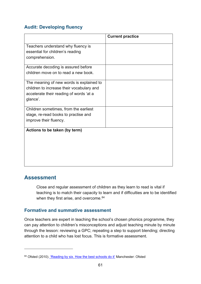## **Audit: Developing fluency**

|                                           | <b>Current practice</b> |
|-------------------------------------------|-------------------------|
| Teachers understand why fluency is        |                         |
| essential for children's reading          |                         |
| comprehension.                            |                         |
| Accurate decoding is assured before       |                         |
| children move on to read a new book.      |                         |
|                                           |                         |
| The meaning of new words is explained to  |                         |
| children to increase their vocabulary and |                         |
| accelerate their reading of words 'at a   |                         |
| glance'.                                  |                         |
| Children sometimes, from the earliest     |                         |
| stage, re-read books to practise and      |                         |
| improve their fluency.                    |                         |
| Actions to be taken (by term)             |                         |
|                                           |                         |
|                                           |                         |
|                                           |                         |
|                                           |                         |
|                                           |                         |
|                                           |                         |

# <span id="page-61-1"></span>**Assessment**

Close and regular assessment of children as they learn to read is vital if teaching is to match their capacity to learn and if difficulties are to be identified when they first arise, and overcome. <sup>[84](#page-61-0)</sup>

## **Formative and summative assessment**

Once teachers are expert in teaching the school's chosen phonics programme, they can pay attention to children's misconceptions and adjust teaching minute by minute through the lesson: reviewing a GPC; repeating a step to support blending; directing attention to a child who has lost focus. This is formative assessment.

<span id="page-61-0"></span><sup>84</sup> Ofsted (2010). ['Reading by six. How the best schools do it'](https://www.gov.uk/government/publications/reading-by-six-how-the-best-schools-do-it) Manchester: Ofsted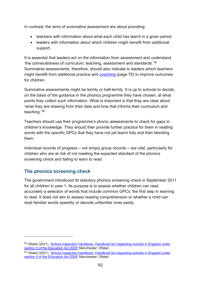In contrast, the aims of summative assessment are about providing:

- teachers with information about what each child has learnt in a given period
- leaders with information about which children might benefit from additional support.

It is essential that leaders act on the information from assessment and understand 'the connectedness of curriculum, teaching, assessment and standards'.[85](#page-62-0) Summative assessments, therefore, should also indicate to leaders which teachers might benefit from additional practice and [coaching](#page-76-0) (page 76) to improve outcomes for children.

Summative assessments might be termly or half-termly. It is up to schools to decide, on the basis of the guidance in the phonics programme they have chosen, at what points they collect such information. What is important is that they are clear about 'what they are drawing from their data and how that informs their curriculum and teaching'.[86](#page-62-1)

Teachers should use their programme's phonic assessments to check for gaps in children's knowledge. They should then provide further practice for them in reading words with the specific GPCs that they have not yet learnt fully and then blending them.

Individual records of progress – not simply group records – are vital, particularly for children who are at risk of not meeting the expected standard of the phonics screening check and failing to learn to read.

## **The phonics screening check**

The government introduced its statutory phonics screening check in September 2011 for all children in year 1. Its purpose is to assess whether children can read accurately a selection of words that include common GPCs: the first step in learning to read. It does not aim to assess reading comprehension or whether a child can read familiar words speedily or decode unfamiliar ones easily.

<span id="page-62-0"></span><sup>85</sup> Ofsted (2021). 'School inspection handbook. Handbook for inspecting schools in England under [section 5 of the Education Act 2005'](https://www.gov.uk/government/publications/school-inspection-handbook-eif) Manchester: Ofsted

<span id="page-62-1"></span><sup>86</sup> Ofsted (2021). 'School inspection handbook. Handbook for inspecting schools in England under [section 5 of the Education Act 2005'](https://www.gov.uk/government/publications/school-inspection-handbook-eif) Manchester: Ofsted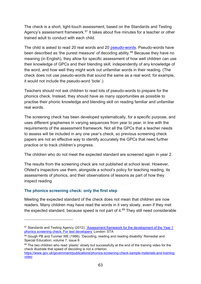The check is a short, light-touch assessment, based on the Standards and Testing Agency's assessment framework.<sup>[87](#page-63-0)</sup> It takes about five minutes for a teacher or other trained adult to conduct with each child.

The child is asked to read 20 real words and 20 [pseudo-words.](#page-109-1) Pseudo-words have been described as 'the purest measure' of decoding ability.<sup>[88](#page-63-1)</sup> Because they have no meaning (in English), they allow for specific assessment of how well children can use their knowledge of GPCs and their blending skill, independently of any knowledge of the word, and how well they might work out unfamiliar words in their reading. (The check does not use pseudo-words that sound the same as a real word; for example, it would not include the pseudo-word 'bote'.)

Teachers should not ask children to read lots of pseudo-words to prepare for the phonics check. Instead, they should have as many opportunities as possible to practise their phonic knowledge and blending skill on reading familiar and unfamiliar real words.

The screening check has been developed systematically, for a specific purpose, and uses different graphemes in varying sequences from year to year, in line with the requirements of the assessment framework. Not all the GPCs that a teacher needs to assess will be included in any one year's check, so previous screening check papers are not an effective way to identify accurately the GPCs that need further practice or to track children's progress.

The children who do not meet the expected standard are screened again in year 2.

The results from the screening check are not published at school level. However, Ofsted's inspectors use them, alongside a school's policy for teaching reading, its assessments of phonics, and their observations of lessons as part of how they inspect reading.

### **The phonics screening check: only the first step**

Meeting the expected standard of the check does not mean that children are now readers. Many children may have read the words in it very slowly, even if they met the expected standard, because speed is not part of it.<sup>[89](#page-63-2)</sup> They still need considerable

<span id="page-63-0"></span><sup>87</sup> Standards and Testing Agency (2012). 'Assessment framework for the development of the Year 1 [phonics screening check. For test developers'](https://www.gov.uk/government/publications/assessment-framework-for-the-development-of-the-year-1-phonics-screening-check) London: STA

<span id="page-63-1"></span><sup>88</sup> Gough PB and Tunmer WE (1986). 'Decoding, reading and reading disability' Remedial and Special Education: volume 7, issue 6

<span id="page-63-2"></span><sup>89</sup> The two children who read 'plastic' slowly but successfully at the end of the training video for the check illustrate that speed of decoding is not a criterion.

[https://www.gov.uk/government/publications/phonics-screening-check-sample-materials-and-training](https://www.gov.uk/government/publications/phonics-screening-check-sample-materials-and-training-video)[video](https://www.gov.uk/government/publications/phonics-screening-check-sample-materials-and-training-video)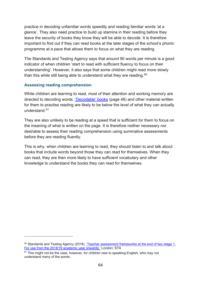practice in decoding unfamiliar words speedily and reading familiar words 'at a glance'. They also need practice to build up stamina in their reading before they leave the security of books they know they will be able to decode. It is therefore important to find out if they can read books at the later stages of the school's phonic programme at a pace that allows them to focus on what they are reading.

The Standards and Testing Agency says that around 90 words per minute is a good indicator of when children 'start to read with sufficient fluency to focus on their understanding'. However, it also says that some children might read more slowly than this while still being able to understand what they are reading.  $90$ 

### **Assessing reading comprehension**

While children are learning to read, most of their attention and working memory are directed to decoding words. ['Decodable' books](#page-46-1) (page 46) and other material written for them to practise reading are likely to be below the level of what they can actually understand.[91](#page-64-1)

They are also unlikely to be reading at a speed that is sufficient for them to focus on the meaning of what is written on the page. It is therefore neither necessary nor desirable to assess their reading comprehension using summative assessments before they are reading fluently.

This is why, when children are learning to read, they should listen to and talk about books that include words beyond those they can read for themselves. When they can read, they are then more likely to have sufficient vocabulary and other knowledge to understand the books they can read for themselves.

<span id="page-64-0"></span><sup>90</sup> Standards and Testing Agency (2018). 'Teacher assessment frameworks at the end of key stage 1. [For use from the 2018/19 academic year onwards.'](https://www.gov.uk/government/publications/teacher-assessment-frameworks-at-the-end-of-key-stage-1) London: STA

<span id="page-64-1"></span> $91$  This might not be the case, however, for children new to speaking English, who may not understand many of the words.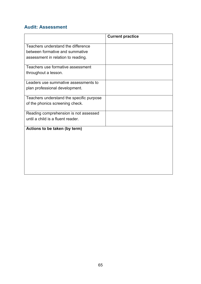## **Audit: Assessment**

|                                          | <b>Current practice</b> |
|------------------------------------------|-------------------------|
| Teachers understand the difference       |                         |
| between formative and summative          |                         |
| assessment in relation to reading.       |                         |
| Teachers use formative assessment        |                         |
| throughout a lesson.                     |                         |
| Leaders use summative assessments to     |                         |
| plan professional development.           |                         |
| Teachers understand the specific purpose |                         |
| of the phonics screening check.          |                         |
| Reading comprehension is not assessed    |                         |
| until a child is a fluent reader.        |                         |
| Actions to be taken (by term)            |                         |
|                                          |                         |
|                                          |                         |
|                                          |                         |
|                                          |                         |
|                                          |                         |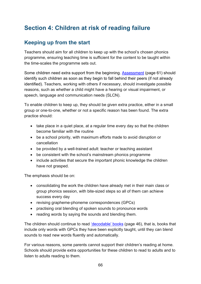# **Section 4: Children at risk of reading failure**

# <span id="page-66-0"></span>**Keeping up from the start**

Teachers should aim for all children to keep up with the school's chosen phonics programme, ensuring teaching time is sufficient for the content to be taught within the time-scales the programme sets out.

Some children need extra support from the beginning. [Assessment](#page-61-1) (page 61) should identify such children as soon as they begin to fall behind their peers (if not already identified). Teachers, working with others if necessary, should investigate possible reasons, such as whether a child might have a hearing or visual impairment, or speech, language and communication needs (SLCN).

To enable children to keep up, they should be given extra practice, either in a small group or one-to-one, whether or not a specific reason has been found. The extra practice should:

- take place in a quiet place, at a regular time every day so that the children become familiar with the routine
- be a school priority, with maximum efforts made to avoid disruption or cancellation
- be provided by a well-trained adult: teacher or teaching assistant
- be consistent with the school's mainstream phonics programme
- include activities that secure the important phonic knowledge the children have not grasped.

The emphasis should be on:

- consolidating the work the children have already met in their main class or group phonics session, with bite-sized steps so all of them can achieve success every day
- revising grapheme-phoneme correspondences (GPCs)
- practising oral blending of spoken sounds to pronounce words
- reading words by saying the sounds and blending them.

The children should continue to read ['decodable' books](#page-46-1) (page 46), that is, books that include only words with GPCs they have been explicitly taught, until they can blend sounds to read new words fluently and automatically.

For various reasons, some parents cannot support their children's reading at home. Schools should provide extra opportunities for these children to read to adults and to listen to adults reading to them.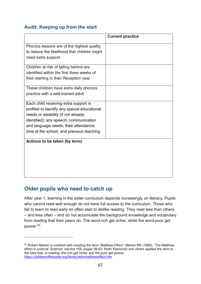## **Audit: Keeping up from the start**

|                                              | <b>Current practice</b> |
|----------------------------------------------|-------------------------|
| Phonics lessons are of the highest quality   |                         |
| to reduce the likelihood that children might |                         |
| need extra support.                          |                         |
| Children at risk of falling behind are       |                         |
| identified within the first three weeks of   |                         |
| their starting in their Reception year.      |                         |
| These children have extra daily phonics      |                         |
| practice with a well-trained adult.          |                         |
| Each child receiving extra support is        |                         |
| profiled to identify any special educational |                         |
| needs or disability (if not already          |                         |
| identified); any speech, communication       |                         |
| and language needs; their attendance;        |                         |
| time at the school, and previous teaching.   |                         |
| Actions to be taken (by term)                |                         |
|                                              |                         |
|                                              |                         |
|                                              |                         |
|                                              |                         |
|                                              |                         |
|                                              |                         |

# **Older pupils who need to catch up**

After year 1, learning in the wider curriculum depends increasingly on literacy. Pupils who cannot read well enough do not have full access to the curriculum. Those who fail to learn to read early on often start to dislike reading. They read less than others – and less often – and do not accumulate the background knowledge and vocabulary from reading that their peers do. The word-rich get richer, while the word-poor get poorer.<sup>[92](#page-67-0)</sup>

<span id="page-67-0"></span><sup>92</sup> Robert Merton is credited with creating the term 'Matthew Effect': Merton RK (1968). 'The Matthew effect in science' Science: volume 159, pages 56-63. Keith Stanovich and others applied the term to the idea that, in reading, the rich get richer and the poor get poorer. <https://childrenofthecode.org/library/refs/mattheweffect.htm>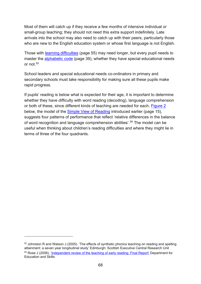Most of them will catch up if they receive a few months of intensive individual or small-group teaching; they should not need this extra support indefinitely. Late arrivals into the school may also need to catch up with their peers, particularly those who are new to the English education system or whose first language is not English.

Those with [learning difficulties](#page-55-0) (page 55) may need longer, but every pupil needs to master the [alphabetic code](#page-39-0) (page 39), whether they have special educational needs or not[.93](#page-68-0)

School leaders and special educational needs co-ordinators in primary and secondary schools must take responsibility for making sure all these pupils make rapid progress.

If pupils' reading is below what is expected for their age, it is important to determine whether they have difficulty with word reading (decoding), language comprehension or both of these, since different kinds of teaching are needed for each. [Figure 2](#page-69-0) below, the model of the [Simple View of Reading](#page-15-0) introduced earlier (page 15), suggests four patterns of performance that reflect 'relative differences in the balance of word recognition and language comprehension abilities'.<sup>[94](#page-68-1)</sup> The model can be useful when thinking about children's reading difficulties and where they might lie in terms of three of the four quadrants.

<span id="page-68-1"></span><span id="page-68-0"></span> $93$  Johnston R and Watson J (2005). 'The effects of synthetic phonics teaching on reading and spelling attainment: a seven year longitudinal study' Edinburgh: Scottish Executive Central Research Unit 94 Rose J (2006). ['Independent review of the teaching of early reading: Final Report'](https://dera.ioe.ac.uk/5551/2/report.pdf) Department for Education and Skills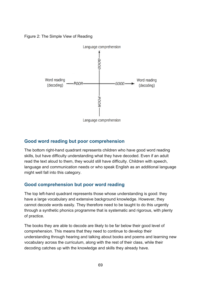<span id="page-69-0"></span>Figure 2: The Simple View of Reading



## **Good word reading but poor comprehension**

The bottom right-hand quadrant represents children who have good word reading skills, but have difficulty understanding what they have decoded. Even if an adult read the text aloud to them, they would still have difficulty. Children with speech, language and communication needs or who speak English as an additional language might well fall into this category.

## **Good comprehension but poor word reading**

The top left-hand quadrant represents those whose understanding is good: they have a large vocabulary and extensive background knowledge. However, they cannot decode words easily. They therefore need to be taught to do this urgently through a synthetic phonics programme that is systematic and rigorous, with plenty of practice.

The books they are able to decode are likely to be far below their good level of comprehension. This means that they need to continue to develop their understanding through hearing and talking about books and poems and learning new vocabulary across the curriculum, along with the rest of their class, while their decoding catches up with the knowledge and skills they already have.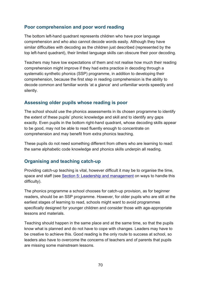## **Poor comprehension and poor word reading**

The bottom left-hand quadrant represents children who have poor language comprehension and who also cannot decode words easily. Although they have similar difficulties with decoding as the children just described (represented by the top left-hand quadrant), their limited language skills can obscure their poor decoding.

Teachers may have low expectations of them and not realise how much their reading comprehension might improve if they had extra practice in decoding through a systematic synthetic phonics (SSP) programme, in addition to developing their comprehension, because the first step in reading comprehension is the ability to decode common and familiar words 'at a glance' and unfamiliar words speedily and silently.

## **Assessing older pupils whose reading is poor**

The school should use the phonics assessments in its chosen programme to identify the extent of these pupils' phonic knowledge and skill and to identify any gaps exactly. Even pupils in the bottom right-hand quadrant, whose decoding skills appear to be good, may not be able to read fluently enough to concentrate on comprehension and may benefit from extra phonics teaching.

These pupils do not need something different from others who are learning to read: the same alphabetic code knowledge and phonics skills underpin all reading.

## **Organising and teaching catch-up**

Providing catch-up teaching is vital, however difficult it may be to organise the time, space and staff (see [Section 5: Leadership and management](#page-72-0) on ways to handle this difficulty).

The phonics programme a school chooses for catch-up provision, as for beginner readers, should be an SSP programme. However, for older pupils who are still at the earliest stages of learning to read, schools might want to avoid programmes specifically designed for younger children and consider those with age-appropriate lessons and materials.

Teaching should happen in the same place and at the same time, so that the pupils know what is planned and do not have to cope with changes. Leaders may have to be creative to achieve this. Good reading is the only route to success at school, so leaders also have to overcome the concerns of teachers and of parents that pupils are missing some mainstream lessons.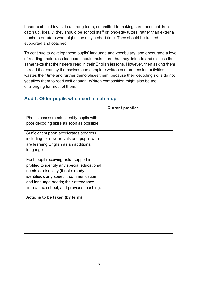Leaders should invest in a strong team, committed to making sure these children catch up. Ideally, they should be school staff or long-stay tutors, rather than external teachers or tutors who might stay only a short time. They should be trained, supported and coached.

To continue to develop these pupils' language and vocabulary, and encourage a love of reading, their class teachers should make sure that they listen to and discuss the same texts that their peers read in their English lessons. However, then asking them to read the texts by themselves and complete written comprehension activities wastes their time and further demoralises them, because their decoding skills do not yet allow them to read well enough. Written composition might also be too challenging for most of them.

|                                              | <b>Current practice</b> |
|----------------------------------------------|-------------------------|
| Phonic assessments identify pupils with      |                         |
| poor decoding skills as soon as possible.    |                         |
| Sufficient support accelerates progress,     |                         |
| including for new arrivals and pupils who    |                         |
| are learning English as an additional        |                         |
| language.                                    |                         |
| Each pupil receiving extra support is        |                         |
| profiled to identify any special educational |                         |
| needs or disability (if not already          |                         |
| identified); any speech, communication       |                         |
| and language needs; their attendance;        |                         |
| time at the school, and previous teaching.   |                         |
| Actions to be taken (by term)                |                         |
|                                              |                         |
|                                              |                         |
|                                              |                         |
|                                              |                         |
|                                              |                         |
|                                              |                         |

## **Audit: Older pupils who need to catch up**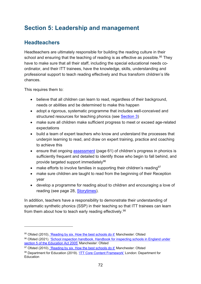# **Section 5: Leadership and management**

### **Headteachers**

Headteachers are ultimately responsible for building the reading culture in their school and ensuring that the teaching of reading is as effective as possible.<sup>[95](#page-72-0)</sup> They have to make sure that all their staff, including the special educational needs coordinator, and their ITT trainees, have the knowledge, skills, understanding and professional support to teach reading effectively and thus transform children's life chances.

This requires them to:

- believe that all children can learn to read, regardless of their background, needs or abilities and be determined to make this happen
- adopt a rigorous, systematic programme that includes well-conceived and structured resources for teaching phonics (see [Section 3\)](#page-38-0)
- make sure all children make sufficient progress to meet or exceed age-related expectations
- build a team of expert teachers who know and understand the processes that underpin learning to read, and draw on expert training, practice and coaching to achieve this
- ensure that ongoing [assessment](#page-61-0) (page 61) of children's progress in phonics is sufficiently frequent and detailed to identify those who begin to fall behind, and provide targeted support immediately<sup>[96](#page-72-1)</sup>
- make efforts to involve families in supporting their children's reading  $97$
- make sure children are taught to read from the beginning of their Reception year
- develop a programme for reading aloud to children and encouraging a love of reading (see page 28, [Storytimes\)](#page-97-0).

In addition, teachers have a responsibility to demonstrate their understanding of systematic synthetic phonics (SSP) in their teaching so that ITT trainees can learn from them about how to teach early reading effectively.<sup>[98](#page-72-3)</sup>

<span id="page-72-0"></span><sup>95</sup> Ofsted (2010). ['Reading by six. How the best schools do it'](https://www.gov.uk/government/publications/reading-by-six-how-the-best-schools-do-it) Manchester: Ofsted

<span id="page-72-1"></span><sup>96</sup> Ofsted (2021). 'School inspection handbook. Handbook for inspecting schools in England under [section 5 of the Education Act 2005'](https://www.gov.uk/government/publications/school-inspection-handbook-eif) Manchester: Ofsted

<span id="page-72-2"></span><sup>97</sup> Ofsted (2010). ['Reading by six. How the best schools do it'](https://www.gov.uk/government/publications/reading-by-six-how-the-best-schools-do-it) Manchester: Ofsted

<span id="page-72-3"></span><sup>98</sup> Department for Education (2019). ['ITT Core Content Framework'](https://www.gov.uk/government/publications/initial-teacher-training-itt-core-content-framework) London: Department for Education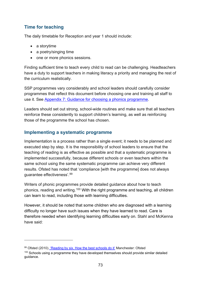### **Time for teaching**

The daily timetable for Reception and year 1 should include:

- a storytime
- a poetry/singing time
- one or more phonics sessions.

Finding sufficient time to teach every child to read can be challenging. Headteachers have a duty to support teachers in making literacy a priority and managing the rest of the curriculum realistically.

SSP programmes vary considerably and school leaders should carefully consider programmes that reflect this document before choosing one and training all staff to use it. See [Appendix 7: Guidance for choosing](#page-93-0) a phonics programme.

Leaders should set out strong, school-wide routines and make sure that all teachers reinforce these consistently to support children's learning, as well as reinforcing those of the programme the school has chosen.

### **Implementing a systematic programme**

Implementation is a process rather than a single event; it needs to be planned and executed step by step. It is the responsibility of school leaders to ensure that the teaching of reading is as effective as possible and that a systematic programme is implemented successfully, because different schools or even teachers within the same school using the same systematic programme can achieve very different results. Ofsted has noted that 'compliance [with the programme] does not always guarantee effectiveness'.[99](#page-73-0) 

Writers of phonic programmes provide detailed guidance about how to teach phonics, reading and writing.<sup>[100](#page-73-1)</sup> With the right programme and teaching, all children can learn to read, including those with learning difficulties.

However, it should be noted that some children who are diagnosed with a learning difficulty no longer have such issues when they have learned to read. Care is therefore needed when identifying learning difficulties early on. Stahl and McKenna have said:

<span id="page-73-0"></span><sup>99</sup> Ofsted (2010). ['Reading by six. How the best schools do it'](https://www.gov.uk/government/publications/reading-by-six-how-the-best-schools-do-it) Manchester: Ofsted

<span id="page-73-1"></span> $100$  Schools using a programme they have developed themselves should provide similar detailed guidance.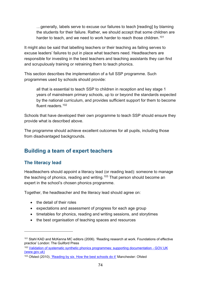…generally, labels serve to excuse our failures to teach [reading] by blaming the students for their failure. Rather, we should accept that some children are harder to teach, and we need to work harder to reach those children.<sup>[101](#page-74-0)</sup>

It might also be said that labelling teachers or their teaching as failing serves to excuse leaders' failures to put in place what teachers need. Headteachers are responsible for investing in the best teachers and teaching assistants they can find and scrupulously training or retraining them to teach phonics.

This section describes the implementation of a full SSP programme. Such programmes used by schools should provide:

all that is essential to teach SSP to children in reception and key stage 1 years of mainstream primary schools, up to or beyond the standards expected by the national curriculum, and provides sufficient support for them to become fluent readers. [102](#page-74-1)

Schools that have developed their own programme to teach SSP should ensure they provide what is described above.

The programme should achieve excellent outcomes for all pupils, including those from disadvantaged backgrounds.

## **Building a team of expert teachers**

### **The literacy lead**

Headteachers should appoint a literacy lead (or reading lead): someone to manage the teaching of phonics, reading and writing.<sup>[103](#page-74-2)</sup> That person should become an expert in the school's chosen phonics programme.

Together, the headteacher and the literacy lead should agree on:

- the detail of their roles
- expectations and assessment of progress for each age group
- timetables for phonics, reading and writing sessions, and storytimes
- the best organisation of teaching spaces and resources

<span id="page-74-1"></span><sup>102</sup> [Validation of systematic synthetic phonics programmes: supporting documentation - GOV.UK](https://www.gov.uk/government/publications/phonics-teaching-materials-core-criteria-and-self-assessment/validation-of-systematic-synthetic-phonics-programmes-supporting-documentation)  [\(www.gov.uk\)](https://www.gov.uk/government/publications/phonics-teaching-materials-core-criteria-and-self-assessment/validation-of-systematic-synthetic-phonics-programmes-supporting-documentation) 

<span id="page-74-0"></span><sup>101</sup> Stahl KAD and McKenna MC editors (2006). 'Reading research at work. Foundations of effective practice' London: The Guilford Press

<span id="page-74-2"></span><sup>103</sup> Ofsted (2010). ['Reading by six. How the best schools do it'](https://www.gov.uk/government/publications/reading-by-six-how-the-best-schools-do-it) Manchester: Ofsted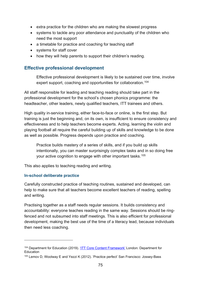- extra practice for the children who are making the slowest progress
- systems to tackle any poor attendance and punctuality of the children who need the most support
- a timetable for practice and coaching for teaching staff
- systems for staff cover
- how they will help parents to support their children's reading.

#### **Effective professional development**

Effective professional development is likely to be sustained over time, involve expert support, coaching and opportunities for collaboration.<sup>104</sup>

All staff responsible for leading and teaching reading should take part in the professional development for the school's chosen phonics programme: the headteacher, other leaders, newly qualified teachers, ITT trainees and others.

High quality in-service training, either face-to-face or online, is the first step. But training is just the beginning and, on its own, is insufficient to ensure consistency and effectiveness and to help teachers become experts. Acting, learning the violin and playing football all require the careful building up of skills and knowledge to be done as well as possible. Progress depends upon practice and coaching.

Practice builds mastery of a series of skills, and if you build up skills intentionally, you can master surprisingly complex tasks and in so doing free your active cognition to engage with other important tasks.<sup>[105](#page-75-1)</sup>

This also applies to teaching reading and writing.

#### **In-school deliberate practice**

Carefully constructed practice of teaching routines, sustained and developed, can help to make sure that all teachers become excellent teachers of reading, spelling and writing.

Practising together as a staff needs regular sessions. It builds consistency and accountability: everyone teaches reading in the same way. Sessions should be ringfenced and not subsumed into staff meetings. This is also efficient for professional development, making the best use of the time of a literacy lead, because individuals then need less coaching.

<span id="page-75-0"></span><sup>104</sup> Department for Education (2019). ['ITT Core Content Framework'](https://www.gov.uk/government/publications/initial-teacher-training-itt-core-content-framework) London: Department for Education

<span id="page-75-1"></span><sup>105</sup> Lemov D, Woolway E and Yezzi K (2012). 'Practice perfect' San Francisco: Jossey-Bass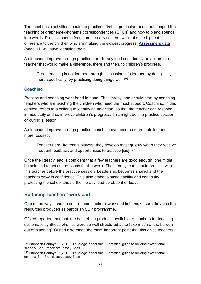The most basic activities should be practised first, in particular those that support the teaching of grapheme-phoneme correspondences (GPCs) and how to blend sounds into words. Practice should focus on the activities that will make the biggest difference to the children who are making the slowest progress. [Assessment data](#page-61-0) (page 61) will have identified them.

As teachers improve through practice, the literacy lead can identify an action for a teacher that would make a difference, there and then, to children's progress.

Great teaching is not learned through discussion. It's learned by doing – or, more specifically, by practising doing things well.<sup>106</sup>

#### **Coaching**

Practice and coaching work hand in hand. The literacy lead should start by coaching teachers who are teaching the children who need the most support. Coaching, in this context, refers to a colleague identifying an action, so that the teacher can respond immediately and so improve children's progress. This might be in a practice session or during a lesson.

As teachers improve through practice, coaching can become more detailed and more focused.

Teachers are like tennis players: they develop most quickly when they receive frequent feedback and opportunities to practice [sic].<sup>107</sup>

Once the literacy lead is confident that a few teachers are good enough, one might be selected to act as the coach for the week. The literacy lead should practise with this teacher before the practice session. Leadership becomes shared and the teachers grow in confidence. This also embeds sustainability and continuity, protecting the school should the literacy lead be absent or leave.

### **Reducing teachers' workload**

One of the ways leaders can reduce teachers' workload is to make sure they use the resources produced as part of an SSP programme.

Ofsted reported that that 'the best of the products available to teachers for teaching systematic synthetic phonics were so well structured as to take much of the burden out of planning'. Ofsted also made the more important point that this gives teachers

<span id="page-76-0"></span><sup>106</sup> Bambrick-Santoyo P (2012). 'Leverage leadership. A practical guide to building exceptional schools' San Francisco: Jossey-Bass

<span id="page-76-1"></span><sup>&</sup>lt;sup>107</sup> Bambrick-Santovo P (2012). 'Leverage leadership. A practical guide to building exceptional schools' San Francisco: Jossey-Bass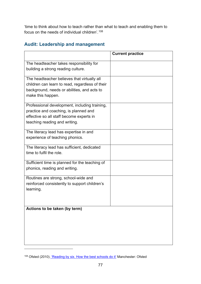'time to think about how to teach rather than what to teach and enabling them to focus on the needs of individual children'.[108](#page-77-0)

### **Audit: Leadership and management**

|                                                                                                                                                                     | <b>Current practice</b> |
|---------------------------------------------------------------------------------------------------------------------------------------------------------------------|-------------------------|
| The headteacher takes responsibility for<br>building a strong reading culture.                                                                                      |                         |
| The headteacher believes that virtually all<br>children can learn to read, regardless of their<br>background, needs or abilities, and acts to<br>make this happen.  |                         |
| Professional development, including training,<br>practice and coaching, is planned and<br>effective so all staff become experts in<br>teaching reading and writing. |                         |
| The literacy lead has expertise in and<br>experience of teaching phonics.                                                                                           |                         |
| The literacy lead has sufficient, dedicated<br>time to fulfil the role.                                                                                             |                         |
| Sufficient time is planned for the teaching of<br>phonics, reading and writing.                                                                                     |                         |
| Routines are strong, school-wide and<br>reinforced consistently to support children's<br>learning.                                                                  |                         |
| Actions to be taken (by term)                                                                                                                                       |                         |

<span id="page-77-0"></span><sup>108</sup> Ofsted (2010). ['Reading by six. How the best schools do it'](https://www.gov.uk/government/publications/reading-by-six-how-the-best-schools-do-it) Manchester: Ofsted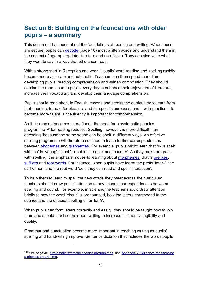# **Section 6: Building on the foundations with older pupils – a summary**

This document has been about the foundations of reading and writing. When these are secure, pupils can [decode](#page-16-0) (page 16) most written words and understand them in the context of age-appropriate literature and non-fiction. They can also write what they want to say in a way that others can read.

With a strong start in Reception and year 1, pupils' word reading and spelling rapidly become more accurate and automatic. Teachers can then spend more time developing pupils' reading comprehension and written composition. They should continue to read aloud to pupils every day to enhance their enjoyment of literature, increase their vocabulary and develop their language comprehension.

Pupils should read often, in English lessons and across the curriculum: to learn from their reading, to read for pleasure and for specific purposes, and – with practice – to become more fluent, since fluency is important for comprehension.

As their reading becomes more fluent, the need for a systematic phonics programme<sup>[109](#page-78-0)</sup> for reading reduces. Spelling, however, is more difficult than decoding, because the same sound can be spelt in different ways. An effective spelling programme will therefore continue to teach further correspondences between [phonemes](#page-107-0) and [graphemes.](#page-106-0) For example, pupils might learn that /u/ is spelt with 'ou' in 'young', 'touch', 'double', 'trouble' and 'country'. As they make progress with spelling, the emphasis moves to learning about [morphemes,](#page-107-1) that is [prefixes,](#page-108-0) [suffixes](#page-110-0) and [root words.](#page-109-0) For instance, when pupils have learnt the prefix 'inter-', the suffix '–ion' and the root word 'act', they can read and spell 'interaction'.

To help them to learn to spell the new words they meet across the curriculum, teachers should draw pupils' attention to any unusual correspondences between spelling and sound. For example, in science, the teacher should draw attention briefly to how the word 'circuit' is pronounced, how the letters correspond to the sounds and the unusual spelling of 'ui' for /i/.

When pupils can form letters correctly and easily, they should be taught how to join them and should practise their handwriting to increase its fluency, legibility and quality.

Grammar and punctuation become more important in teaching writing as pupils' spelling and handwriting improve. Sentence dictation that includes the words pupils

<span id="page-78-0"></span><sup>&</sup>lt;sup>109</sup> See page 45, [Systematic synthetic phonics programmes,](#page-45-0) and Appendix 7: Guidance for choosing [a phonics programme.](#page-93-0)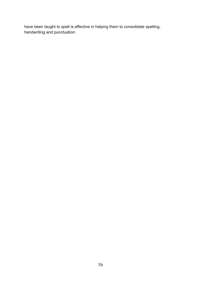have been taught to spell is effective in helping them to consolidate spelling, handwriting and punctuation.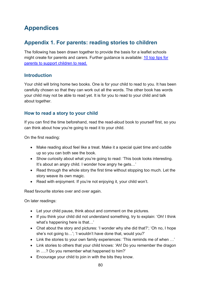# **Appendices**

## <span id="page-80-0"></span>**Appendix 1. For parents: reading stories to children**

The following has been drawn together to provide the basis for a leaflet schools might create for parents and carers. Further guidance is available: [10 top tips for](https://www.gov.uk/government/publications/10-top-tips-to-encourage-children-to-read/10-top-tips-to-encourage-children-to-read)  [parents to support children](https://www.gov.uk/government/publications/10-top-tips-to-encourage-children-to-read/10-top-tips-to-encourage-children-to-read) to read.

### **Introduction**

Your child will bring home two books. One is for your child to read to you. It has been carefully chosen so that they can work out all the words. The other book has words your child may not be able to read yet. It is for you to read to your child and talk about together.

### **How to read a story to your child**

If you can find the time beforehand, read the read-aloud book to yourself first, so you can think about how you're going to read it to your child.

On the first reading:

- Make reading aloud feel like a treat. Make it a special quiet time and cuddle up so you can both see the book.
- Show curiosity about what you're going to read: 'This book looks interesting. It's about an angry child. I wonder how angry he gets…'
- Read through the whole story the first time without stopping too much. Let the story weave its own magic.
- Read with enjoyment. If you're not enjoying it, your child won't.

Read favourite stories over and over again.

On later readings:

- Let your child pause, think about and comment on the pictures.
- If you think your child did not understand something, try to explain: 'Oh! I think what's happening here is that…'
- Chat about the story and pictures: 'I wonder why she did that?'; 'Oh no, I hope she's not going to…'; 'I wouldn't have done that, would you?'
- Link the stories to your own family experiences: 'This reminds me of when …'
- Link stories to others that your child knows: 'Ah! Do you remember the dragon in ….? Do you remember what happened to him?'
- Encourage your child to join in with the bits they know.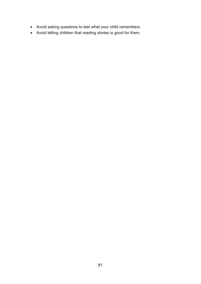- Avoid asking questions to test what your child remembers.
- Avoid telling children that reading stories is good for them.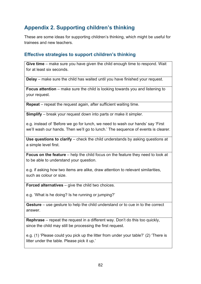## <span id="page-82-0"></span>**Appendix 2. Supporting children's thinking**

These are some ideas for supporting children's thinking, which might be useful for trainees and new teachers.

### **Effective strategies to support children's thinking**

**Give time** – make sure you have given the child enough time to respond. Wait for at least six seconds.

**Delay** – make sure the child has waited until you have finished your request.

**Focus attention** – make sure the child is looking towards you and listening to your request.

**Repeat** – repeat the request again, after sufficient waiting time.

**Simplify** – break your request down into parts or make it simpler.

e.g. instead of 'Before we go for lunch, we need to wash our hands' say 'First we'll wash our hands. Then we'll go to lunch.' The sequence of events is clearer.

**Use questions to clarify** – check the child understands by asking questions at a simple level first.

**Focus on the feature** – help the child focus on the feature they need to look at to be able to understand your question.

e.g. if asking how two items are alike, draw attention to relevant similarities, such as colour or size.

**Forced alternatives** – give the child two choices.

e.g. 'What is he doing? Is he running or jumping?'

**Gesture** – use gesture to help the child understand or to cue in to the correct answer.

**Rephrase** – repeat the request in a different way. Don't do this too quickly, since the child may still be processing the first request.

e.g. (1) 'Please could you pick up the litter from under your table?' (2) 'There is litter under the table. Please pick it up.'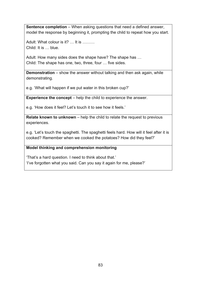**Sentence completion** – When asking questions that need a defined answer, model the response by beginning it, prompting the child to repeat how you start.

Adult: What colour is it? … It is ……… Child: It is … blue.

Adult: How many sides does the shape have? The shape has … Child: The shape has one, two, three, four … five sides.

**Demonstration** – show the answer without talking and then ask again, while demonstrating.

e.g. 'What will happen if we put water in this broken cup?'

**Experience the concept** – help the child to experience the answer.

e.g. 'How does it feel? Let's touch it to see how it feels.'

**Relate known to unknown** – help the child to relate the request to previous experiences.

e.g. 'Let's touch the spaghetti. The spaghetti feels hard. How will it feel after it is cooked? Remember when we cooked the potatoes? How did they feel?'

#### **Model thinking and comprehension monitoring**

'That's a hard question. I need to think about that.' 'I've forgotten what you said. Can you say it again for me, please?'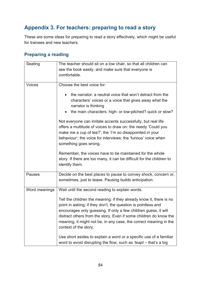## **Appendix 3. For teachers: preparing to read a story**

These are some ideas for preparing to read a story effectively, which might be useful for trainees and new teachers.

### **Preparing a reading**

| Seating       | The teacher should sit on a low chair, so that all children can<br>see the book easily, and make sure that everyone is<br>comfortable.                                                                                                                                                                                                                                                                                                                                                                                                                   |
|---------------|----------------------------------------------------------------------------------------------------------------------------------------------------------------------------------------------------------------------------------------------------------------------------------------------------------------------------------------------------------------------------------------------------------------------------------------------------------------------------------------------------------------------------------------------------------|
| <b>Voices</b> | Choose the best voice for:<br>the narrator: a neutral voice that won't detract from the<br>$\bullet$<br>characters' voices or a voice that gives away what the<br>narrator is thinking<br>the main characters: high- or low-pitched? quick or slow?<br>$\bullet$<br>Not everyone can imitate accents successfully, but real life<br>offers a multitude of voices to draw on: the needy 'Could you<br>make me a cup of tea?'; the 'I'm so disappointed in your<br>behaviour'; the voice for interviews; the 'furious' voice when<br>something goes wrong. |
|               | Remember, the voices have to be maintained for the whole<br>story. If there are too many, it can be difficult for the children to<br>identify them.                                                                                                                                                                                                                                                                                                                                                                                                      |
| <b>Pauses</b> | Decide on the best places to pause to convey shock, concern or,<br>sometimes, just to tease. Pausing builds anticipation.                                                                                                                                                                                                                                                                                                                                                                                                                                |
| Word meanings | Wait until the second reading to explain words.<br>Tell the children the meaning: if they already know it, there is no<br>point in asking; if they don't, the question is pointless and<br>encourages only guessing. If only a few children guess, it will<br>distract others from the story. Even if some children do know the<br>meaning, it might not be, in any case, the correct meaning in the<br>context of the story.                                                                                                                            |
|               | Use short asides to explain a word or a specific use of a familiar<br>word to avoid disrupting the flow, such as 'leapt - that's a big                                                                                                                                                                                                                                                                                                                                                                                                                   |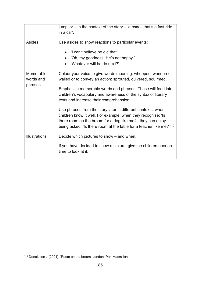|                                   | jump' or $-$ in the context of the story $-$ 'a spin $-$ that's a fast ride<br>in a car'.                                                                                                                                                                                                                                                                                                                                                                                                                                                                                                |
|-----------------------------------|------------------------------------------------------------------------------------------------------------------------------------------------------------------------------------------------------------------------------------------------------------------------------------------------------------------------------------------------------------------------------------------------------------------------------------------------------------------------------------------------------------------------------------------------------------------------------------------|
| Asides                            | Use asides to show reactions to particular events:<br>'I can't believe he did that!'<br>'Oh, my goodness. He's not happy.'<br>'Whatever will he do next?'                                                                                                                                                                                                                                                                                                                                                                                                                                |
| Memorable<br>words and<br>phrases | Colour your voice to give words meaning: whooped, wondered,<br>wailed or to convey an action: sprouted, quivered, squirmed.<br>Emphasise memorable words and phrases. These will feed into<br>children's vocabulary and awareness of the syntax of literary<br>texts and increase their comprehension.<br>Use phrases from the story later in different contexts, when<br>children know it well. For example, when they recognise: 'Is<br>there room on the broom for a dog like me?', they can enjoy<br>being asked, 'Is there room at the table for a teacher like me?' <sup>110</sup> |
| <b>Illustrations</b>              | Decide which pictures to show – and when.<br>If you have decided to show a picture, give the children enough<br>time to look at it.                                                                                                                                                                                                                                                                                                                                                                                                                                                      |

<span id="page-85-0"></span><sup>110</sup> Donaldson J (2001). 'Room on the broom' London: Pan Macmillan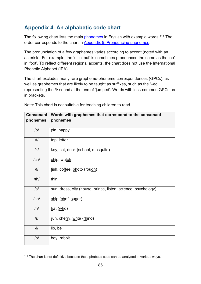## **Appendix 4. An alphabetic code chart**

The following chart lists the main [phonemes](#page-107-0) in English with example words.<sup>[111](#page-86-0)</sup> The order corresponds to the chart in [Appendix 5: Pronouncing phonemes.](#page-89-0)

The pronunciation of a few graphemes varies according to accent (noted with an asterisk). For example, the 'u' in 'but' is sometimes pronounced the same as the 'oo' in 'foot'. To reflect different regional accents, the chart does not use the International Phonetic Alphabet (IPA).

The chart excludes many rare grapheme-phoneme correspondences (GPCs), as well as graphemes that are likely to be taught as suffixes, such as the '–ed' representing the /t/ sound at the end of 'jumped'. Words with less-common GPCs are in brackets.

| <b>Consonant</b><br>phonemes | Words with graphemes that correspond to the consonant<br>phonemes |
|------------------------------|-------------------------------------------------------------------|
| /p/                          | pin, happy                                                        |
| /t/                          | top, letter                                                       |
| /k/                          | key, cat, duck (school, mosquito)                                 |
| /ch/                         | chip, watch                                                       |
| / f /                        | fish, coffee, photo (rough)                                       |
| /th/                         | thin                                                              |
| $\sqrt{s}$                   | sun, dress, city (house, prince, listen, science, psychology)     |
| /sh/                         | ship (chef, sugar)                                                |
| /h/                          | hat(who)                                                          |
| /r/                          | run, cherry, write (rhino)                                        |
| /                            | lip, bell                                                         |
| /b/                          | boy, rabbit                                                       |

Note: This chart is not suitable for teaching children to read.

<span id="page-86-0"></span><sup>&</sup>lt;sup>111</sup> The chart is not definitive because the alphabetic code can be analysed in various ways.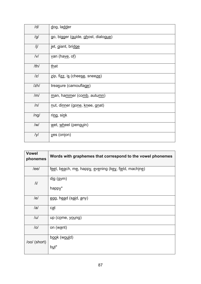| /d/        | dog, ladder                              |
|------------|------------------------------------------|
| /g/        | go, bigger (guide, ghost, dialogue)      |
| /j/        | jet, giant, bridge                       |
| V          | <u>v</u> an (ha <u>ve</u> , o <u>f</u> ) |
| /th/       | <u>that</u>                              |
| z          | zip, fizz, is (cheese, sneeze)           |
| zh         | treasure (camouflage)                    |
| /m/        | man, hammer (comb, autumn)               |
| /n/        | nut, dinner (gone, knee, gnat)           |
| /ng/       | ring, sink                               |
| $\sqrt{W}$ | wet, wheel (penguin)                     |
| /y/        | yes (onion)                              |

| <b>Vowel</b><br>phonemes | Words with graphemes that correspond to the vowel phonemes |
|--------------------------|------------------------------------------------------------|
| /ee/                     | feet, beach, me, happy, evening (key, field, machine)      |
| $/$ i $/$                | $dig$ (gym)<br>happ $\underline{y}^*$                      |
| /e/                      | egg, head (said, any)                                      |
| /al                      | cat                                                        |
| ul                       | up (come, young)                                           |
| $\overline{O}$           | on (want)                                                  |
| /oo/ (short)             | book (would)<br>but <sup>*</sup>                           |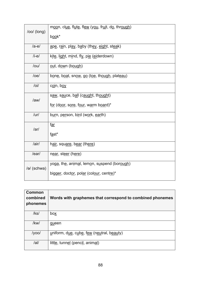|                  | moon, clue, flute, flew (you, fruit, do, through) |
|------------------|---------------------------------------------------|
| /oo/ (long)      | book*                                             |
| /ae/             | ape, rain, play, baby (they, eight, steak)        |
| $/i-e/$          | kite, light, mind, fly, pie (eiderdown)           |
| /ou/             | out, down (bough)                                 |
| /oe/             | bone, boat, snow, go (toe, though, plateau)       |
| $\overline{101}$ | coin, boy                                         |
| /aw/             | saw, sauce, ball (caught, thought)                |
|                  | for (door, sore, four, warm board)*               |
| $/$ ur $/$       | burn, person, bird (work, earth)                  |
| /ar/             | f <u>ar</u>                                       |
|                  | fast*                                             |
| /air/            | hair, square, bear (there)                        |
| /ear/            | near, steer (here)                                |
| /ə/ (schwa)      | yoga, the, animal, lemon, suspend (borough)       |
|                  | bigger, doctor, polar (colour, centre)*           |

| Common<br>combined<br>phonemes | Words with graphemes that correspond to combined phonemes |
|--------------------------------|-----------------------------------------------------------|
| $ $ ks $ $                     | box                                                       |
| /kw/                           | queen                                                     |
| /yoo/                          | uniform, due, cube, few (neutral, beauty)                 |
| el                             | little, tunnel (pencil, animal)                           |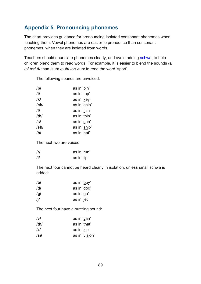## <span id="page-89-0"></span>**Appendix 5. Pronouncing phonemes**

The chart provides guidance for pronouncing isolated consonant phonemes when teaching them. Vowel phonemes are easier to pronounce than consonant phonemes, when they are isolated from words.

Teachers should enunciate phonemes clearly, and avoid adding [schwa,](#page-109-1) to help children blend them to read words. For example, it is easier to blend the sounds /s/ /p/ /or/ /t/ than /suh/ /puh/ /or/ /tuh/ to read the word 'sport'.

| /p/  | as in 'pin'  |
|------|--------------|
| /t/  | as in 'top'  |
| /k/  | as in 'key'  |
| /ch/ | as in 'chip' |
| /f/  | as in 'fish' |
| /th/ | as in 'thin' |
| /s/  | as in 'sun'  |
| /sh/ | as in 'ship' |
| /h/  | as in 'hat'  |

The following sounds are unvoiced:

The next two are voiced:

| r   | as in 'run' |
|-----|-------------|
| /I/ | as in 'lip' |

The next four cannot be heard clearly in isolation, unless small schwa is added:

| /b/ | as in 'boy' |
|-----|-------------|
| /d/ | as in 'dog' |
| /g/ | as in 'go'  |
| /j/ | as in 'jet' |

The next four have a buzzing sound:

| v    | as in 'van'    |
|------|----------------|
| /th/ | as in 'that'   |
| z    | as in 'zip'    |
| /si/ | as in 'vision' |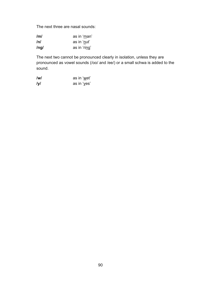The next three are nasal sounds:

| /m/        | as in 'man'  |
|------------|--------------|
| /nl        | as in 'nut'  |
| $/$ ng $/$ | as in 'ring' |

The next two cannot be pronounced clearly in isolation, unless they are pronounced as vowel sounds (/oo/ and /ee/) or a small schwa is added to the sound.

| $\mathsf{I}$ w $\mathsf{I}$ | as in 'wet' |
|-----------------------------|-------------|
| $I$ y $I$                   | as in 'yes' |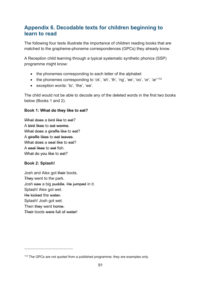### **Appendix 6. Decodable texts for children beginning to learn to read**

The following four texts illustrate the importance of children reading books that are matched to the grapheme-phoneme correspondences (GPCs) they already know.

A Reception child learning through a typical systematic synthetic phonics (SSP) programme might know:

- the phonemes corresponding to each letter of the alphabet
- the phonemes corresponding to 'ck', 'sh', 'th', 'ng', 'ee', 'oo', 'or', 'ar'<sup>[112](#page-91-0)</sup>
- exception words: 'to', 'the', 'we'.

The child would not be able to decode any of the deleted words in the first two books below (Books 1 and 2).

#### **Book 1: What do they like to eat?**

What does a bird like to eat? A bird likes to eat worms. What does a giraffe like to eat? A giraffe likes to eat leaves. What does a seal like to eat? A seal likes to eat fish. What do you like to eat?

#### **Book 2: Splash!**

Josh and Alex got their boots. They went to the park. Josh saw a big puddle. He jumped in it. Splash! Alex got wet. He kicked the water. Splash! Josh got wet. Then they went home. Their boots were full of water!

<span id="page-91-0"></span> $112$  The GPCs are not quoted from a published programme; they are examples only.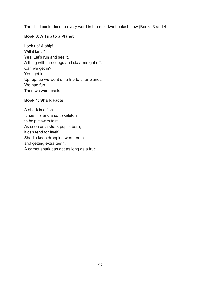The child could decode every word in the next two books below (Books 3 and 4).

#### **Book 3: A Trip to a Planet**

Look up! A ship! Will it land? Yes. Let's run and see it. A thing with three legs and six arms got off. Can we get in? Yes, get in! Up, up, up we went on a trip to a far planet. We had fun. Then we went back.

#### **Book 4: Shark Facts**

A shark is a fish. It has fins and a soft skeleton to help it swim fast. As soon as a shark pup is born, it can fend for itself. Sharks keep dropping worn teeth and getting extra teeth. A carpet shark can get as long as a truck.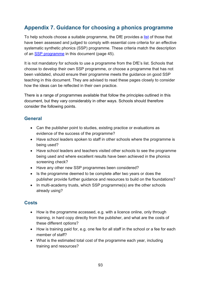## <span id="page-93-0"></span>**Appendix 7. Guidance for choosing a phonics programme**

To help schools choose a suitable programme, the DfE provides a [list](https://www.gov.uk/government/publications/choosing-a-phonics-teaching-programme/list-of-phonics-teaching-programmes) of those that have been assessed and judged to comply with essential core criteria for an effective systematic synthetic phonics (SSP) programme. These criteria match the description of an [SSP programme](#page-45-0) in this document (page 45).

It is not mandatory for schools to use a programme from the DfE's list. Schools that choose to develop their own SSP programme, or choose a programme that has not been validated, should ensure their programme meets the guidance on good SSP teaching in this document. They are advised to read these pages closely to consider how the ideas can be reflected in their own practice.

There is a range of programmes available that follow the principles outlined in this document, but they vary considerably in other ways. Schools should therefore consider the following points.

### **General**

- Can the publisher point to studies, existing practice or evaluations as evidence of the success of the programme?
- Have school leaders spoken to staff in other schools where the programme is being used?
- Have school leaders and teachers visited other schools to see the programme being used and where excellent results have been achieved in the phonics screening check?
- Have any other new SSP programmes been considered?
- Is the programme deemed to be complete after two years or does the publisher provide further guidance and resources to build on the foundations?
- In multi-academy trusts, which SSP programme(s) are the other schools already using?

### **Costs**

- How is the programme accessed, e.g. with a licence online, only through training, in hard copy directly from the publisher, and what are the costs of these different options?
- How is training paid for, e.g. one fee for all staff in the school or a fee for each member of staff?
- What is the estimated total cost of the programme each year, including training and resources?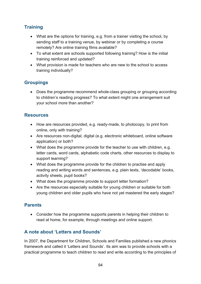### **Training**

- What are the options for training, e.g. from a trainer visiting the school, by sending staff to a training venue, by webinar or by completing a course remotely? Are online training films available?
- To what extent are schools supported following training? How is the initial training reinforced and updated?
- What provision is made for teachers who are new to the school to access training individually?

### **Groupings**

• Does the programme recommend whole-class grouping or grouping according to children's reading progress? To what extent might one arrangement suit your school more than another?

### **Resources**

- How are resources provided, e.g. ready-made, to photocopy, to print from online, only with training?
- Are resources non-digital, digital (e.g. electronic whiteboard, online software application) or both?
- What does the programme provide for the teacher to use with children, e.g. letter cards, word cards, alphabetic code charts, other resources to display to support learning?
- What does the programme provide for the children to practise and apply reading and writing words and sentences, e.g. plain texts, 'decodable' books, activity sheets, pupil books?
- What does the programme provide to support letter formation?
- Are the resources especially suitable for young children or suitable for both young children and older pupils who have not yet mastered the early stages?

### **Parents**

• Consider how the programme supports parents in helping their children to read at home, for example, through meetings and online support.

### **A note about 'Letters and Sounds'**

In 2007, the Department for Children, Schools and Families published a new phonics framework and called it 'Letters and Sounds'. Its aim was to provide schools with a practical programme to teach children to read and write according to the principles of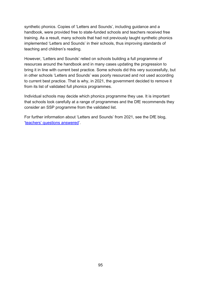synthetic phonics. Copies of 'Letters and Sounds', including guidance and a handbook, were provided free to state-funded schools and teachers received free training. As a result, many schools that had not previously taught synthetic phonics implemented 'Letters and Sounds' in their schools, thus improving standards of teaching and children's reading.

However, 'Letters and Sounds' relied on schools building a full programme of resources around the handbook and in many cases updating the progression to bring it in line with current best practice. Some schools did this very successfully, but in other schools 'Letters and Sounds' was poorly resourced and not used according to current best practice. That is why, in 2021, the government decided to remove it from its list of validated full phonics programmes.

Individual schools may decide which phonics programme they use. It is important that schools look carefully at a range of programmes and the DfE recommends they consider an SSP programme from the validated list.

For further information about 'Letters and Sounds' from 2021, see the DfE blog, ['teachers' questions answered'](https://educationhub.blog.gov.uk/2021/05/17/the-removal-of-letters-and-sounds-2007-from-the-departments-list-of-validated-phonics-programmes-teachers-questions-answered/).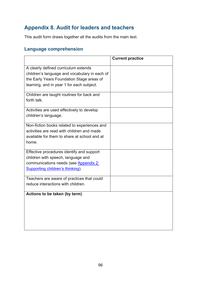## **Appendix 8. Audit for leaders and teachers**

This audit form draws together all the audits from the main text.

## **Language comprehension**

|                                               | <b>Current practice</b> |
|-----------------------------------------------|-------------------------|
| A clearly defined curriculum extends          |                         |
| children's language and vocabulary in each of |                         |
| the Early Years Foundation Stage areas of     |                         |
| learning, and in year 1 for each subject.     |                         |
|                                               |                         |
| Children are taught routines for back and     |                         |
| forth talk.                                   |                         |
|                                               |                         |
| Activities are used effectively to develop    |                         |
| children's language.                          |                         |
| Non-fiction books related to experiences and  |                         |
| activities are read with children and made    |                         |
| available for them to share at school and at  |                         |
| home.                                         |                         |
|                                               |                         |
| Effective procedures identify and support     |                         |
| children with speech, language and            |                         |
| communications needs (see Appendix 2:         |                         |
| Supporting children's thinking).              |                         |
| Teachers are aware of practices that could    |                         |
| reduce interactions with children.            |                         |
|                                               |                         |
| Actions to be taken (by term)                 |                         |
|                                               |                         |
|                                               |                         |
|                                               |                         |
|                                               |                         |
|                                               |                         |
|                                               |                         |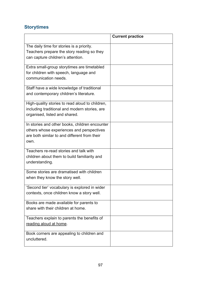## <span id="page-97-0"></span>**Storytimes**

|                                                 | <b>Current practice</b> |
|-------------------------------------------------|-------------------------|
| The daily time for stories is a priority.       |                         |
| Teachers prepare the story reading so they      |                         |
| can capture children's attention.               |                         |
|                                                 |                         |
| Extra small-group storytimes are timetabled     |                         |
| for children with speech, language and          |                         |
| communication needs.                            |                         |
|                                                 |                         |
| Staff have a wide knowledge of traditional      |                         |
| and contemporary children's literature.         |                         |
| High-quality stories to read aloud to children, |                         |
| including traditional and modern stories, are   |                         |
| organised, listed and shared.                   |                         |
|                                                 |                         |
| In stories and other books, children encounter  |                         |
| others whose experiences and perspectives       |                         |
| are both similar to and different from their    |                         |
| own.                                            |                         |
|                                                 |                         |
| Teachers re-read stories and talk with          |                         |
| children about them to build familiarity and    |                         |
| understanding.                                  |                         |
| Some stories are dramatised with children       |                         |
| when they know the story well.                  |                         |
|                                                 |                         |
| 'Second tier' vocabulary is explored in wider   |                         |
| contexts, once children know a story well.      |                         |
| Books are made available for parents to         |                         |
| share with their children at home.              |                         |
|                                                 |                         |
| Teachers explain to parents the benefits of     |                         |
| reading aloud at home.                          |                         |
| Book corners are appealing to children and      |                         |
| uncluttered.                                    |                         |
|                                                 |                         |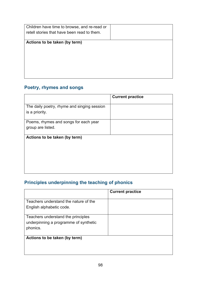## **Poetry, rhymes and songs**

|                                                               | <b>Current practice</b> |
|---------------------------------------------------------------|-------------------------|
| The daily poetry, rhyme and singing session<br>is a priority. |                         |
| Poems, rhymes and songs for each year<br>group are listed.    |                         |
| Actions to be taken (by term)                                 |                         |
|                                                               |                         |
|                                                               |                         |
|                                                               |                         |

## **Principles underpinning the teaching of phonics**

|                                                                                         | <b>Current practice</b> |
|-----------------------------------------------------------------------------------------|-------------------------|
| Teachers understand the nature of the<br>English alphabetic code.                       |                         |
| Teachers understand the principles<br>underpinning a programme of synthetic<br>phonics. |                         |
| Actions to be taken (by term)                                                           |                         |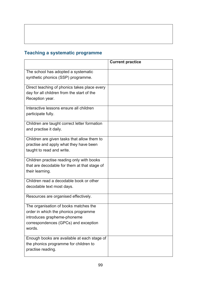## **Teaching a systematic programme**

|                                                                                                                                                                | <b>Current practice</b> |
|----------------------------------------------------------------------------------------------------------------------------------------------------------------|-------------------------|
| The school has adopted a systematic<br>synthetic phonics (SSP) programme.                                                                                      |                         |
| Direct teaching of phonics takes place every<br>day for all children from the start of the<br>Reception year.                                                  |                         |
| Interactive lessons ensure all children<br>participate fully.                                                                                                  |                         |
| Children are taught correct letter formation<br>and practise it daily.                                                                                         |                         |
| Children are given tasks that allow them to<br>practise and apply what they have been<br>taught to read and write.                                             |                         |
| Children practise reading only with books<br>that are decodable for them at that stage of<br>their learning.                                                   |                         |
| Children read a decodable book or other<br>decodable text most days.                                                                                           |                         |
| Resources are organised effectively.                                                                                                                           |                         |
| The organisation of books matches the<br>order in which the phonics programme<br>introduces grapheme-phoneme<br>correspondences (GPCs) and exception<br>words. |                         |
| Enough books are available at each stage of<br>the phonics programme for children to<br>practise reading.                                                      |                         |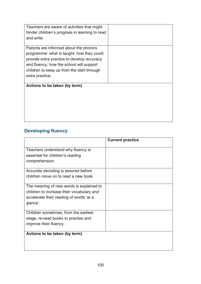| Teachers are aware of activities that might    |  |
|------------------------------------------------|--|
| hinder children's progress in learning to read |  |
| and write.                                     |  |
|                                                |  |
| Parents are informed about the phonics         |  |
| programme: what is taught; how they could      |  |
| provide extra practice to develop accuracy     |  |
| and fluency; how the school will support       |  |
| children to keep up from the start through     |  |
| extra practice.                                |  |
|                                                |  |
| Actions to be taken (by term)                  |  |
|                                                |  |
|                                                |  |
|                                                |  |
|                                                |  |
|                                                |  |
|                                                |  |

## **Developing fluency**

|                                           | <b>Current practice</b> |
|-------------------------------------------|-------------------------|
| Teachers understand why fluency is        |                         |
| essential for children's reading          |                         |
| comprehension.                            |                         |
| Accurate decoding is assured before       |                         |
| children move on to read a new book.      |                         |
| The meaning of new words is explained to  |                         |
| children to increase their vocabulary and |                         |
| accelerate their reading of words 'at a   |                         |
| glance'.                                  |                         |
| Children sometimes, from the earliest     |                         |
| stage, re-read books to practise and      |                         |
| improve their fluency.                    |                         |
| Actions to be taken (by term)             |                         |
|                                           |                         |
|                                           |                         |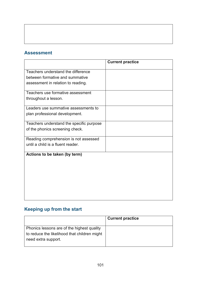### **Assessment**

|                                          | <b>Current practice</b> |
|------------------------------------------|-------------------------|
| Teachers understand the difference       |                         |
| between formative and summative          |                         |
| assessment in relation to reading.       |                         |
| Teachers use formative assessment        |                         |
| throughout a lesson.                     |                         |
| Leaders use summative assessments to     |                         |
| plan professional development.           |                         |
| Teachers understand the specific purpose |                         |
| of the phonics screening check.          |                         |
| Reading comprehension is not assessed    |                         |
| until a child is a fluent reader.        |                         |
| Actions to be taken (by term)            |                         |
|                                          |                         |
|                                          |                         |
|                                          |                         |
|                                          |                         |
|                                          |                         |
|                                          |                         |

# **Keeping up from the start**

|                                                                                                                   | <b>Current practice</b> |
|-------------------------------------------------------------------------------------------------------------------|-------------------------|
| Phonics lessons are of the highest quality<br>to reduce the likelihood that children might<br>need extra support. |                         |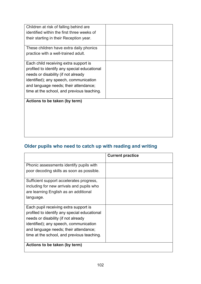| Children at risk of falling behind are<br>identified within the first three weeks of |  |
|--------------------------------------------------------------------------------------|--|
| their starting in their Reception year.                                              |  |
|                                                                                      |  |
| These children have extra daily phonics                                              |  |
| practice with a well-trained adult.                                                  |  |
| Each child receiving extra support is                                                |  |
| profiled to identify any special educational                                         |  |
| needs or disability (if not already                                                  |  |
| identified); any speech, communication                                               |  |
| and language needs; their attendance;                                                |  |
| time at the school, and previous teaching.                                           |  |
| Actions to be taken (by term)                                                        |  |
|                                                                                      |  |
|                                                                                      |  |
|                                                                                      |  |
|                                                                                      |  |
|                                                                                      |  |

## **Older pupils who need to catch up with reading and writing**

|                                                                                                                                                                                                                                                               | <b>Current practice</b> |
|---------------------------------------------------------------------------------------------------------------------------------------------------------------------------------------------------------------------------------------------------------------|-------------------------|
| Phonic assessments identify pupils with                                                                                                                                                                                                                       |                         |
| poor decoding skills as soon as possible.                                                                                                                                                                                                                     |                         |
| Sufficient support accelerates progress,<br>including for new arrivals and pupils who<br>are learning English as an additional<br>language.                                                                                                                   |                         |
| Each pupil receiving extra support is<br>profiled to identify any special educational<br>needs or disability (if not already<br>identified); any speech, communication<br>and language needs; their attendance;<br>time at the school, and previous teaching. |                         |
| Actions to be taken (by term)                                                                                                                                                                                                                                 |                         |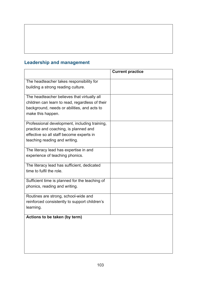## **Leadership and management**

|                                                                                                                                                                     | <b>Current practice</b> |
|---------------------------------------------------------------------------------------------------------------------------------------------------------------------|-------------------------|
| The headteacher takes responsibility for<br>building a strong reading culture.                                                                                      |                         |
| The headteacher believes that virtually all<br>children can learn to read, regardless of their<br>background, needs or abilities, and acts to<br>make this happen.  |                         |
| Professional development, including training,<br>practice and coaching, is planned and<br>effective so all staff become experts in<br>teaching reading and writing. |                         |
| The literacy lead has expertise in and<br>experience of teaching phonics.                                                                                           |                         |
| The literacy lead has sufficient, dedicated<br>time to fulfil the role.                                                                                             |                         |
| Sufficient time is planned for the teaching of<br>phonics, reading and writing.                                                                                     |                         |
| Routines are strong, school-wide and<br>reinforced consistently to support children's<br>learning.                                                                  |                         |
| Actions to be taken (by term)                                                                                                                                       |                         |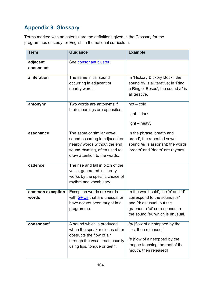# **Appendix 9. Glossary**

Terms marked with an asterisk are the definitions given in the Glossary for the programmes of study for English in the national curriculum.

<span id="page-104-1"></span><span id="page-104-0"></span>

| <b>Term</b>               | <b>Guidance</b>                                                                                                                                              | <b>Example</b>                                                                                                                                                       |
|---------------------------|--------------------------------------------------------------------------------------------------------------------------------------------------------------|----------------------------------------------------------------------------------------------------------------------------------------------------------------------|
| adjacent                  | See consonant cluster.                                                                                                                                       |                                                                                                                                                                      |
| consonant                 |                                                                                                                                                              |                                                                                                                                                                      |
| alliteration              | The same initial sound<br>occurring in adjacent or<br>nearby words.                                                                                          | In 'Hickory Dickory Dock', the<br>sound /d/ is alliterative; in 'Ring<br>a Ring o' Roses', the sound /r/ is<br>alliterative.                                         |
| antonym <sup>*</sup>      | Two words are antonyms if<br>their meanings are opposites.                                                                                                   | $hot - cold$<br>$light - dark$<br>$light - heavy$                                                                                                                    |
| assonance                 | The same or similar vowel<br>sound occurring in adjacent or<br>nearby words without the end<br>sound rhyming, often used to<br>draw attention to the words.  | In the phrase 'breath and<br>bread', the repeated vowel<br>sound /e/ is assonant; the words<br>'breath' and 'death' are rhymes.                                      |
| cadence                   | The rise and fall in pitch of the<br>voice, generated in literary<br>works by the specific choice of<br>rhythm and vocabulary.                               |                                                                                                                                                                      |
| common exception<br>words | Exception words are words<br>with GPCs that are unusual or<br>have not yet been taught in a<br>programme.                                                    | In the word 'said', the 's' and 'd'<br>correspond to the sounds /s/<br>and /d/ as usual, but the<br>grapheme 'ai' corresponds to<br>the sound /e/, which is unusual. |
| consonant*                | A sound which is produced<br>when the speaker closes off or<br>obstructs the flow of air<br>through the vocal tract, usually<br>using lips, tongue or teeth. | /p/ [flow of air stopped by the<br>lips, then released]<br>/t/ [flow of air stopped by the<br>tongue touching the roof of the<br>mouth, then released]               |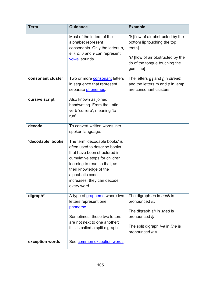<span id="page-105-0"></span>

| <b>Term</b>       | <b>Guidance</b>                                                                                                                                                                                                                                          | <b>Example</b>                                                                                                                                                       |
|-------------------|----------------------------------------------------------------------------------------------------------------------------------------------------------------------------------------------------------------------------------------------------------|----------------------------------------------------------------------------------------------------------------------------------------------------------------------|
|                   | Most of the letters of the<br>alphabet represent<br>consonants. Only the letters a,<br>$e, i, o, u$ and y can represent<br>vowel sounds.                                                                                                                 | /f/ [flow of air obstructed by the<br>bottom lip touching the top<br>teeth]<br>/s/ [flow of air obstructed by the<br>tip of the tongue touching the<br>gum line]     |
| consonant cluster | Two or more <b>consonant</b> letters<br>in sequence that represent<br>separate phonemes.                                                                                                                                                                 | The letters $\underline{s}$ t and r in stream<br>and the letters $\underline{m}$ and $\underline{p}$ in lamp<br>are consonant clusters.                              |
| cursive script    | Also known as joined<br>handwriting. From the Latin<br>verb 'currere', meaning 'to<br>run'.                                                                                                                                                              |                                                                                                                                                                      |
| decode            | To convert written words into<br>spoken language.                                                                                                                                                                                                        |                                                                                                                                                                      |
| 'decodable' books | The term 'decodable books' is<br>often used to describe books<br>that have been structured in<br>cumulative steps for children<br>learning to read so that, as<br>their knowledge of the<br>alphabetic code<br>increases, they can decode<br>every word. |                                                                                                                                                                      |
| digraph*          | A type of grapheme where two<br>letters represent one<br>phoneme.<br>Sometimes, these two letters<br>are not next to one another;<br>this is called a split digraph.                                                                                     | The digraph ea in each is<br>pronounced /i:/.<br>The digraph sh in shed is<br>pronounced /f/.<br>The split digraph <i>i</i> -e in <i>line</i> is<br>pronounced /aɪ/. |
| exception words   | See common exception words.                                                                                                                                                                                                                              |                                                                                                                                                                      |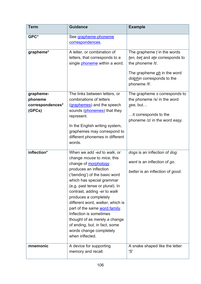<span id="page-106-3"></span><span id="page-106-2"></span><span id="page-106-1"></span><span id="page-106-0"></span>

| <b>Term</b>                                        | <b>Guidance</b>                                                                                                                                                                                                                                                                                                                                                                                                                                                                                      | <b>Example</b>                                                                                                                                                           |
|----------------------------------------------------|------------------------------------------------------------------------------------------------------------------------------------------------------------------------------------------------------------------------------------------------------------------------------------------------------------------------------------------------------------------------------------------------------------------------------------------------------------------------------------------------------|--------------------------------------------------------------------------------------------------------------------------------------------------------------------------|
| GPC*                                               | See grapheme-phoneme<br>correspondences.                                                                                                                                                                                                                                                                                                                                                                                                                                                             |                                                                                                                                                                          |
| grapheme*                                          | A letter, or combination of<br>letters, that corresponds to a<br>single phoneme within a word.                                                                                                                                                                                                                                                                                                                                                                                                       | The grapheme $t$ in the words<br>ten, bet and ate corresponds to<br>the phoneme /t/.<br>The grapheme <i>ph</i> in the word<br>dolphin corresponds to the<br>phoneme /f/. |
| grapheme-<br>phoneme<br>correspondences*<br>(GPCs) | The links between letters, or<br>combinations of letters<br>(graphemes) and the speech<br>sounds (phonemes) that they<br>represent.<br>In the English writing system,<br>graphemes may correspond to<br>different phonemes in different<br>words.                                                                                                                                                                                                                                                    | The grapheme s corresponds to<br>the phoneme /s/ in the word<br>see, but<br>it corresponds to the<br>phoneme /z/ in the word easy.                                       |
| inflection*                                        | When we add -ed to walk, or<br>change <i>mouse</i> to <i>mice</i> , this<br>change of morphology<br>produces an inflection<br>('bending') of the basic word<br>which has special grammar<br>(e.g. past tense or plural). In<br>contrast, adding -er to walk<br>produces a completely<br>different word, walker, which is<br>part of the same word family.<br>Inflection is sometimes<br>thought of as merely a change<br>of ending, but, in fact, some<br>words change completely<br>when inflected. | dogs is an inflection of dog.<br>went is an inflection of go.<br>better is an inflection of good.                                                                        |
| mnemonic                                           | A device for supporting<br>memory and recall.                                                                                                                                                                                                                                                                                                                                                                                                                                                        | A snake shaped like the letter<br>'S'                                                                                                                                    |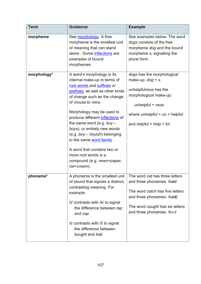<span id="page-107-2"></span><span id="page-107-1"></span><span id="page-107-0"></span>

| <b>Term</b> | <b>Guidance</b>                                                                                                                                                                                                                                                                                                                                                                                                                                                                    | <b>Example</b>                                                                                                                                                                                       |
|-------------|------------------------------------------------------------------------------------------------------------------------------------------------------------------------------------------------------------------------------------------------------------------------------------------------------------------------------------------------------------------------------------------------------------------------------------------------------------------------------------|------------------------------------------------------------------------------------------------------------------------------------------------------------------------------------------------------|
| morpheme    | See morphology. A free<br>morpheme is the smallest unit<br>of meaning that can stand<br>alone. Some inflections are<br>examples of bound<br>morphemes.                                                                                                                                                                                                                                                                                                                             | See examples below. The word<br>dogs consists of the free<br>morpheme dog and the bound<br>morpheme s, signalling the<br>plural form.                                                                |
| morphology* | A word's morphology is its<br>internal make-up in terms of<br>root words and suffixes or<br>prefixes, as well as other kinds<br>of change such as the change<br>of mouse to mice.<br>Morphology may be used to<br>produce different inflections of<br>the same word (e.g. boy $-$<br>boys), or entirely new words<br>(e.g. boy - boyish) belonging<br>to the same word family.<br>A word that contains two or<br>more root words is a<br>compound (e.g. news+paper,<br>ice+cream). | dogs has the morphological<br>make-up: $dog + s$ .<br>unhelpfulness has the<br>morphological make-up:<br>$unhelpful + ness$<br>where unhelpful = $un + helpful$<br>and <i>helpful</i> = $help + ful$ |
| phoneme*    | A phoneme is the smallest unit<br>of sound that signals a distinct,<br>contrasting meaning. For<br>example:<br>/t/ contrasts with /k/ to signal<br>the difference between tap<br>and cap<br>/t/ contrasts with /l/ to signal<br>the difference between<br>bought and ball.                                                                                                                                                                                                         | The word <i>cat</i> has three letters<br>and three phonemes: /kæt/<br>The word catch has five letters<br>and three phonemes: /kætf/<br>The word caught has six letters<br>and three phonemes: /ko:t/ |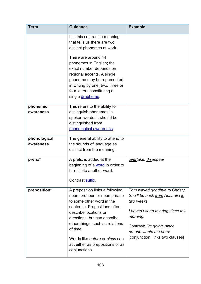<span id="page-108-1"></span><span id="page-108-0"></span>

| <b>Term</b>               | <b>Guidance</b>                                                                                                                                                                                                                                                                                                                           | <b>Example</b>                                                                                                                                                                                                             |
|---------------------------|-------------------------------------------------------------------------------------------------------------------------------------------------------------------------------------------------------------------------------------------------------------------------------------------------------------------------------------------|----------------------------------------------------------------------------------------------------------------------------------------------------------------------------------------------------------------------------|
|                           | It is this contrast in meaning<br>that tells us there are two<br>distinct phonemes at work.                                                                                                                                                                                                                                               |                                                                                                                                                                                                                            |
|                           | There are around 44<br>phonemes in English; the<br>exact number depends on<br>regional accents. A single<br>phoneme may be represented<br>in writing by one, two, three or<br>four letters constituting a<br>single grapheme.                                                                                                             |                                                                                                                                                                                                                            |
| phonemic<br>awareness     | This refers to the ability to<br>distinguish phonemes in<br>spoken words. It should be<br>distinguished from<br>phonological awareness.                                                                                                                                                                                                   |                                                                                                                                                                                                                            |
| phonological<br>awareness | The general ability to attend to<br>the sounds of language as<br>distinct from the meaning.                                                                                                                                                                                                                                               |                                                                                                                                                                                                                            |
| prefix*                   | A prefix is added at the<br>beginning of a <b>word</b> in order to<br>turn it into another word.<br>Contrast suffix.                                                                                                                                                                                                                      | overtake, disappear                                                                                                                                                                                                        |
| preposition*              | A preposition links a following<br>noun, pronoun or noun phrase<br>to some other word in the<br>sentence. Prepositions often<br>describe locations or<br>directions, but can describe<br>other things, such as relations<br>of time.<br>Words like <i>before</i> or <i>since</i> can<br>act either as prepositions or as<br>conjunctions. | Tom waved goodbye to Christy.<br>She'll be back from Australia in<br>two weeks.<br>I haven't seen my dog since this<br>morning.<br>Contrast: I'm going, since<br>no-one wants me here!<br>[conjunction: links two clauses] |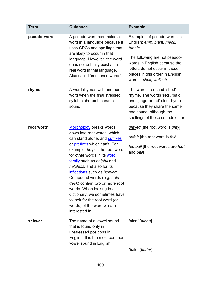<span id="page-109-0"></span>

| <b>Term</b> | <b>Guidance</b>                                                                                                                                                                                                                                                                                                                                                                                                                                                                                                 | <b>Example</b>                                                                                                                                                                                                                    |
|-------------|-----------------------------------------------------------------------------------------------------------------------------------------------------------------------------------------------------------------------------------------------------------------------------------------------------------------------------------------------------------------------------------------------------------------------------------------------------------------------------------------------------------------|-----------------------------------------------------------------------------------------------------------------------------------------------------------------------------------------------------------------------------------|
| pseudo-word | A pseudo-word resembles a<br>word in a language because it<br>uses GPCs and spellings that<br>are likely to occur in that<br>language. However, the word<br>does not actually exist as a<br>real word in that language.<br>Also called 'nonsense words'.                                                                                                                                                                                                                                                        | Examples of pseudo-words in<br>English: emp, blant, meck,<br>tubbin<br>The following are not pseudo-<br>words in English because the<br>letters do not occur in these<br>places in this order in English<br>words: ckelt, wellsch |
| rhyme       | A word rhymes with another<br>word when the final stressed<br>syllable shares the same<br>sound.                                                                                                                                                                                                                                                                                                                                                                                                                | The words 'red' and 'shed'<br>rhyme. The words 'red', 'said'<br>and 'gingerbread' also rhyme<br>because they share the same<br>end sound, although the<br>spellings of those sounds differ.                                       |
| root word*  | <b>Morphology</b> breaks words<br>down into root words, which<br>can stand alone, and suffixes<br>or <i>prefixes</i> which can't. For<br>example, help is the root word<br>for other words in its word<br>family such as helpful and<br>helpless, and also for its<br>inflections such as helping.<br>Compound words (e.g. help-<br>desk) contain two or more root<br>words. When looking in a<br>dictionary, we sometimes have<br>to look for the root word (or<br>words) of the word we are<br>interested in. | played [the root word is play]<br>unfair [the root word is fair]<br>football [the root words are foot<br>and ball                                                                                                                 |
| schwa*      | The name of a vowel sound<br>that is found only in<br>unstressed positions in<br>English. It is the most common<br>vowel sound in English.                                                                                                                                                                                                                                                                                                                                                                      | /əlpn/ [along]<br>/bʌtə/ [butter]                                                                                                                                                                                                 |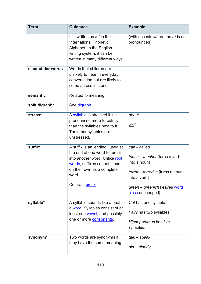<span id="page-110-2"></span><span id="page-110-1"></span><span id="page-110-0"></span>

| <b>Term</b>       | <b>Guidance</b>                                                                                                                                                                                 | <b>Example</b>                                                                                                                                                          |
|-------------------|-------------------------------------------------------------------------------------------------------------------------------------------------------------------------------------------------|-------------------------------------------------------------------------------------------------------------------------------------------------------------------------|
|                   | It is written as /ə/ in the<br><b>International Phonetic</b><br>Alphabet. In the English<br>writing system, it can be<br>written in many different ways.                                        | (with accents where the /r/ is not<br>pronounced)                                                                                                                       |
| second tier words | Words that children are<br>unlikely to hear in everyday<br>conversation but are likely to<br>come across in stories                                                                             |                                                                                                                                                                         |
| semantic          | Related to meaning                                                                                                                                                                              |                                                                                                                                                                         |
| split digraph*    | See digraph.                                                                                                                                                                                    |                                                                                                                                                                         |
| stress*           | A syllable is stressed if it is<br>pronounced more forcefully<br>than the syllables next to it.<br>The other syllables are<br>unstressed.                                                       | about<br>visit                                                                                                                                                          |
| suffix*           | A suffix is an 'ending', used at<br>the end of one word to turn it<br>into another word. Unlike root<br>words, suffixes cannot stand<br>on their own as a complete<br>word.<br>Contrast prefix. | call - called<br>teach - teacher [turns a verb<br>into a noun]<br>terror – terrorise [turns a noun<br>into a verb]<br>green - greenish [leaves word<br>class unchanged] |
| syllable*         | A syllable sounds like a beat in<br>a word. Syllables consist of at<br>least one vowel, and possibly<br>one or more consonants.                                                                 | Cat has one syllable.<br>Fairy has two syllables.<br>Hippopotamus has five<br>syllables.                                                                                |
| synonym*          | Two words are synonyms if<br>they have the same meaning,                                                                                                                                        | $talk - speak$<br>$old$ – elderly                                                                                                                                       |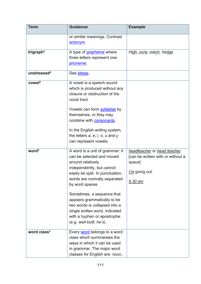<span id="page-111-2"></span><span id="page-111-1"></span><span id="page-111-0"></span>

| <b>Term</b> | <b>Guidance</b>                                                                                                                                                                                                                                                    | <b>Example</b>                                                                                                 |
|-------------|--------------------------------------------------------------------------------------------------------------------------------------------------------------------------------------------------------------------------------------------------------------------|----------------------------------------------------------------------------------------------------------------|
|             | or similar meanings. Contrast<br>antonym.                                                                                                                                                                                                                          |                                                                                                                |
| trigraph*   | A type of grapheme where<br>three letters represent one<br>phoneme.                                                                                                                                                                                                | High, pure, patch, hedge                                                                                       |
| unstressed* | See stress.                                                                                                                                                                                                                                                        |                                                                                                                |
| vowel*      | A vowel is a speech sound<br>which is produced without any<br>closure or obstruction of the<br>vocal tract.<br>Vowels can form syllables by<br>themselves, or they may<br>combine with <b>consonants</b> .                                                         |                                                                                                                |
|             | In the English writing system,<br>the letters $a, e, i, o, u$ and $y$<br>can represent vowels.                                                                                                                                                                     |                                                                                                                |
| word*       | A word is a unit of grammar: it<br>can be selected and moved<br>around relatively<br>independently, but cannot<br>easily be split. In punctuation,<br>words are normally separated<br>by word spaces.<br>Sometimes, a sequence that<br>appears grammatically to be | headteacher or head teacher<br>[can be written with or without a<br>space]<br>I'm going out.<br><u>9.30 am</u> |
|             | two words is collapsed into a<br>single written word, indicated<br>with a hyphen or apostrophe<br>$(e.g. well-built, he's).$                                                                                                                                       |                                                                                                                |
| word class* | Every word belongs to a word<br>class which summarises the<br>ways in which it can be used<br>in grammar. The major word<br>classes for English are: noun,                                                                                                         |                                                                                                                |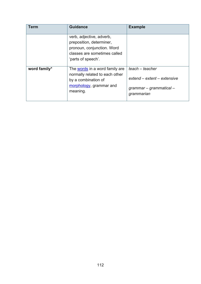<span id="page-112-0"></span>

| Term         | <b>Guidance</b>                                                                                                                          | <b>Example</b>                                                                            |
|--------------|------------------------------------------------------------------------------------------------------------------------------------------|-------------------------------------------------------------------------------------------|
|              | verb, adjective, adverb,<br>preposition, determiner,<br>pronoun, conjunction. Word<br>classes are sometimes called<br>'parts of speech'. |                                                                                           |
| word family* | The words in a word family are<br>normally related to each other<br>by a combination of<br>morphology, grammar and<br>meaning.           | teach – teacher<br>extend – extent – extensive<br>$grammar - grammatical -$<br>grammarian |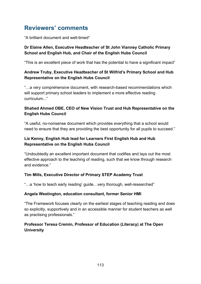# **Reviewers' comments**

"A brilliant document and well-timed"

## **Dr Elaine Allen, Executive Headteacher of St John Vianney Catholic Primary School and English Hub, and Chair of the English Hubs Council**

"This is an excellent piece of work that has the potential to have a significant impact"

## **Andrew Truby, Executive Headteacher of St Wilfrid's Primary School and Hub Representative on the English Hubs Council**

"…a very comprehensive document, with research-based recommendations which will support primary school leaders to implement a more effective reading curriculum..."

## **Shahed Ahmed OBE, CEO of New Vision Trust and Hub Representative on the English Hubs Council**

"A useful, no-nonsense document which provides everything that a school would need to ensure that they are providing the best opportunity for all pupils to succeed."

#### **Liz Kenny, English Hub lead for Learners First English Hub and Hub Representative on the English Hubs Council**

"Undoubtedly an excellent important document that codifies and lays out the most effective approach to the teaching of reading, such that we know through research and evidence."

# **Tim Mills, Executive Director of Primary STEP Academy Trust**

"…a 'how to teach early reading' guide…very thorough, well-researched"

#### **Angela Westington, education consultant, former Senior HMI**

"The Framework focuses clearly on the earliest stages of teaching reading and does so explicitly, supportively and in an accessible manner for student teachers as well as practising professionals."

#### **Professor Teresa Cremin, Professor of Education (Literacy) at The Open University**